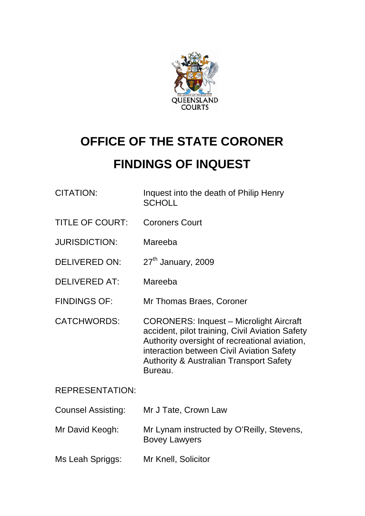

# **OFFICE OF THE STATE CORONER**

# **FINDINGS OF INQUEST**

| CITATION: | Inquest into the death of Philip Henry |
|-----------|----------------------------------------|
|           | SCHOLL                                 |
|           |                                        |

- TITLE OF COURT: Coroners Court
- JURISDICTION: Mareeba
- DELIVERED ON: 27<sup>th</sup> January, 2009
- DELIVERED AT: Mareeba
- FINDINGS OF: Mr Thomas Braes, Coroner
- CATCHWORDS: CORONERS: Inquest Microlight Aircraft accident, pilot training, Civil Aviation Safety Authority oversight of recreational aviation, interaction between Civil Aviation Safety Authority & Australian Transport Safety Bureau.

# REPRESENTATION:

| <b>Counsel Assisting:</b> | Mr J Tate, Crown Law |
|---------------------------|----------------------|
|                           |                      |

- Mr David Keogh: Mr Lynam instructed by O'Reilly, Stevens, Bovey Lawyers
- Ms Leah Spriggs: Mr Knell, Solicitor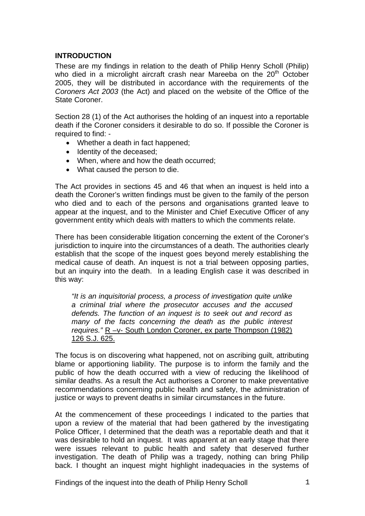# **INTRODUCTION**

These are my findings in relation to the death of Philip Henry Scholl (Philip) who died in a microlight aircraft crash near Mareeba on the  $20<sup>th</sup>$  October 2005, they will be distributed in accordance with the requirements of the *Coroners Act 2003* (the Act) and placed on the website of the Office of the State Coroner.

Section 28 (1) of the Act authorises the holding of an inquest into a reportable death if the Coroner considers it desirable to do so. If possible the Coroner is required to find: -

- Whether a death in fact happened;
- Identity of the deceased;
- When, where and how the death occurred;
- What caused the person to die.

The Act provides in sections 45 and 46 that when an inquest is held into a death the Coroner's written findings must be given to the family of the person who died and to each of the persons and organisations granted leave to appear at the inquest, and to the Minister and Chief Executive Officer of any government entity which deals with matters to which the comments relate.

There has been considerable litigation concerning the extent of the Coroner's jurisdiction to inquire into the circumstances of a death. The authorities clearly establish that the scope of the inquest goes beyond merely establishing the medical cause of death. An inquest is not a trial between opposing parties, but an inquiry into the death. In a leading English case it was described in this way:

*"It is an inquisitorial process, a process of investigation quite unlike a criminal trial where the prosecutor accuses and the accused defends. The function of an inquest is to seek out and record as many of the facts concerning the death as the public interest requires.*" R -v- South London Coroner, ex parte Thompson (1982) 126 S.J. 625.

The focus is on discovering what happened, not on ascribing guilt, attributing blame or apportioning liability. The purpose is to inform the family and the public of how the death occurred with a view of reducing the likelihood of similar deaths. As a result the Act authorises a Coroner to make preventative recommendations concerning public health and safety, the administration of justice or ways to prevent deaths in similar circumstances in the future.

At the commencement of these proceedings I indicated to the parties that upon a review of the material that had been gathered by the investigating Police Officer, I determined that the death was a reportable death and that it was desirable to hold an inquest. It was apparent at an early stage that there were issues relevant to public health and safety that deserved further investigation. The death of Philip was a tragedy, nothing can bring Philip back. I thought an inquest might highlight inadequacies in the systems of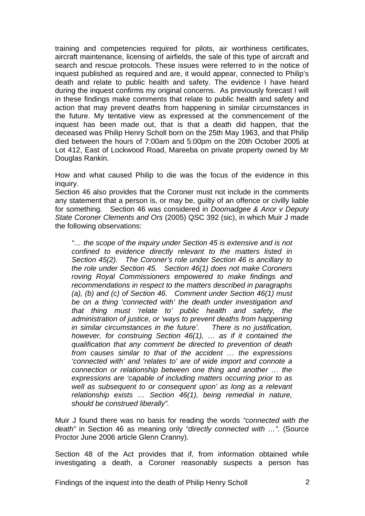training and competencies required for pilots, air worthiness certificates, aircraft maintenance, licensing of airfields, the sale of this type of aircraft and search and rescue protocols. These issues were referred to in the notice of inquest published as required and are, it would appear, connected to Philip's death and relate to public health and safety. The evidence I have heard during the inquest confirms my original concerns. As previously forecast I will in these findings make comments that relate to public health and safety and action that may prevent deaths from happening in similar circumstances in the future. My tentative view as expressed at the commencement of the inquest has been made out, that is that a death did happen, that the deceased was Philip Henry Scholl born on the 25th May 1963, and that Philip died between the hours of 7:00am and 5:00pm on the 20th October 2005 at Lot 412, East of Lockwood Road, Mareeba on private property owned by Mr Douglas Rankin.

How and what caused Philip to die was the focus of the evidence in this inquiry.

Section 46 also provides that the Coroner must not include in the comments any statement that a person is, or may be, guilty of an offence or civilly liable for something. Section 46 was considered in *Doomadgee & Anor v Deputy State Coroner Clements and Ors* (2005) QSC 392 (sic), in which Muir J made the following observations:

*"… the scope of the inquiry under Section 45 is extensive and is not confined to evidence directly relevant to the matters listed in Section 45(2). The Coroner's role under Section 46 is ancillary to the role under Section 45. Section 46(1) does not make Coroners roving Royal Commissioners empowered to make findings and recommendations in respect to the matters described in paragraphs (a), (b) and (c) of Section 46. Comment under Section 46(1) must be on a thing 'connected with' the death under investigation and that thing must 'relate to' public health and safety, the administration of justice, or 'ways to prevent deaths from happening in similar circumstances in the future'. There is no justification, however, for construing Section 46(1), … as if it contained the qualification that any comment be directed to prevention of death from causes similar to that of the accident … the expressions 'connected with' and 'relates to' are of wide import and connote a connection or relationship between one thing and another … the expressions are 'capable of including matters occurring prior to as well as subsequent to or consequent upon' as long as a relevant relationship exists … Section 46(1), being remedial in nature, should be construed liberally".* 

Muir J found there was no basis for reading the words *"connected with the death"* in Section 46 as meaning only *"directly connected with …".* (Source Proctor June 2006 article Glenn Cranny).

Section 48 of the Act provides that if, from information obtained while investigating a death, a Coroner reasonably suspects a person has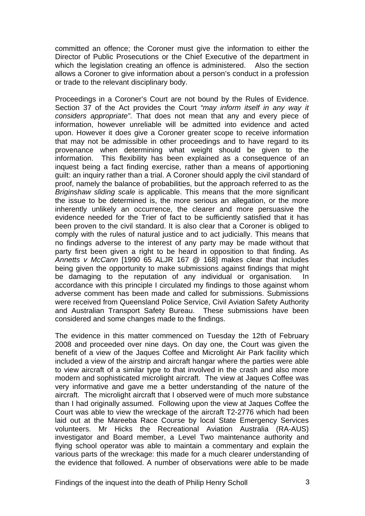committed an offence; the Coroner must give the information to either the Director of Public Prosecutions or the Chief Executive of the department in which the legislation creating an offence is administered. Also the section allows a Coroner to give information about a person's conduct in a profession or trade to the relevant disciplinary body.

Proceedings in a Coroner's Court are not bound by the Rules of Evidence. Section 37 of the Act provides the Court *"may inform itself in any way it considers appropriate"*. That does not mean that any and every piece of information, however unreliable will be admitted into evidence and acted upon. However it does give a Coroner greater scope to receive information that may not be admissible in other proceedings and to have regard to its provenance when determining what weight should be given to the information. This flexibility has been explained as a consequence of an inquest being a fact finding exercise, rather than a means of apportioning guilt: an inquiry rather than a trial. A Coroner should apply the civil standard of proof, namely the balance of probabilities, but the approach referred to as the *Briginshaw sliding scale* is applicable. This means that the more significant the issue to be determined is, the more serious an allegation, or the more inherently unlikely an occurrence, the clearer and more persuasive the evidence needed for the Trier of fact to be sufficiently satisfied that it has been proven to the civil standard. It is also clear that a Coroner is obliged to comply with the rules of natural justice and to act judicially. This means that no findings adverse to the interest of any party may be made without that party first been given a right to be heard in opposition to that finding. As *Annetts v McCann* [1990 65 ALJR 167 @ 168] makes clear that includes being given the opportunity to make submissions against findings that might be damaging to the reputation of any individual or organisation. In accordance with this principle I circulated my findings to those against whom adverse comment has been made and called for submissions. Submissions were received from Queensland Police Service, Civil Aviation Safety Authority and Australian Transport Safety Bureau. These submissions have been considered and some changes made to the findings.

The evidence in this matter commenced on Tuesday the 12th of February 2008 and proceeded over nine days. On day one, the Court was given the benefit of a view of the Jaques Coffee and Microlight Air Park facility which included a view of the airstrip and aircraft hangar where the parties were able to view aircraft of a similar type to that involved in the crash and also more modern and sophisticated microlight aircraft. The view at Jaques Coffee was very informative and gave me a better understanding of the nature of the aircraft. The microlight aircraft that I observed were of much more substance than I had originally assumed. Following upon the view at Jaques Coffee the Court was able to view the wreckage of the aircraft T2-2776 which had been laid out at the Mareeba Race Course by local State Emergency Services volunteers. Mr Hicks the Recreational Aviation Australia (RA-AUS) investigator and Board member, a Level Two maintenance authority and flying school operator was able to maintain a commentary and explain the various parts of the wreckage: this made for a much clearer understanding of the evidence that followed. A number of observations were able to be made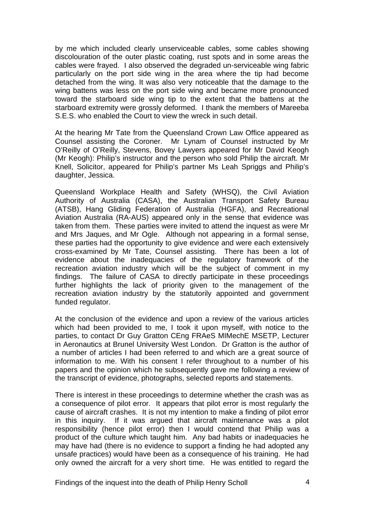by me which included clearly unserviceable cables, some cables showing discolouration of the outer plastic coating, rust spots and in some areas the cables were frayed. I also observed the degraded un-serviceable wing fabric particularly on the port side wing in the area where the tip had become detached from the wing. It was also very noticeable that the damage to the wing battens was less on the port side wing and became more pronounced toward the starboard side wing tip to the extent that the battens at the starboard extremity were grossly deformed. I thank the members of Mareeba S.E.S. who enabled the Court to view the wreck in such detail.

At the hearing Mr Tate from the Queensland Crown Law Office appeared as Counsel assisting the Coroner. Mr Lynam of Counsel instructed by Mr O'Reilly of O'Reilly, Stevens, Bovey Lawyers appeared for Mr David Keogh (Mr Keogh): Philip's instructor and the person who sold Philip the aircraft. Mr Knell, Solicitor, appeared for Philip's partner Ms Leah Spriggs and Philip's daughter, Jessica.

Queensland Workplace Health and Safety (WHSQ), the Civil Aviation Authority of Australia (CASA), the Australian Transport Safety Bureau (ATSB), Hang Gliding Federation of Australia (HGFA), and Recreational Aviation Australia (RA-AUS) appeared only in the sense that evidence was taken from them. These parties were invited to attend the inquest as were Mr and Mrs Jaques, and Mr Ogle. Although not appearing in a formal sense, these parties had the opportunity to give evidence and were each extensively cross-examined by Mr Tate, Counsel assisting. There has been a lot of evidence about the inadequacies of the regulatory framework of the recreation aviation industry which will be the subject of comment in my findings. The failure of CASA to directly participate in these proceedings further highlights the lack of priority given to the management of the recreation aviation industry by the statutorily appointed and government funded regulator.

At the conclusion of the evidence and upon a review of the various articles which had been provided to me, I took it upon myself, with notice to the parties, to contact Dr Guy Gratton CEng FRAeS MIMechE MSETP, Lecturer in Aeronautics at Brunel University West London. Dr Gratton is the author of a number of articles I had been referred to and which are a great source of information to me. With his consent I refer throughout to a number of his papers and the opinion which he subsequently gave me following a review of the transcript of evidence, photographs, selected reports and statements.

There is interest in these proceedings to determine whether the crash was as a consequence of pilot error. It appears that pilot error is most regularly the cause of aircraft crashes. It is not my intention to make a finding of pilot error in this inquiry. If it was argued that aircraft maintenance was a pilot responsibility (hence pilot error) then I would contend that Philip was a product of the culture which taught him. Any bad habits or inadequacies he may have had (there is no evidence to support a finding he had adopted any unsafe practices) would have been as a consequence of his training. He had only owned the aircraft for a very short time. He was entitled to regard the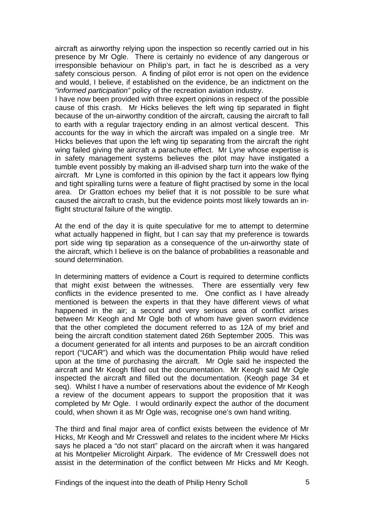aircraft as airworthy relying upon the inspection so recently carried out in his presence by Mr Ogle. There is certainly no evidence of any dangerous or irresponsible behaviour on Philip's part, in fact he is described as a very safety conscious person. A finding of pilot error is not open on the evidence and would, I believe, if established on the evidence, be an indictment on the *"informed participation"* policy of the recreation aviation industry.

I have now been provided with three expert opinions in respect of the possible cause of this crash. Mr Hicks believes the left wing tip separated in flight because of the un-airworthy condition of the aircraft, causing the aircraft to fall to earth with a regular trajectory ending in an almost vertical descent. This accounts for the way in which the aircraft was impaled on a single tree. Mr Hicks believes that upon the left wing tip separating from the aircraft the right wing failed giving the aircraft a parachute effect. Mr Lyne whose expertise is in safety management systems believes the pilot may have instigated a tumble event possibly by making an ill-advised sharp turn into the wake of the aircraft. Mr Lyne is comforted in this opinion by the fact it appears low flying and tight spiralling turns were a feature of flight practised by some in the local area. Dr Gratton echoes my belief that it is not possible to be sure what caused the aircraft to crash, but the evidence points most likely towards an inflight structural failure of the wingtip.

At the end of the day it is quite speculative for me to attempt to determine what actually happened in flight, but I can say that my preference is towards port side wing tip separation as a consequence of the un-airworthy state of the aircraft, which I believe is on the balance of probabilities a reasonable and sound determination.

In determining matters of evidence a Court is required to determine conflicts that might exist between the witnesses. There are essentially very few conflicts in the evidence presented to me. One conflict as I have already mentioned is between the experts in that they have different views of what happened in the air; a second and very serious area of conflict arises between Mr Keogh and Mr Ogle both of whom have given sworn evidence that the other completed the document referred to as 12A of my brief and being the aircraft condition statement dated 26th September 2005. This was a document generated for all intents and purposes to be an aircraft condition report ("UCAR") and which was the documentation Philip would have relied upon at the time of purchasing the aircraft. Mr Ogle said he inspected the aircraft and Mr Keogh filled out the documentation. Mr Keogh said Mr Ogle inspected the aircraft and filled out the documentation. (Keogh page 34 et seq). Whilst I have a number of reservations about the evidence of Mr Keogh a review of the document appears to support the proposition that it was completed by Mr Ogle. I would ordinarily expect the author of the document could, when shown it as Mr Ogle was, recognise one's own hand writing.

The third and final major area of conflict exists between the evidence of Mr Hicks, Mr Keogh and Mr Cresswell and relates to the incident where Mr Hicks says he placed a "do not start" placard on the aircraft when it was hangared at his Montpelier Microlight Airpark. The evidence of Mr Cresswell does not assist in the determination of the conflict between Mr Hicks and Mr Keogh.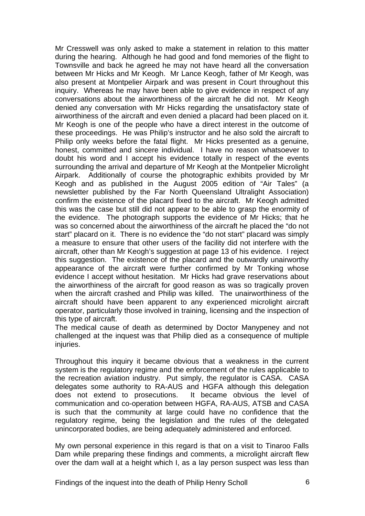Mr Cresswell was only asked to make a statement in relation to this matter during the hearing. Although he had good and fond memories of the flight to Townsville and back he agreed he may not have heard all the conversation between Mr Hicks and Mr Keogh. Mr Lance Keogh, father of Mr Keogh, was also present at Montpelier Airpark and was present in Court throughout this inquiry. Whereas he may have been able to give evidence in respect of any conversations about the airworthiness of the aircraft he did not. Mr Keogh denied any conversation with Mr Hicks regarding the unsatisfactory state of airworthiness of the aircraft and even denied a placard had been placed on it. Mr Keogh is one of the people who have a direct interest in the outcome of these proceedings. He was Philip's instructor and he also sold the aircraft to Philip only weeks before the fatal flight. Mr Hicks presented as a genuine, honest, committed and sincere individual. I have no reason whatsoever to doubt his word and I accept his evidence totally in respect of the events surrounding the arrival and departure of Mr Keogh at the Montpelier Microlight Airpark. Additionally of course the photographic exhibits provided by Mr Keogh and as published in the August 2005 edition of "Air Tales" (a newsletter published by the Far North Queensland Ultralight Association) confirm the existence of the placard fixed to the aircraft. Mr Keogh admitted this was the case but still did not appear to be able to grasp the enormity of the evidence. The photograph supports the evidence of Mr Hicks; that he was so concerned about the airworthiness of the aircraft he placed the "do not start" placard on it. There is no evidence the "do not start" placard was simply a measure to ensure that other users of the facility did not interfere with the aircraft, other than Mr Keogh's suggestion at page 13 of his evidence. I reject this suggestion. The existence of the placard and the outwardly unairworthy appearance of the aircraft were further confirmed by Mr Tonking whose evidence I accept without hesitation. Mr Hicks had grave reservations about the airworthiness of the aircraft for good reason as was so tragically proven when the aircraft crashed and Philip was killed. The unairworthiness of the aircraft should have been apparent to any experienced microlight aircraft operator, particularly those involved in training, licensing and the inspection of this type of aircraft.

The medical cause of death as determined by Doctor Manypeney and not challenged at the inquest was that Philip died as a consequence of multiple injuries.

Throughout this inquiry it became obvious that a weakness in the current system is the regulatory regime and the enforcement of the rules applicable to the recreation aviation industry. Put simply, the regulator is CASA. CASA delegates some authority to RA-AUS and HGFA although this delegation does not extend to prosecutions. It became obvious the level of communication and co-operation between HGFA, RA-AUS, ATSB and CASA is such that the community at large could have no confidence that the regulatory regime, being the legislation and the rules of the delegated unincorporated bodies, are being adequately administered and enforced.

My own personal experience in this regard is that on a visit to Tinaroo Falls Dam while preparing these findings and comments, a microlight aircraft flew over the dam wall at a height which I, as a lay person suspect was less than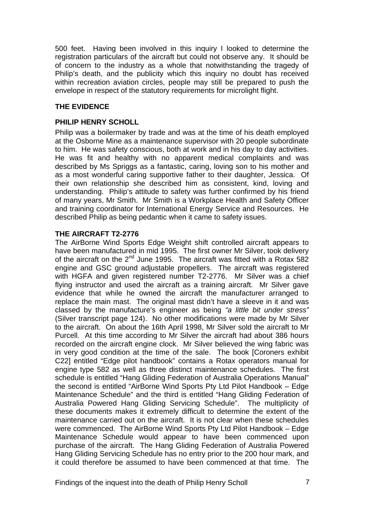500 feet. Having been involved in this inquiry I looked to determine the registration particulars of the aircraft but could not observe any. It should be of concern to the industry as a whole that notwithstanding the tragedy of Philip's death, and the publicity which this inquiry no doubt has received within recreation aviation circles, people may still be prepared to push the envelope in respect of the statutory requirements for microlight flight.

# **THE EVIDENCE**

# **PHILIP HENRY SCHOLL**

Philip was a boilermaker by trade and was at the time of his death employed at the Osborne Mine as a maintenance supervisor with 20 people subordinate to him. He was safety conscious, both at work and in his day to day activities. He was fit and healthy with no apparent medical complaints and was described by Ms Spriggs as a fantastic, caring, loving son to his mother and as a most wonderful caring supportive father to their daughter, Jessica. Of their own relationship she described him as consistent, kind, loving and understanding. Philip's attitude to safety was further confirmed by his friend of many years, Mr Smith. Mr Smith is a Workplace Health and Safety Officer and training coordinator for International Energy Service and Resources. He described Philip as being pedantic when it came to safety issues.

# **THE AIRCRAFT T2-2776**

The AirBorne Wind Sports Edge Weight shift controlled aircraft appears to have been manufactured in mid 1995. The first owner Mr Silver, took delivery of the aircraft on the  $2^{nd}$  June 1995. The aircraft was fitted with a Rotax 582 engine and GSC ground adjustable propellers. The aircraft was registered with HGFA and given registered number T2-2776. Mr Silver was a chief flying instructor and used the aircraft as a training aircraft. Mr Silver gave evidence that while he owned the aircraft the manufacturer arranged to replace the main mast. The original mast didn't have a sleeve in it and was classed by the manufacture's engineer as being *"a little bit under stress"* (Silver transcript page 124). No other modifications were made by Mr Silver to the aircraft. On about the 16th April 1998, Mr Silver sold the aircraft to Mr Purcell. At this time according to Mr Silver the aircraft had about 386 hours recorded on the aircraft engine clock. Mr Silver believed the wing fabric was in very good condition at the time of the sale. The book [Coroners exhibit C22] entitled "Edge pilot handbook" contains a Rotax operators manual for engine type 582 as well as three distinct maintenance schedules. The first schedule is entitled "Hang Gliding Federation of Australia Operations Manual" the second is entitled "AirBorne Wind Sports Pty Ltd Pilot Handbook – Edge Maintenance Schedule" and the third is entitled "Hang Gliding Federation of Australia Powered Hang Gliding Servicing Schedule". The multiplicity of these documents makes it extremely difficult to determine the extent of the maintenance carried out on the aircraft. It is not clear when these schedules were commenced. The AirBorne Wind Sports Pty Ltd Pilot Handbook – Edge Maintenance Schedule would appear to have been commenced upon purchase of the aircraft. The Hang Gliding Federation of Australia Powered Hang Gliding Servicing Schedule has no entry prior to the 200 hour mark, and it could therefore be assumed to have been commenced at that time. The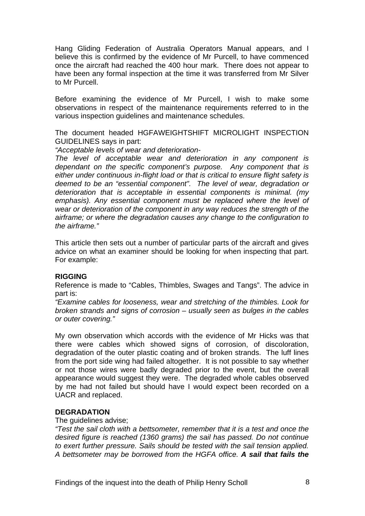Hang Gliding Federation of Australia Operators Manual appears, and I believe this is confirmed by the evidence of Mr Purcell, to have commenced once the aircraft had reached the 400 hour mark. There does not appear to have been any formal inspection at the time it was transferred from Mr Silver to Mr Purcell.

Before examining the evidence of Mr Purcell, I wish to make some observations in respect of the maintenance requirements referred to in the various inspection guidelines and maintenance schedules.

The document headed HGFAWEIGHTSHIFT MICROLIGHT INSPECTION GUIDELINES says in part:

*"Acceptable levels of wear and deterioration-*

*The level of acceptable wear and deterioration in any component is dependant on the specific component's purpose. Any component that is either under continuous in-flight load or that is critical to ensure flight safety is deemed to be an "essential component". The level of wear, degradation or deterioration that is acceptable in essential components is minimal. (my*  emphasis). Any essential component must be replaced where the level of *wear or deterioration of the component in any way reduces the strength of the airframe; or where the degradation causes any change to the configuration to the airframe."* 

This article then sets out a number of particular parts of the aircraft and gives advice on what an examiner should be looking for when inspecting that part. For example:

# **RIGGING**

Reference is made to "Cables, Thimbles, Swages and Tangs". The advice in part is:

*"Examine cables for looseness, wear and stretching of the thimbles. Look for broken strands and signs of corrosion – usually seen as bulges in the cables or outer covering."* 

My own observation which accords with the evidence of Mr Hicks was that there were cables which showed signs of corrosion, of discoloration, degradation of the outer plastic coating and of broken strands. The luff lines from the port side wing had failed altogether. It is not possible to say whether or not those wires were badly degraded prior to the event, but the overall appearance would suggest they were. The degraded whole cables observed by me had not failed but should have I would expect been recorded on a UACR and replaced.

# **DEGRADATION**

#### The quidelines advise:

*"Test the sail cloth with a bettsometer, remember that it is a test and once the desired figure is reached (1360 grams) the sail has passed. Do not continue to exert further pressure. Sails should be tested with the sail tension applied. A bettsometer may be borrowed from the HGFA office. A sail that fails the*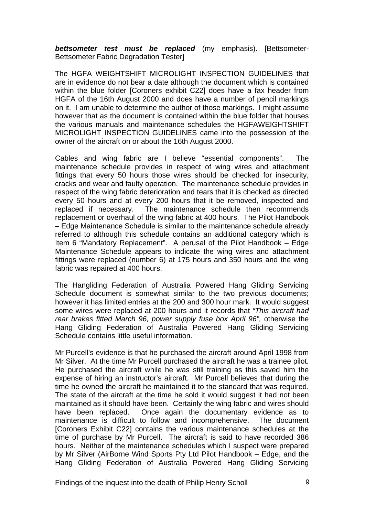*bettsometer test must be replaced* (my emphasis). [Bettsometer-Bettsometer Fabric Degradation Tester]

The HGFA WEIGHTSHIFT MICROLIGHT INSPECTION GUIDELINES that are in evidence do not bear a date although the document which is contained within the blue folder [Coroners exhibit C22] does have a fax header from HGFA of the 16th August 2000 and does have a number of pencil markings on it. I am unable to determine the author of those markings. I might assume however that as the document is contained within the blue folder that houses the various manuals and maintenance schedules the HGFAWEIGHTSHIFT MICROLIGHT INSPECTION GUIDELINES came into the possession of the owner of the aircraft on or about the 16th August 2000.

Cables and wing fabric are I believe "essential components". The maintenance schedule provides in respect of wing wires and attachment fittings that every 50 hours those wires should be checked for insecurity, cracks and wear and faulty operation. The maintenance schedule provides in respect of the wing fabric deterioration and tears that it is checked as directed every 50 hours and at every 200 hours that it be removed, inspected and replaced if necessary. The maintenance schedule then recommends replacement or overhaul of the wing fabric at 400 hours. The Pilot Handbook – Edge Maintenance Schedule is similar to the maintenance schedule already referred to although this schedule contains an additional category which is Item 6 "Mandatory Replacement". A perusal of the Pilot Handbook – Edge Maintenance Schedule appears to indicate the wing wires and attachment fittings were replaced (number 6) at 175 hours and 350 hours and the wing fabric was repaired at 400 hours.

The Hangliding Federation of Australia Powered Hang Gliding Servicing Schedule document is somewhat similar to the two previous documents; however it has limited entries at the 200 and 300 hour mark. It would suggest some wires were replaced at 200 hours and it records that *"This aircraft had rear brakes fitted March 96, power supply fuse box April 96",* otherwise the Hang Gliding Federation of Australia Powered Hang Gliding Servicing Schedule contains little useful information.

Mr Purcell's evidence is that he purchased the aircraft around April 1998 from Mr Silver. At the time Mr Purcell purchased the aircraft he was a trainee pilot. He purchased the aircraft while he was still training as this saved him the expense of hiring an instructor's aircraft. Mr Purcell believes that during the time he owned the aircraft he maintained it to the standard that was required. The state of the aircraft at the time he sold it would suggest it had not been maintained as it should have been. Certainly the wing fabric and wires should have been replaced. Once again the documentary evidence as to maintenance is difficult to follow and incomprehensive. The document [Coroners Exhibit C22] contains the various maintenance schedules at the time of purchase by Mr Purcell. The aircraft is said to have recorded 386 hours. Neither of the maintenance schedules which I suspect were prepared by Mr Silver (AirBorne Wind Sports Pty Ltd Pilot Handbook – Edge, and the Hang Gliding Federation of Australia Powered Hang Gliding Servicing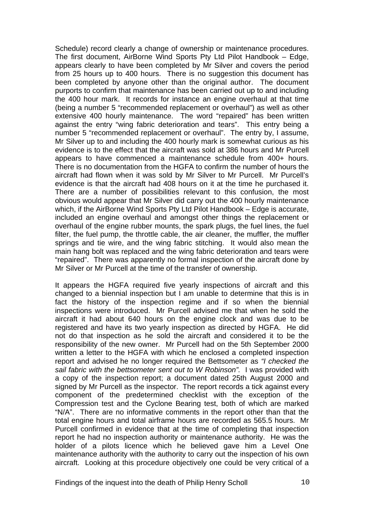Schedule) record clearly a change of ownership or maintenance procedures. The first document, AirBorne Wind Sports Pty Ltd Pilot Handbook – Edge, appears clearly to have been completed by Mr Silver and covers the period from 25 hours up to 400 hours. There is no suggestion this document has been completed by anyone other than the original author. The document purports to confirm that maintenance has been carried out up to and including the 400 hour mark. It records for instance an engine overhaul at that time (being a number 5 "recommended replacement or overhaul") as well as other extensive 400 hourly maintenance. The word "repaired" has been written against the entry "wing fabric deterioration and tears". This entry being a number 5 "recommended replacement or overhaul". The entry by, I assume, Mr Silver up to and including the 400 hourly mark is somewhat curious as his evidence is to the effect that the aircraft was sold at 386 hours and Mr Purcell appears to have commenced a maintenance schedule from 400+ hours. There is no documentation from the HGFA to confirm the number of hours the aircraft had flown when it was sold by Mr Silver to Mr Purcell. Mr Purcell's evidence is that the aircraft had 408 hours on it at the time he purchased it. There are a number of possibilities relevant to this confusion, the most obvious would appear that Mr Silver did carry out the 400 hourly maintenance which, if the AirBorne Wind Sports Pty Ltd Pilot Handbook – Edge is accurate, included an engine overhaul and amongst other things the replacement or overhaul of the engine rubber mounts, the spark plugs, the fuel lines, the fuel filter, the fuel pump, the throttle cable, the air cleaner, the muffler, the muffler springs and tie wire, and the wing fabric stitching. It would also mean the main hang bolt was replaced and the wing fabric deterioration and tears were "repaired". There was apparently no formal inspection of the aircraft done by Mr Silver or Mr Purcell at the time of the transfer of ownership.

It appears the HGFA required five yearly inspections of aircraft and this changed to a biennial inspection but I am unable to determine that this is in fact the history of the inspection regime and if so when the biennial inspections were introduced. Mr Purcell advised me that when he sold the aircraft it had about 640 hours on the engine clock and was due to be registered and have its two yearly inspection as directed by HGFA. He did not do that inspection as he sold the aircraft and considered it to be the responsibility of the new owner. Mr Purcell had on the 5th September 2000 written a letter to the HGFA with which he enclosed a completed inspection report and advised he no longer required the Bettsometer as *"I checked the sail fabric with the bettsometer sent out to W Robinson".* I was provided with a copy of the inspection report; a document dated 25th August 2000 and signed by Mr Purcell as the inspector. The report records a tick against every component of the predetermined checklist with the exception of the Compression test and the Cyclone Bearing test, both of which are marked "N/A". There are no informative comments in the report other than that the total engine hours and total airframe hours are recorded as 565.5 hours. Mr Purcell confirmed in evidence that at the time of completing that inspection report he had no inspection authority or maintenance authority. He was the holder of a pilots licence which he believed gave him a Level One maintenance authority with the authority to carry out the inspection of his own aircraft. Looking at this procedure objectively one could be very critical of a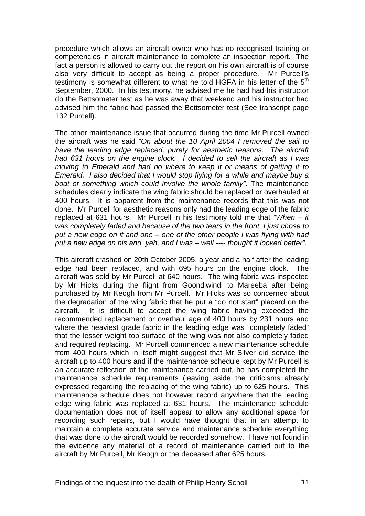procedure which allows an aircraft owner who has no recognised training or competencies in aircraft maintenance to complete an inspection report. The fact a person is allowed to carry out the report on his own aircraft is of course also very difficult to accept as being a proper procedure. Mr Purcell's testimony is somewhat different to what he told HGFA in his letter of the 5<sup>th</sup> September, 2000. In his testimony, he advised me he had had his instructor do the Bettsometer test as he was away that weekend and his instructor had advised him the fabric had passed the Bettsometer test (See transcript page 132 Purcell).

The other maintenance issue that occurred during the time Mr Purcell owned the aircraft was he said *"On about the 10 April 2004 I removed the sail to have the leading edge replaced, purely for aesthetic reasons. The aircraft had 631 hours on the engine clock. I decided to sell the aircraft as I was moving to Emerald and had no where to keep it or means of getting it to Emerald. I also decided that I would stop flying for a while and maybe buy a boat or something which could involve the whole family".* The maintenance schedules clearly indicate the wing fabric should be replaced or overhauled at 400 hours. It is apparent from the maintenance records that this was not done. Mr Purcell for aesthetic reasons only had the leading edge of the fabric replaced at 631 hours. Mr Purcell in his testimony told me that *"When – it was completely faded and because of the two tears in the front, I just chose to put a new edge on it and one – one of the other people I was flying with had put a new edge on his and, yeh, and I was – well ---- thought it looked better".* 

This aircraft crashed on 20th October 2005, a year and a half after the leading edge had been replaced, and with 695 hours on the engine clock. The aircraft was sold by Mr Purcell at 640 hours. The wing fabric was inspected by Mr Hicks during the flight from Goondiwindi to Mareeba after being purchased by Mr Keogh from Mr Purcell. Mr Hicks was so concerned about the degradation of the wing fabric that he put a "do not start" placard on the aircraft. It is difficult to accept the wing fabric having exceeded the recommended replacement or overhaul age of 400 hours by 231 hours and where the heaviest grade fabric in the leading edge was "completely faded" that the lesser weight top surface of the wing was not also completely faded and required replacing. Mr Purcell commenced a new maintenance schedule from 400 hours which in itself might suggest that Mr Silver did service the aircraft up to 400 hours and if the maintenance schedule kept by Mr Purcell is an accurate reflection of the maintenance carried out, he has completed the maintenance schedule requirements (leaving aside the criticisms already expressed regarding the replacing of the wing fabric) up to 625 hours. This maintenance schedule does not however record anywhere that the leading edge wing fabric was replaced at 631 hours. The maintenance schedule documentation does not of itself appear to allow any additional space for recording such repairs, but I would have thought that in an attempt to maintain a complete accurate service and maintenance schedule everything that was done to the aircraft would be recorded somehow. I have not found in the evidence any material of a record of maintenance carried out to the aircraft by Mr Purcell, Mr Keogh or the deceased after 625 hours.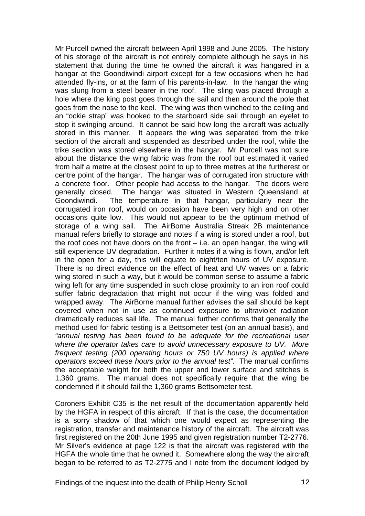Mr Purcell owned the aircraft between April 1998 and June 2005. The history of his storage of the aircraft is not entirely complete although he says in his statement that during the time he owned the aircraft it was hangared in a hangar at the Goondiwindi airport except for a few occasions when he had attended fly-ins, or at the farm of his parents-in-law. In the hangar the wing was slung from a steel bearer in the roof. The sling was placed through a hole where the king post goes through the sail and then around the pole that goes from the nose to the keel. The wing was then winched to the ceiling and an "ockie strap" was hooked to the starboard side sail through an eyelet to stop it swinging around. It cannot be said how long the aircraft was actually stored in this manner. It appears the wing was separated from the trike section of the aircraft and suspended as described under the roof, while the trike section was stored elsewhere in the hangar. Mr Purcell was not sure about the distance the wing fabric was from the roof but estimated it varied from half a metre at the closest point to up to three metres at the furtherest or centre point of the hangar. The hangar was of corrugated iron structure with a concrete floor. Other people had access to the hangar. The doors were generally closed. The hangar was situated in Western Queensland at Goondiwindi. The temperature in that hangar, particularly near the corrugated iron roof, would on occasion have been very high and on other occasions quite low. This would not appear to be the optimum method of storage of a wing sail. The AirBorne Australia Streak 2B maintenance manual refers briefly to storage and notes if a wing is stored under a roof, but the roof does not have doors on the front – i.e. an open hangar, the wing will still experience UV degradation. Further it notes if a wing is flown, and/or left in the open for a day, this will equate to eight/ten hours of UV exposure. There is no direct evidence on the effect of heat and UV waves on a fabric wing stored in such a way, but it would be common sense to assume a fabric wing left for any time suspended in such close proximity to an iron roof could suffer fabric degradation that might not occur if the wing was folded and wrapped away. The AirBorne manual further advises the sail should be kept covered when not in use as continued exposure to ultraviolet radiation dramatically reduces sail life. The manual further confirms that generally the method used for fabric testing is a Bettsometer test (on an annual basis), and *"annual testing has been found to be adequate for the recreational user where the operator takes care to avoid unnecessary exposure to UV. More frequent testing (200 operating hours or 750 UV hours) is applied where operators exceed these hours prior to the annual test".* The manual confirms the acceptable weight for both the upper and lower surface and stitches is 1,360 grams. The manual does not specifically require that the wing be condemned if it should fail the 1,360 grams Bettsometer test.

Coroners Exhibit C35 is the net result of the documentation apparently held by the HGFA in respect of this aircraft. If that is the case, the documentation is a sorry shadow of that which one would expect as representing the registration, transfer and maintenance history of the aircraft. The aircraft was first registered on the 20th June 1995 and given registration number T2-2776. Mr Silver's evidence at page 122 is that the aircraft was registered with the HGFA the whole time that he owned it. Somewhere along the way the aircraft began to be referred to as T2-2775 and I note from the document lodged by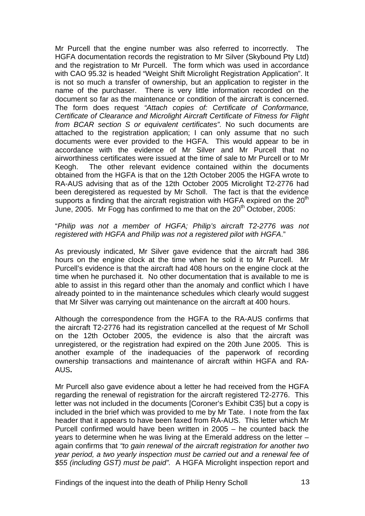Mr Purcell that the engine number was also referred to incorrectly. The HGFA documentation records the registration to Mr Silver (Skybound Pty Ltd) and the registration to Mr Purcell. The form which was used in accordance with CAO 95.32 is headed "Weight Shift Microlight Registration Application". It is not so much a transfer of ownership, but an application to register in the name of the purchaser. There is very little information recorded on the document so far as the maintenance or condition of the aircraft is concerned. The form does request *"Attach copies of: Certificate of Conformance, Certificate of Clearance and Microlight Aircraft Certificate of Fitness for Flight from BCAR section S or equivalent certificates".* No such documents are attached to the registration application; I can only assume that no such documents were ever provided to the HGFA. This would appear to be in accordance with the evidence of Mr Silver and Mr Purcell that no airworthiness certificates were issued at the time of sale to Mr Purcell or to Mr Keogh. The other relevant evidence contained within the documents obtained from the HGFA is that on the 12th October 2005 the HGFA wrote to RA-AUS advising that as of the 12th October 2005 Microlight T2-2776 had been deregistered as requested by Mr Scholl. The fact is that the evidence supports a finding that the aircraft registration with HGFA expired on the  $20<sup>th</sup>$ June, 2005. Mr Fogg has confirmed to me that on the  $20<sup>th</sup>$  October, 2005:

#### "*Philip was not a member of HGFA; Philip's aircraft T2-2776 was not registered with HGFA and Philip was not a registered pilot with HGFA*."

As previously indicated, Mr Silver gave evidence that the aircraft had 386 hours on the engine clock at the time when he sold it to Mr Purcell. Mr Purcell's evidence is that the aircraft had 408 hours on the engine clock at the time when he purchased it. No other documentation that is available to me is able to assist in this regard other than the anomaly and conflict which I have already pointed to in the maintenance schedules which clearly would suggest that Mr Silver was carrying out maintenance on the aircraft at 400 hours.

Although the correspondence from the HGFA to the RA-AUS confirms that the aircraft T2-2776 had its registration cancelled at the request of Mr Scholl on the 12th October 2005, the evidence is also that the aircraft was unregistered, or the registration had expired on the 20th June 2005. This is another example of the inadequacies of the paperwork of recording ownership transactions and maintenance of aircraft within HGFA and RA-AUS**.** 

Mr Purcell also gave evidence about a letter he had received from the HGFA regarding the renewal of registration for the aircraft registered T2-2776. This letter was not included in the documents [Coroner's Exhibit C35] but a copy is included in the brief which was provided to me by Mr Tate. I note from the fax header that it appears to have been faxed from RA-AUS. This letter which Mr Purcell confirmed would have been written in 2005 – he counted back the years to determine when he was living at the Emerald address on the letter – again confirms that *"to gain renewal of the aircraft registration for another two year period, a two yearly inspection must be carried out and a renewal fee of \$55 (including GST) must be paid".* A HGFA Microlight inspection report and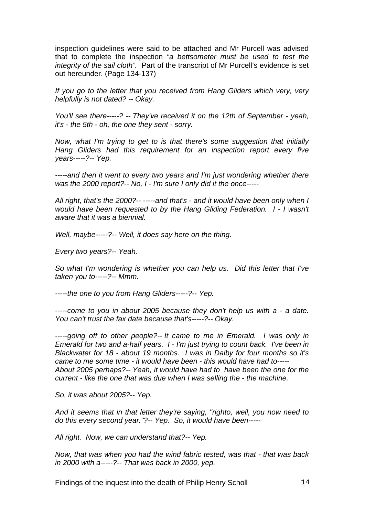inspection guidelines were said to be attached and Mr Purcell was advised that to complete the inspection *"a bettsometer must be used to test the integrity of the sail cloth".* Part of the transcript of Mr Purcell's evidence is set out hereunder. (Page 134-137)

*If you go to the letter that you received from Hang Gliders which very, very helpfully is not dated? -- Okay.* 

*You'll see there-----? -- They've received it on the 12th of September - yeah, it's - the 5th - oh, the one they sent - sorry.* 

*Now, what I'm trying to get to is that there's some suggestion that initially Hang Gliders had this requirement for an inspection report every five years-----?-- Yep.* 

*-----and then it went to every two years and I'm just wondering whether there was the 2000 report?-- No, I - I'm sure I only did it the once-----* 

*All right, that's the 2000?-- -----and that's - and it would have been only when I would have been requested to by the Hang Gliding Federation. I - I wasn't aware that it was a biennial.* 

*Well, maybe-----?-- Well, it does say here on the thing.* 

*Every two years?-- Yeah.* 

*So what I'm wondering is whether you can help us. Did this letter that I've taken you to-----?-- Mmm.* 

*-----the one to you from Hang Gliders-----?-- Yep.* 

*-----come to you in about 2005 because they don't help us with a - a date. You can't trust the fax date because that's-----?-- Okay.* 

*-----going off to other people?-- It came to me in Emerald. I was only in Emerald for two and a-half years. I - I'm just trying to count back. I've been in Blackwater for 18 - about 19 months. I was in Dalby for four months so it's came to me some time - it would have been - this would have had to----- About 2005 perhaps?-- Yeah, it would have had to have been the one for the current - like the one that was due when I was selling the - the machine.* 

*So, it was about 2005?-- Yep.* 

*And it seems that in that letter they're saying, "righto, well, you now need to do this every second year."?-- Yep. So, it would have been-----* 

*All right. Now, we can understand that?-- Yep.* 

*Now, that was when you had the wind fabric tested, was that - that was back in 2000 with a-----?-- That was back in 2000, yep.*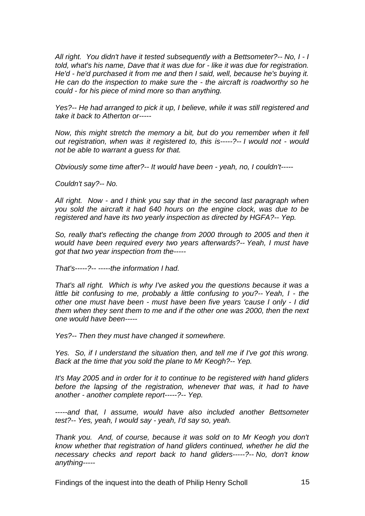*All right. You didn't have it tested subsequently with a Bettsometer?-- No, I - I told, what's his name, Dave that it was due for - like it was due for registration. He'd - he'd purchased it from me and then I said, well, because he's buying it. He can do the inspection to make sure the - the aircraft is roadworthy so he could - for his piece of mind more so than anything.* 

*Yes?-- He had arranged to pick it up, I believe, while it was still registered and take it back to Atherton or-----* 

*Now, this might stretch the memory a bit, but do you remember when it fell out registration, when was it registered to, this is-----?-- I would not - would not be able to warrant a guess for that.* 

*Obviously some time after?-- It would have been - yeah, no, I couldn't-----* 

*Couldn't say?-- No.* 

*All right. Now - and I think you say that in the second last paragraph when you sold the aircraft it had 640 hours on the engine clock, was due to be registered and have its two yearly inspection as directed by HGFA?-- Yep.* 

*So, really that's reflecting the change from 2000 through to 2005 and then it would have been required every two years afterwards?-- Yeah, I must have got that two year inspection from the-----* 

*That's-----?-- -----the information I had.* 

*That's all right. Which is why I've asked you the questions because it was a little bit confusing to me, probably a little confusing to you?-- Yeah, I - the other one must have been - must have been five years 'cause I only - I did them when they sent them to me and if the other one was 2000, then the next one would have been-----* 

*Yes?-- Then they must have changed it somewhere.* 

*Yes. So, if I understand the situation then, and tell me if I've got this wrong. Back at the time that you sold the plane to Mr Keogh?-- Yep.* 

*It's May 2005 and in order for it to continue to be registered with hand gliders before the lapsing of the registration, whenever that was, it had to have another - another complete report-----?-- Yep.* 

*-----and that, I assume, would have also included another Bettsometer test?-- Yes, yeah, I would say - yeah, I'd say so, yeah.* 

*Thank you. And, of course, because it was sold on to Mr Keogh you don't know whether that registration of hand gliders continued, whether he did the necessary checks and report back to hand gliders-----?-- No, don't know anything-----*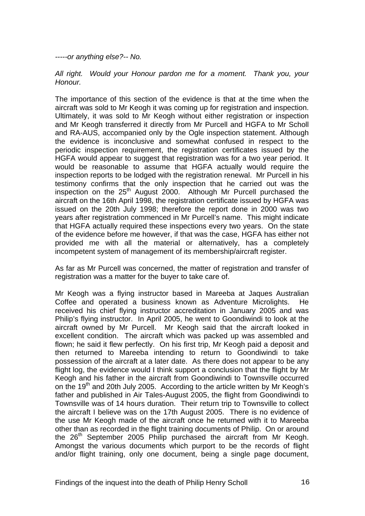*-----or anything else?-- No.* 

*All right. Would your Honour pardon me for a moment. Thank you, your Honour.* 

The importance of this section of the evidence is that at the time when the aircraft was sold to Mr Keogh it was coming up for registration and inspection. Ultimately, it was sold to Mr Keogh without either registration or inspection and Mr Keogh transferred it directly from Mr Purcell and HGFA to Mr Scholl and RA-AUS, accompanied only by the Ogle inspection statement. Although the evidence is inconclusive and somewhat confused in respect to the periodic inspection requirement, the registration certificates issued by the HGFA would appear to suggest that registration was for a two year period. It would be reasonable to assume that HGFA actually would require the inspection reports to be lodged with the registration renewal. Mr Purcell in his testimony confirms that the only inspection that he carried out was the inspection on the  $25<sup>th</sup>$  August 2000. Although Mr Purcell purchased the aircraft on the 16th April 1998, the registration certificate issued by HGFA was issued on the 20th July 1998; therefore the report done in 2000 was two years after registration commenced in Mr Purcell's name. This might indicate that HGFA actually required these inspections every two years. On the state of the evidence before me however, if that was the case, HGFA has either not provided me with all the material or alternatively, has a completely incompetent system of management of its membership/aircraft register.

As far as Mr Purcell was concerned, the matter of registration and transfer of registration was a matter for the buyer to take care of.

Mr Keogh was a flying instructor based in Mareeba at Jaques Australian Coffee and operated a business known as Adventure Microlights. He received his chief flying instructor accreditation in January 2005 and was Philip's flying instructor. In April 2005, he went to Goondiwindi to look at the aircraft owned by Mr Purcell. Mr Keogh said that the aircraft looked in excellent condition. The aircraft which was packed up was assembled and flown; he said it flew perfectly. On his first trip, Mr Keogh paid a deposit and then returned to Mareeba intending to return to Goondiwindi to take possession of the aircraft at a later date. As there does not appear to be any flight log, the evidence would I think support a conclusion that the flight by Mr Keogh and his father in the aircraft from Goondiwindi to Townsville occurred on the 19<sup>th</sup> and 20th July 2005. According to the article written by Mr Keogh's father and published in Air Tales-August 2005, the flight from Goondiwindi to Townsville was of 14 hours duration. Their return trip to Townsville to collect the aircraft I believe was on the 17th August 2005. There is no evidence of the use Mr Keogh made of the aircraft once he returned with it to Mareeba other than as recorded in the flight training documents of Philip. On or around the  $26<sup>th</sup>$  September 2005 Philip purchased the aircraft from Mr Keogh. Amongst the various documents which purport to be the records of flight and/or flight training, only one document, being a single page document,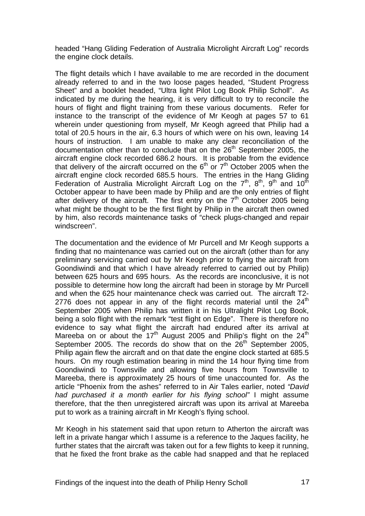headed "Hang Gliding Federation of Australia Microlight Aircraft Log" records the engine clock details.

The flight details which I have available to me are recorded in the document already referred to and in the two loose pages headed, "Student Progress Sheet" and a booklet headed, "Ultra light Pilot Log Book Philip Scholl". As indicated by me during the hearing, it is very difficult to try to reconcile the hours of flight and flight training from these various documents. Refer for instance to the transcript of the evidence of Mr Keogh at pages 57 to 61 wherein under questioning from myself. Mr Keogh agreed that Philip had a total of 20.5 hours in the air, 6.3 hours of which were on his own, leaving 14 hours of instruction. I am unable to make any clear reconciliation of the documentation other than to conclude that on the  $26<sup>th</sup>$  September 2005, the aircraft engine clock recorded 686.2 hours. It is probable from the evidence that delivery of the aircraft occurred on the  $6<sup>th</sup>$  or  $7<sup>th</sup>$  October 2005 when the aircraft engine clock recorded 685.5 hours. The entries in the Hang Gliding Federation of Australia Microlight Aircraft Log on the  $7<sup>th</sup>$ ,  $8<sup>th</sup>$ ,  $9<sup>th</sup>$  and  $10<sup>th</sup>$ October appear to have been made by Philip and are the only entries of flight after delivery of the aircraft. The first entry on the  $7<sup>th</sup>$  October 2005 being what might be thought to be the first flight by Philip in the aircraft then owned by him, also records maintenance tasks of "check plugs-changed and repair windscreen".

The documentation and the evidence of Mr Purcell and Mr Keogh supports a finding that no maintenance was carried out on the aircraft (other than for any preliminary servicing carried out by Mr Keogh prior to flying the aircraft from Goondiwindi and that which I have already referred to carried out by Philip) between 625 hours and 695 hours. As the records are inconclusive, it is not possible to determine how long the aircraft had been in storage by Mr Purcell and when the 625 hour maintenance check was carried out. The aircraft T2- 2776 does not appear in any of the flight records material until the  $24<sup>th</sup>$ September 2005 when Philip has written it in his Ultralight Pilot Log Book, being a solo flight with the remark "test flight on Edge". There is therefore no evidence to say what flight the aircraft had endured after its arrival at Mareeba on or about the  $17<sup>th</sup>$  August 2005 and Philip's flight on the  $24<sup>th</sup>$ September 2005. The records do show that on the  $26<sup>th</sup>$  September 2005, Philip again flew the aircraft and on that date the engine clock started at 685.5 hours. On my rough estimation bearing in mind the 14 hour flying time from Goondiwindi to Townsville and allowing five hours from Townsville to Mareeba, there is approximately 25 hours of time unaccounted for. As the article "Phoenix from the ashes" referred to in Air Tales earlier, noted *"David had purchased it a month earlier for his flying school"* I might assume therefore, that the then unregistered aircraft was upon its arrival at Mareeba put to work as a training aircraft in Mr Keogh's flying school.

Mr Keogh in his statement said that upon return to Atherton the aircraft was left in a private hangar which I assume is a reference to the Jaques facility, he further states that the aircraft was taken out for a few flights to keep it running, that he fixed the front brake as the cable had snapped and that he replaced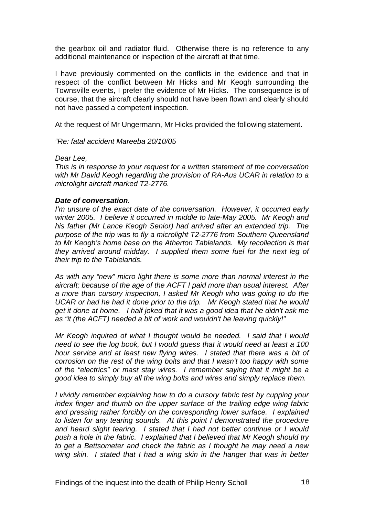the gearbox oil and radiator fluid. Otherwise there is no reference to any additional maintenance or inspection of the aircraft at that time.

I have previously commented on the conflicts in the evidence and that in respect of the conflict between Mr Hicks and Mr Keogh surrounding the Townsville events, I prefer the evidence of Mr Hicks. The consequence is of course, that the aircraft clearly should not have been flown and clearly should not have passed a competent inspection.

At the request of Mr Ungermann, Mr Hicks provided the following statement.

*"Re: fatal accident Mareeba 20/10/05* 

#### *Dear Lee,*

*This is in response to your request for a written statement of the conversation with Mr David Keogh regarding the provision of RA-Aus UCAR in relation to a microlight aircraft marked T2-2776.* 

# *Date of conversation.*

*I'm unsure of the exact date of the conversation. However, it occurred early winter 2005. I believe it occurred in middle to late-May 2005. Mr Keogh and his father (Mr Lance Keogh Senior) had arrived after an extended trip. The purpose of the trip was to fly a microlight T2-2776 from Southern Queensland to Mr Keogh's home base on the Atherton Tablelands. My recollection is that they arrived around midday. I supplied them some fuel for the next leg of their trip to the Tablelands.* 

*As with any "new" micro light there is some more than normal interest in the aircraft; because of the age of the ACFT I paid more than usual interest. After a more than cursory inspection, I asked Mr Keogh who was going to do the UCAR or had he had it done prior to the trip. Mr Keogh stated that he would get it done at home. I half joked that it was a good idea that he didn't ask me as "it (the ACFT) needed a bit of work and wouldn't be leaving quickly!"* 

*Mr Keogh inquired of what I thought would be needed. I said that I would need to see the log book, but I would guess that it would need at least a 100 hour service and at least new flying wires. I stated that there was a bit of corrosion on the rest of the wing bolts and that I wasn't too happy with some of the "electrics" or mast stay wires. I remember saying that it might be a good idea to simply buy all the wing bolts and wires and simply replace them.* 

*I vividly remember explaining how to do a cursory fabric test by cupping your index finger and thumb on the upper surface of the trailing edge wing fabric and pressing rather forcibly on the corresponding lower surface. I explained to listen for any tearing sounds. At this point I demonstrated the procedure and heard slight tearing. I stated that I had not better continue or I would push a hole in the fabric. I explained that I believed that Mr Keogh should try to get a Bettsometer and check the fabric as I thought he may need a new wing skin. I stated that I had a wing skin in the hanger that was in better*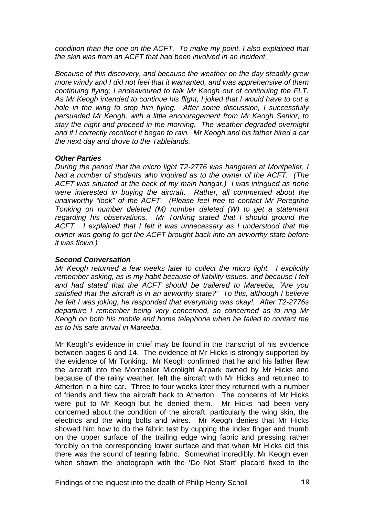*condition than the one on the ACFT. To make my point, I also explained that the skin was from an ACFT that had been involved in an incident.* 

*Because of this discovery, and because the weather on the day steadily grew more windy and I did not feel that it warranted, and was apprehensive of them continuing flying; I endeavoured to talk Mr Keogh out of continuing the FLT. As Mr Keogh intended to continue his flight, I joked that I would have to cut a hole in the wing to stop him flying. After some discussion, I successfully persuaded Mr Keogh, with a little encouragement from Mr Keogh Senior, to stay the night and proceed in the morning. The weather degraded overnight and if I correctly recollect it began to rain. Mr Keogh and his father hired a car the next day and drove to the Tablelands.* 

# *Other Parties*

*During the period that the micro light T2-2776 was hangared at Montpelier, I had a number of students who inquired as to the owner of the ACFT. (The ACFT was situated at the back of my main hangar.) I was intrigued as none were interested in buying the aircraft. Rather, all commented about the unairworthy "look" of the ACFT. (Please feel free to contact Mr Peregrine Tonking on number deleted (M) number deleted (W) to get a statement regarding his observations. Mr Tonking stated that I should ground the ACFT. I explained that I felt it was unnecessary as I understood that the owner was going to get the ACFT brought back into an airworthy state before it was flown.)* 

# *Second Conversation*

*Mr Keogh returned a few weeks later to collect the micro light. I explicitly remember asking, as is my habit because of liability issues, and because I felt and had stated that the ACFT should be trailered to Mareeba, "Are you satisfied that the aircraft is in an airworthy state?" To this, although I believe he felt I was joking, he responded that everything was okay!. After T2-2776s departure I remember being very concerned, so concerned as to ring Mr Keogh on both his mobile and home telephone when he failed to contact me as to his safe arrival in Mareeba.* 

Mr Keogh's evidence in chief may be found in the transcript of his evidence between pages 6 and 14. The evidence of Mr Hicks is strongly supported by the evidence of Mr Tonking. Mr Keogh confirmed that he and his father flew the aircraft into the Montpelier Microlight Airpark owned by Mr Hicks and because of the rainy weather, left the aircraft with Mr Hicks and returned to Atherton in a hire car. Three to four weeks later they returned with a number of friends and flew the aircraft back to Atherton. The concerns of Mr Hicks were put to Mr Keogh but he denied them. Mr Hicks had been very concerned about the condition of the aircraft, particularly the wing skin, the electrics and the wing bolts and wires. Mr Keogh denies that Mr Hicks showed him how to do the fabric test by cupping the index finger and thumb on the upper surface of the trailing edge wing fabric and pressing rather forcibly on the corresponding lower surface and that when Mr Hicks did this there was the sound of tearing fabric. Somewhat incredibly, Mr Keogh even when shown the photograph with the 'Do Not Start' placard fixed to the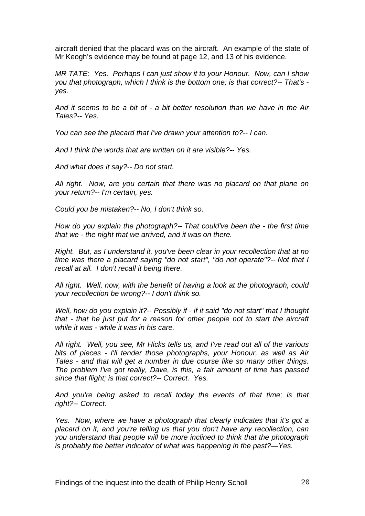aircraft denied that the placard was on the aircraft. An example of the state of Mr Keogh's evidence may be found at page 12, and 13 of his evidence.

*MR TATE: Yes. Perhaps I can just show it to your Honour. Now, can I show you that photograph, which I think is the bottom one; is that correct?-- That's yes.* 

*And it seems to be a bit of - a bit better resolution than we have in the Air Tales?-- Yes.* 

*You can see the placard that I've drawn your attention to?-- I can.* 

*And I think the words that are written on it are visible?-- Yes.* 

*And what does it say?-- Do not start.* 

*All right. Now, are you certain that there was no placard on that plane on your return?-- I'm certain, yes.* 

*Could you be mistaken?-- No, I don't think so.* 

*How do you explain the photograph?-- That could've been the - the first time that we - the night that we arrived, and it was on there.* 

*Right. But, as I understand it, you've been clear in your recollection that at no time was there a placard saying "do not start", "do not operate"?-- Not that I recall at all. I don't recall it being there.* 

*All right. Well, now, with the benefit of having a look at the photograph, could your recollection be wrong?-- I don't think so.* 

*Well, how do you explain it?-- Possibly if - if it said "do not start" that I thought that - that he just put for a reason for other people not to start the aircraft while it was - while it was in his care.* 

*All right. Well, you see, Mr Hicks tells us, and I've read out all of the various bits of pieces - I'll tender those photographs, your Honour, as well as Air Tales - and that will get a number in due course like so many other things. The problem I've got really, Dave, is this, a fair amount of time has passed since that flight; is that correct?-- Correct. Yes.* 

*And you're being asked to recall today the events of that time; is that right?-- Correct.* 

*Yes. Now, where we have a photograph that clearly indicates that it's got a placard on it, and you're telling us that you don't have any recollection, can you understand that people will be more inclined to think that the photograph is probably the better indicator of what was happening in the past?—Yes.*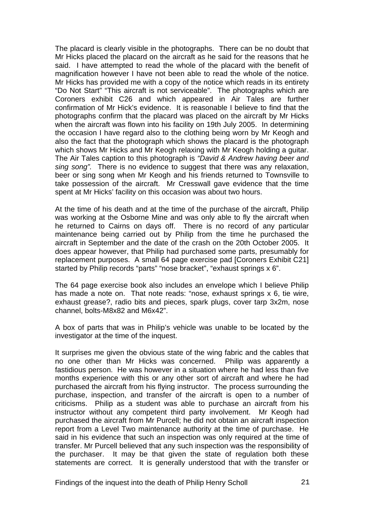The placard is clearly visible in the photographs. There can be no doubt that Mr Hicks placed the placard on the aircraft as he said for the reasons that he said. I have attempted to read the whole of the placard with the benefit of magnification however I have not been able to read the whole of the notice. Mr Hicks has provided me with a copy of the notice which reads in its entirety "Do Not Start" "This aircraft is not serviceable". The photographs which are Coroners exhibit C26 and which appeared in Air Tales are further confirmation of Mr Hick's evidence. It is reasonable I believe to find that the photographs confirm that the placard was placed on the aircraft by Mr Hicks when the aircraft was flown into his facility on 19th July 2005. In determining the occasion I have regard also to the clothing being worn by Mr Keogh and also the fact that the photograph which shows the placard is the photograph which shows Mr Hicks and Mr Keogh relaxing with Mr Keogh holding a guitar. The Air Tales caption to this photograph is *"David & Andrew having beer and sing song".* There is no evidence to suggest that there was any relaxation, beer or sing song when Mr Keogh and his friends returned to Townsville to take possession of the aircraft. Mr Cresswall gave evidence that the time spent at Mr Hicks' facility on this occasion was about two hours.

At the time of his death and at the time of the purchase of the aircraft, Philip was working at the Osborne Mine and was only able to fly the aircraft when he returned to Cairns on days off. There is no record of any particular maintenance being carried out by Philip from the time he purchased the aircraft in September and the date of the crash on the 20th October 2005. It does appear however, that Philip had purchased some parts, presumably for replacement purposes. A small 64 page exercise pad [Coroners Exhibit C21] started by Philip records "parts" "nose bracket", "exhaust springs x 6".

The 64 page exercise book also includes an envelope which I believe Philip has made a note on. That note reads: "nose, exhaust springs x 6, tie wire, exhaust grease?, radio bits and pieces, spark plugs, cover tarp 3x2m, nose channel, bolts-M8x82 and M6x42".

A box of parts that was in Philip's vehicle was unable to be located by the investigator at the time of the inquest.

It surprises me given the obvious state of the wing fabric and the cables that no one other than Mr Hicks was concerned. Philip was apparently a fastidious person. He was however in a situation where he had less than five months experience with this or any other sort of aircraft and where he had purchased the aircraft from his flying instructor. The process surrounding the purchase, inspection, and transfer of the aircraft is open to a number of criticisms. Philip as a student was able to purchase an aircraft from his instructor without any competent third party involvement. Mr Keogh had purchased the aircraft from Mr Purcell; he did not obtain an aircraft inspection report from a Level Two maintenance authority at the time of purchase. He said in his evidence that such an inspection was only required at the time of transfer. Mr Purcell believed that any such inspection was the responsibility of the purchaser. It may be that given the state of regulation both these statements are correct. It is generally understood that with the transfer or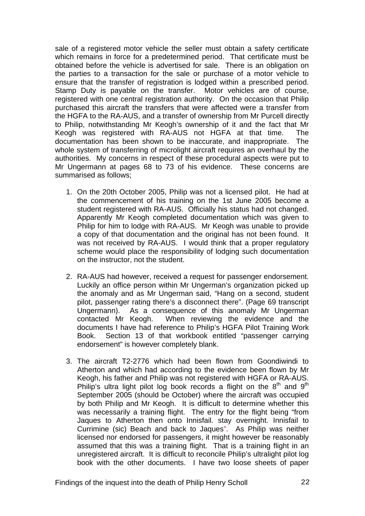sale of a registered motor vehicle the seller must obtain a safety certificate which remains in force for a predetermined period. That certificate must be obtained before the vehicle is advertised for sale. There is an obligation on the parties to a transaction for the sale or purchase of a motor vehicle to ensure that the transfer of registration is lodged within a prescribed period. Stamp Duty is payable on the transfer. Motor vehicles are of course, registered with one central registration authority. On the occasion that Philip purchased this aircraft the transfers that were affected were a transfer from the HGFA to the RA-AUS, and a transfer of ownership from Mr Purcell directly to Philip, notwithstanding Mr Keogh's ownership of it and the fact that Mr Keogh was registered with RA-AUS not HGFA at that time. The documentation has been shown to be inaccurate, and inappropriate. The whole system of transferring of microlight aircraft requires an overhaul by the authorities. My concerns in respect of these procedural aspects were put to Mr Ungermann at pages 68 to 73 of his evidence. These concerns are summarised as follows;

- 1. On the 20th October 2005, Philip was not a licensed pilot. He had at the commencement of his training on the 1st June 2005 become a student registered with RA-AUS. Officially his status had not changed. Apparently Mr Keogh completed documentation which was given to Philip for him to lodge with RA-AUS. Mr Keogh was unable to provide a copy of that documentation and the original has not been found. It was not received by RA-AUS. I would think that a proper regulatory scheme would place the responsibility of lodging such documentation on the instructor, not the student.
- 2. RA-AUS had however, received a request for passenger endorsement. Luckily an office person within Mr Ungerman's organization picked up the anomaly and as Mr Ungerman said, "Hang on a second, student pilot, passenger rating there's a disconnect there". (Page 69 transcript Ungermann). As a consequence of this anomaly Mr Ungerman contacted Mr Keogh. When reviewing the evidence and the documents I have had reference to Philip's HGFA Pilot Training Work Book. Section 13 of that workbook entitled "passenger carrying endorsement" is however completely blank.
- 3. The aircraft T2-2776 which had been flown from Goondiwindi to Atherton and which had according to the evidence been flown by Mr Keogh, his father and Philip was not registered with HGFA or RA-AUS. Philip's ultra light pilot log book records a flight on the  $8<sup>th</sup>$  and  $9<sup>th</sup>$ September 2005 (should be October) where the aircraft was occupied by both Philip and Mr Keogh. It is difficult to determine whether this was necessarily a training flight. The entry for the flight being "from Jaques to Atherton then onto Innisfail. stay overnight. Innisfail to Currimine (sic) Beach and back to Jaques". As Philip was neither licensed nor endorsed for passengers, it might however be reasonably assumed that this was a training flight. That is a training flight in an unregistered aircraft. It is difficult to reconcile Philip's ultralight pilot log book with the other documents. I have two loose sheets of paper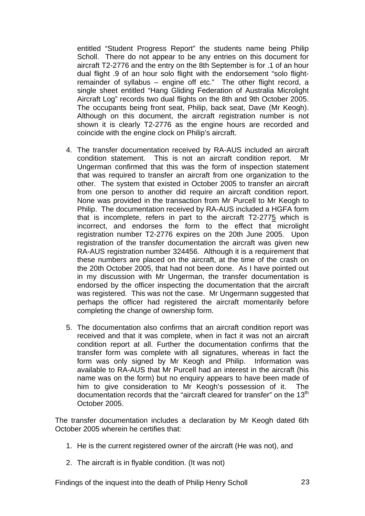entitled "Student Progress Report" the students name being Philip Scholl. There do not appear to be any entries on this document for aircraft T2-2776 and the entry on the 8th September is for .1 of an hour dual flight .9 of an hour solo flight with the endorsement "solo flightremainder of syllabus – engine off etc." The other flight record, a single sheet entitled "Hang Gliding Federation of Australia Microlight Aircraft Log" records two dual flights on the 8th and 9th October 2005. The occupants being front seat, Philip, back seat, Dave (Mr Keogh). Although on this document, the aircraft registration number is not shown it is clearly T2-2776 as the engine hours are recorded and coincide with the engine clock on Philip's aircraft.

- 4. The transfer documentation received by RA-AUS included an aircraft condition statement. This is not an aircraft condition report. Mr Ungerman confirmed that this was the form of inspection statement that was required to transfer an aircraft from one organization to the other. The system that existed in October 2005 to transfer an aircraft from one person to another did require an aircraft condition report. None was provided in the transaction from Mr Purcell to Mr Keogh to Philip. The documentation received by RA-AUS included a HGFA form that is incomplete, refers in part to the aircraft T2-2775 which is incorrect, and endorses the form to the effect that microlight registration number T2-2776 expires on the 20th June 2005. Upon registration of the transfer documentation the aircraft was given new RA-AUS registration number 324456. Although it is a requirement that these numbers are placed on the aircraft, at the time of the crash on the 20th October 2005, that had not been done. As I have pointed out in my discussion with Mr Ungerman, the transfer documentation is endorsed by the officer inspecting the documentation that the aircraft was registered. This was not the case. Mr Ungermann suggested that perhaps the officer had registered the aircraft momentarily before completing the change of ownership form.
- 5. The documentation also confirms that an aircraft condition report was received and that it was complete, when in fact it was not an aircraft condition report at all. Further the documentation confirms that the transfer form was complete with all signatures, whereas in fact the form was only signed by Mr Keogh and Philip. Information was available to RA-AUS that Mr Purcell had an interest in the aircraft (his name was on the form) but no enquiry appears to have been made of him to give consideration to Mr Keogh's possession of it. The documentation records that the "aircraft cleared for transfer" on the 13<sup>th</sup> October 2005.

The transfer documentation includes a declaration by Mr Keogh dated 6th October 2005 wherein he certifies that:

- 1. He is the current registered owner of the aircraft (He was not), and
- 2. The aircraft is in flyable condition. (It was not)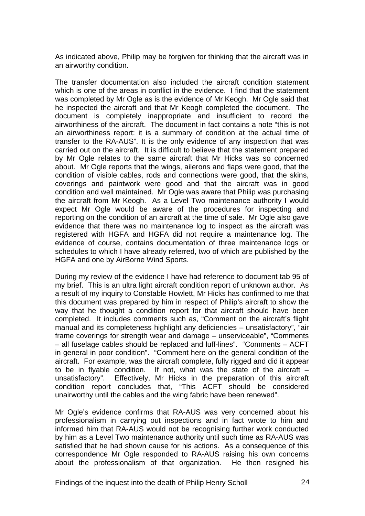As indicated above, Philip may be forgiven for thinking that the aircraft was in an airworthy condition.

The transfer documentation also included the aircraft condition statement which is one of the areas in conflict in the evidence. I find that the statement was completed by Mr Ogle as is the evidence of Mr Keogh. Mr Ogle said that he inspected the aircraft and that Mr Keogh completed the document. The document is completely inappropriate and insufficient to record the airworthiness of the aircraft. The document in fact contains a note "this is not an airworthiness report: it is a summary of condition at the actual time of transfer to the RA-AUS". It is the only evidence of any inspection that was carried out on the aircraft. It is difficult to believe that the statement prepared by Mr Ogle relates to the same aircraft that Mr Hicks was so concerned about. Mr Ogle reports that the wings, ailerons and flaps were good, that the condition of visible cables, rods and connections were good, that the skins, coverings and paintwork were good and that the aircraft was in good condition and well maintained. Mr Ogle was aware that Philip was purchasing the aircraft from Mr Keogh. As a Level Two maintenance authority I would expect Mr Ogle would be aware of the procedures for inspecting and reporting on the condition of an aircraft at the time of sale. Mr Ogle also gave evidence that there was no maintenance log to inspect as the aircraft was registered with HGFA and HGFA did not require a maintenance log. The evidence of course, contains documentation of three maintenance logs or schedules to which I have already referred, two of which are published by the HGFA and one by AirBorne Wind Sports.

During my review of the evidence I have had reference to document tab 95 of my brief. This is an ultra light aircraft condition report of unknown author. As a result of my inquiry to Constable Howlett, Mr Hicks has confirmed to me that this document was prepared by him in respect of Philip's aircraft to show the way that he thought a condition report for that aircraft should have been completed. It includes comments such as, "Comment on the aircraft's flight manual and its completeness highlight any deficiencies – unsatisfactory", "air frame coverings for strength wear and damage – unserviceable", "Comments – all fuselage cables should be replaced and luff-lines". "Comments – ACFT in general in poor condition". "Comment here on the general condition of the aircraft. For example, was the aircraft complete, fully rigged and did it appear to be in flyable condition. If not, what was the state of the aircraft – unsatisfactory". Effectively, Mr Hicks in the preparation of this aircraft condition report concludes that, "This ACFT should be considered unairworthy until the cables and the wing fabric have been renewed".

Mr Ogle's evidence confirms that RA-AUS was very concerned about his professionalism in carrying out inspections and in fact wrote to him and informed him that RA-AUS would not be recognising further work conducted by him as a Level Two maintenance authority until such time as RA-AUS was satisfied that he had shown cause for his actions. As a consequence of this correspondence Mr Ogle responded to RA-AUS raising his own concerns about the professionalism of that organization. He then resigned his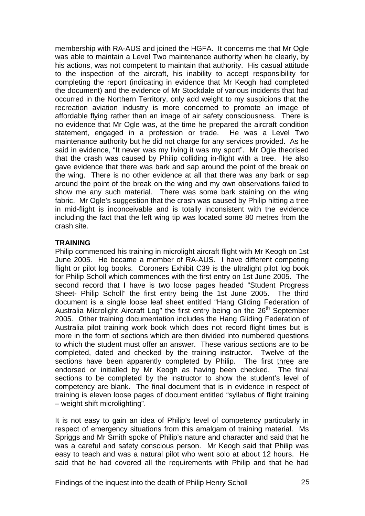membership with RA-AUS and joined the HGFA. It concerns me that Mr Ogle was able to maintain a Level Two maintenance authority when he clearly, by his actions, was not competent to maintain that authority. His casual attitude to the inspection of the aircraft, his inability to accept responsibility for completing the report (indicating in evidence that Mr Keogh had completed the document) and the evidence of Mr Stockdale of various incidents that had occurred in the Northern Territory, only add weight to my suspicions that the recreation aviation industry is more concerned to promote an image of affordable flying rather than an image of air safety consciousness. There is no evidence that Mr Ogle was, at the time he prepared the aircraft condition statement, engaged in a profession or trade. He was a Level Two maintenance authority but he did not charge for any services provided. As he said in evidence, "It never was my living it was my sport". Mr Ogle theorised that the crash was caused by Philip colliding in-flight with a tree. He also gave evidence that there was bark and sap around the point of the break on the wing. There is no other evidence at all that there was any bark or sap around the point of the break on the wing and my own observations failed to show me any such material. There was some bark staining on the wing fabric. Mr Ogle's suggestion that the crash was caused by Philip hitting a tree in mid-flight is inconceivable and is totally inconsistent with the evidence including the fact that the left wing tip was located some 80 metres from the crash site.

#### **TRAINING**

Philip commenced his training in microlight aircraft flight with Mr Keogh on 1st June 2005. He became a member of RA-AUS. I have different competing flight or pilot log books. Coroners Exhibit C39 is the ultralight pilot log book for Philip Scholl which commences with the first entry on 1st June 2005. The second record that I have is two loose pages headed "Student Progress Sheet- Philip Scholl" the first entry being the 1st June 2005. The third document is a single loose leaf sheet entitled "Hang Gliding Federation of Australia Microlight Aircraft Log" the first entry being on the 26<sup>th</sup> September 2005. Other training documentation includes the Hang Gliding Federation of Australia pilot training work book which does not record flight times but is more in the form of sections which are then divided into numbered questions to which the student must offer an answer. These various sections are to be completed, dated and checked by the training instructor. Twelve of the sections have been apparently completed by Philip. The first three are endorsed or initialled by Mr Keogh as having been checked. The final sections to be completed by the instructor to show the student's level of competency are blank. The final document that is in evidence in respect of training is eleven loose pages of document entitled "syllabus of flight training – weight shift microlighting".

It is not easy to gain an idea of Philip's level of competency particularly in respect of emergency situations from this amalgam of training material. Ms Spriggs and Mr Smith spoke of Philip's nature and character and said that he was a careful and safety conscious person. Mr Keogh said that Philip was easy to teach and was a natural pilot who went solo at about 12 hours. He said that he had covered all the requirements with Philip and that he had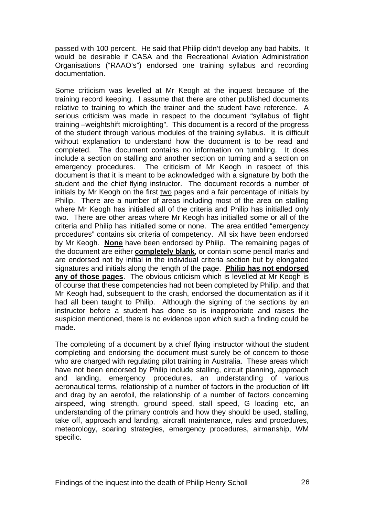passed with 100 percent. He said that Philip didn't develop any bad habits. It would be desirable if CASA and the Recreational Aviation Administration Organisations ("RAAO's") endorsed one training syllabus and recording documentation.

Some criticism was levelled at Mr Keogh at the inquest because of the training record keeping. I assume that there are other published documents relative to training to which the trainer and the student have reference. A serious criticism was made in respect to the document "syllabus of flight training –weightshift microlighting". This document is a record of the progress of the student through various modules of the training syllabus. It is difficult without explanation to understand how the document is to be read and completed. The document contains no information on tumbling. It does include a section on stalling and another section on turning and a section on emergency procedures. The criticism of Mr Keogh in respect of this document is that it is meant to be acknowledged with a signature by both the student and the chief flying instructor. The document records a number of initials by Mr Keogh on the first two pages and a fair percentage of initials by Philip. There are a number of areas including most of the area on stalling where Mr Keogh has initialled all of the criteria and Philip has initialled only two. There are other areas where Mr Keogh has initialled some or all of the criteria and Philip has initialled some or none. The area entitled "emergency procedures" contains six criteria of competency. All six have been endorsed by Mr Keogh. **None** have been endorsed by Philip. The remaining pages of the document are either **completely blank**, or contain some pencil marks and are endorsed not by initial in the individual criteria section but by elongated signatures and initials along the length of the page. **Philip has not endorsed any of those pages**. The obvious criticism which is levelled at Mr Keogh is of course that these competencies had not been completed by Philip, and that Mr Keogh had, subsequent to the crash, endorsed the documentation as if it had all been taught to Philip. Although the signing of the sections by an instructor before a student has done so is inappropriate and raises the suspicion mentioned, there is no evidence upon which such a finding could be made.

The completing of a document by a chief flying instructor without the student completing and endorsing the document must surely be of concern to those who are charged with regulating pilot training in Australia. These areas which have not been endorsed by Philip include stalling, circuit planning, approach and landing, emergency procedures, an understanding of various aeronautical terms, relationship of a number of factors in the production of lift and drag by an aerofoil, the relationship of a number of factors concerning airspeed, wing strength, ground speed, stall speed, G loading etc, an understanding of the primary controls and how they should be used, stalling, take off, approach and landing, aircraft maintenance, rules and procedures, meteorology, soaring strategies, emergency procedures, airmanship, WM specific.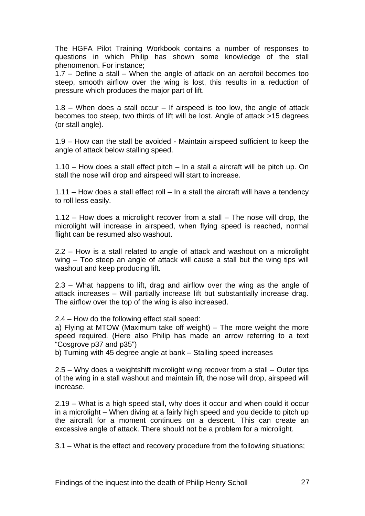The HGFA Pilot Training Workbook contains a number of responses to questions in which Philip has shown some knowledge of the stall phenomenon. For instance;

1.7 – Define a stall – When the angle of attack on an aerofoil becomes too steep, smooth airflow over the wing is lost, this results in a reduction of pressure which produces the major part of lift.

 $1.8$  – When does a stall occur – If airspeed is too low, the angle of attack becomes too steep, two thirds of lift will be lost. Angle of attack >15 degrees (or stall angle).

1.9 – How can the stall be avoided - Maintain airspeed sufficient to keep the angle of attack below stalling speed.

1.10 – How does a stall effect pitch – In a stall a aircraft will be pitch up. On stall the nose will drop and airspeed will start to increase.

1.11 – How does a stall effect roll – In a stall the aircraft will have a tendency to roll less easily.

1.12 – How does a microlight recover from a stall – The nose will drop, the microlight will increase in airspeed, when flying speed is reached, normal flight can be resumed also washout.

2.2 – How is a stall related to angle of attack and washout on a microlight wing – Too steep an angle of attack will cause a stall but the wing tips will washout and keep producing lift.

2.3 – What happens to lift, drag and airflow over the wing as the angle of attack increases – Will partially increase lift but substantially increase drag. The airflow over the top of the wing is also increased.

2.4 – How do the following effect stall speed:

a) Flying at MTOW (Maximum take off weight) – The more weight the more speed required. (Here also Philip has made an arrow referring to a text "Cosgrove p37 and p35")

b) Turning with 45 degree angle at bank – Stalling speed increases

2.5 – Why does a weightshift microlight wing recover from a stall – Outer tips of the wing in a stall washout and maintain lift, the nose will drop, airspeed will increase.

2.19 – What is a high speed stall, why does it occur and when could it occur in a microlight – When diving at a fairly high speed and you decide to pitch up the aircraft for a moment continues on a descent. This can create an excessive angle of attack. There should not be a problem for a microlight.

3.1 – What is the effect and recovery procedure from the following situations;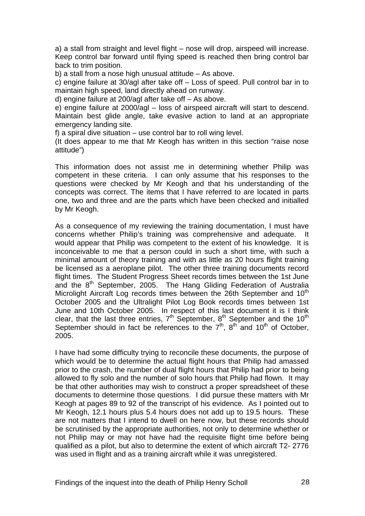a) a stall from straight and level flight – nose will drop, airspeed will increase. Keep control bar forward until flying speed is reached then bring control bar back to trim position.

b) a stall from a nose high unusual attitude – As above.

c) engine failure at 30/agl after take off – Loss of speed. Pull control bar in to maintain high speed, land directly ahead on runway.

d) engine failure at 200/agl after take off – As above.

e) engine failure at 2000/agl – loss of airspeed aircraft will start to descend. Maintain best glide angle, take evasive action to land at an appropriate emergency landing site.

f) a spiral dive situation – use control bar to roll wing level.

(It does appear to me that Mr Keogh has written in this section "raise nose attitude")

This information does not assist me in determining whether Philip was competent in these criteria. I can only assume that his responses to the questions were checked by Mr Keogh and that his understanding of the concepts was correct. The items that I have referred to are located in parts one, two and three and are the parts which have been checked and initialled by Mr Keogh.

As a consequence of my reviewing the training documentation, I must have concerns whether Philip's training was comprehensive and adequate. It would appear that Philip was competent to the extent of his knowledge. It is inconceivable to me that a person could in such a short time, with such a minimal amount of theory training and with as little as 20 hours flight training be licensed as a aeroplane pilot. The other three training documents record flight times. The Student Progress Sheet records times between the 1st June and the 8<sup>th</sup> September, 2005. The Hang Gliding Federation of Australia Microlight Aircraft Log records times between the 26th September and  $10<sup>th</sup>$ October 2005 and the Ultralight Pilot Log Book records times between 1st June and 10th October 2005. In respect of this last document it is I think clear, that the last three entries,  $7<sup>th</sup>$  September,  $8<sup>th</sup>$  September and the 10<sup>th</sup> September should in fact be references to the  $7<sup>th</sup>$ ,  $8<sup>th</sup>$  and  $10<sup>th</sup>$  of October, 2005.

I have had some difficulty trying to reconcile these documents, the purpose of which would be to determine the actual flight hours that Philip had amassed prior to the crash, the number of dual flight hours that Philip had prior to being allowed to fly solo and the number of solo hours that Philip had flown. It may be that other authorities may wish to construct a proper spreadsheet of these documents to determine those questions. I did pursue these matters with Mr Keogh at pages 89 to 92 of the transcript of his evidence. As I pointed out to Mr Keogh, 12.1 hours plus 5.4 hours does not add up to 19.5 hours. These are not matters that I intend to dwell on here now, but these records should be scrutinised by the appropriate authorities, not only to determine whether or not Philip may or may not have had the requisite flight time before being qualified as a pilot, but also to determine the extent of which aircraft T2- 2776 was used in flight and as a training aircraft while it was unregistered.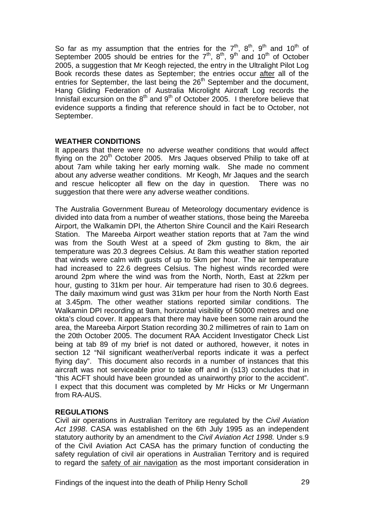So far as my assumption that the entries for the  $7<sup>th</sup>$ ,  $8<sup>th</sup>$ ,  $9<sup>th</sup>$  and  $10<sup>th</sup>$  of September 2005 should be entries for the  $7<sup>th</sup>$ ,  $8<sup>th</sup>$ ,  $9<sup>th</sup>$  and  $10<sup>th</sup>$  of October 2005, a suggestion that Mr Keogh rejected, the entry in the Ultralight Pilot Log Book records these dates as September; the entries occur after all of the entries for September, the last being the  $26<sup>th</sup>$  September and the document, Hang Gliding Federation of Australia Microlight Aircraft Log records the Innisfail excursion on the  $8<sup>th</sup>$  and  $9<sup>th</sup>$  of October 2005. I therefore believe that evidence supports a finding that reference should in fact be to October, not September.

# **WEATHER CONDITIONS**

It appears that there were no adverse weather conditions that would affect flying on the  $20<sup>th</sup>$  October 2005. Mrs Jaques observed Philip to take off at about 7am while taking her early morning walk. She made no comment about any adverse weather conditions. Mr Keogh, Mr Jaques and the search and rescue helicopter all flew on the day in question. There was no suggestion that there were any adverse weather conditions.

The Australia Government Bureau of Meteorology documentary evidence is divided into data from a number of weather stations, those being the Mareeba Airport, the Walkamin DPI, the Atherton Shire Council and the Kairi Research Station. The Mareeba Airport weather station reports that at 7am the wind was from the South West at a speed of 2km gusting to 8km, the air temperature was 20.3 degrees Celsius. At 8am this weather station reported that winds were calm with gusts of up to 5km per hour. The air temperature had increased to 22.6 degrees Celsius. The highest winds recorded were around 2pm where the wind was from the North, North, East at 22km per hour, gusting to 31km per hour. Air temperature had risen to 30.6 degrees. The daily maximum wind gust was 31km per hour from the North North East at 3.45pm. The other weather stations reported similar conditions. The Walkamin DPI recording at 9am, horizontal visibility of 50000 metres and one okta's cloud cover. It appears that there may have been some rain around the area, the Mareeba Airport Station recording 30.2 millimetres of rain to 1am on the 20th October 2005. The document RAA Accident Investigator Check List being at tab 89 of my brief is not dated or authored, however, it notes in section 12 "Nil significant weather/verbal reports indicate it was a perfect flying day". This document also records in a number of instances that this aircraft was not serviceable prior to take off and in (s13) concludes that in "this ACFT should have been grounded as unairworthy prior to the accident". I expect that this document was completed by Mr Hicks or Mr Ungermann from RA-AUS.

# **REGULATIONS**

Civil air operations in Australian Territory are regulated by the *Civil Aviation Act 1998*. CASA was established on the 6th July 1995 as an independent statutory authority by an amendment to the *Civil Aviation Act 1998.* Under s.9 of the Civil Aviation Act CASA has the primary function of conducting the safety regulation of civil air operations in Australian Territory and is required to regard the safety of air navigation as the most important consideration in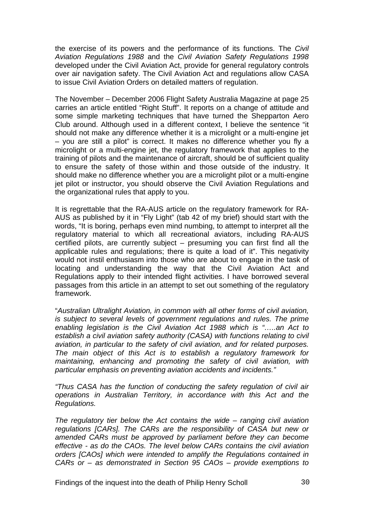the exercise of its powers and the performance of its functions. The *Civil Aviation Regulations 1988* and the *Civil Aviation Safety Regulations 1998* developed under the Civil Aviation Act, provide for general regulatory controls over air navigation safety. The Civil Aviation Act and regulations allow CASA to issue Civil Aviation Orders on detailed matters of regulation.

The November – December 2006 Flight Safety Australia Magazine at page 25 carries an article entitled "Right Stuff". It reports on a change of attitude and some simple marketing techniques that have turned the Shepparton Aero Club around. Although used in a different context, I believe the sentence "it should not make any difference whether it is a microlight or a multi-engine jet – you are still a pilot" is correct. It makes no difference whether you fly a microlight or a multi-engine jet, the regulatory framework that applies to the training of pilots and the maintenance of aircraft, should be of sufficient quality to ensure the safety of those within and those outside of the industry. It should make no difference whether you are a microlight pilot or a multi-engine jet pilot or instructor, you should observe the Civil Aviation Regulations and the organizational rules that apply to you.

It is regrettable that the RA-AUS article on the regulatory framework for RA-AUS as published by it in "Fly Light" (tab 42 of my brief) should start with the words, "It is boring, perhaps even mind numbing, to attempt to interpret all the regulatory material to which all recreational aviators, including RA-AUS certified pilots, are currently subject – presuming you can first find all the applicable rules and regulations; there is quite a load of it". This negativity would not instil enthusiasm into those who are about to engage in the task of locating and understanding the way that the Civil Aviation Act and Regulations apply to their intended flight activities. I have borrowed several passages from this article in an attempt to set out something of the regulatory framework.

"*Australian Ultralight Aviation, in common with all other forms of civil aviation, is subject to several levels of government regulations and rules. The prime enabling legislation is the Civil Aviation Act 1988 which is "…..an Act to establish a civil aviation safety authority (CASA) with functions relating to civil aviation, in particular to the safety of civil aviation, and for related purposes. The main object of this Act is to establish a regulatory framework for maintaining, enhancing and promoting the safety of civil aviation, with particular emphasis on preventing aviation accidents and incidents."* 

*"Thus CASA has the function of conducting the safety regulation of civil air operations in Australian Territory, in accordance with this Act and the Regulations.* 

*The regulatory tier below the Act contains the wide – ranging civil aviation regulations [CARs]. The CARs are the responsibility of CASA but new or amended CARs must be approved by parliament before they can become effective - as do the CAOs. The level below CARs contains the civil aviation orders [CAOs] which were intended to amplify the Regulations contained in CARs or – as demonstrated in Section 95 CAOs – provide exemptions to*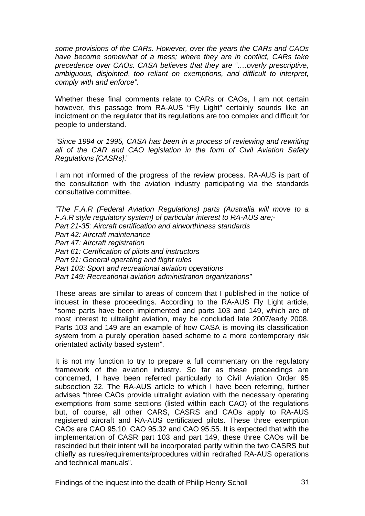*some provisions of the CARs. However, over the years the CARs and CAOs have become somewhat of a mess; where they are in conflict, CARs take precedence over CAOs. CASA believes that they are "….overly prescriptive, ambiguous, disjointed*, *too reliant on exemptions, and difficult to interpret, comply with and enforce".*

Whether these final comments relate to CARs or CAOs, I am not certain however, this passage from RA-AUS "Fly Light" certainly sounds like an indictment on the regulator that its regulations are too complex and difficult for people to understand.

*"Since 1994 or 1995, CASA has been in a process of reviewing and rewriting all of the CAR and CAO legislation in the form of Civil Aviation Safety Regulations [CASRs]*."

I am not informed of the progress of the review process. RA-AUS is part of the consultation with the aviation industry participating via the standards consultative committee.

*"The F.A.R (Federal Aviation Regulations) parts (Australia will move to a F.A.R style regulatory system) of particular interest to RA-AUS are;- Part 21-35: Aircraft certification and airworthiness standards Part 42: Aircraft maintenance Part 47: Aircraft registration Part 61: Certification of pilots and instructors Part 91: General operating and flight rules Part 103: Sport and recreational aviation operations Part 149: Recreational aviation administration organizations"* 

These areas are similar to areas of concern that I published in the notice of inquest in these proceedings. According to the RA-AUS Fly Light article, "some parts have been implemented and parts 103 and 149, which are of most interest to ultralight aviation, may be concluded late 2007/early 2008. Parts 103 and 149 are an example of how CASA is moving its classification system from a purely operation based scheme to a more contemporary risk orientated activity based system".

It is not my function to try to prepare a full commentary on the regulatory framework of the aviation industry. So far as these proceedings are concerned, I have been referred particularly to Civil Aviation Order 95 subsection 32. The RA-AUS article to which I have been referring, further advises "three CAOs provide ultralight aviation with the necessary operating exemptions from some sections (listed within each CAO) of the regulations but, of course, all other CARS, CASRS and CAOs apply to RA-AUS registered aircraft and RA-AUS certificated pilots. These three exemption CAOs are CAO 95.10, CAO 95.32 and CAO 95.55. It is expected that with the implementation of CASR part 103 and part 149, these three CAOs will be rescinded but their intent will be incorporated partly within the two CASRS but chiefly as rules/requirements/procedures within redrafted RA-AUS operations and technical manuals".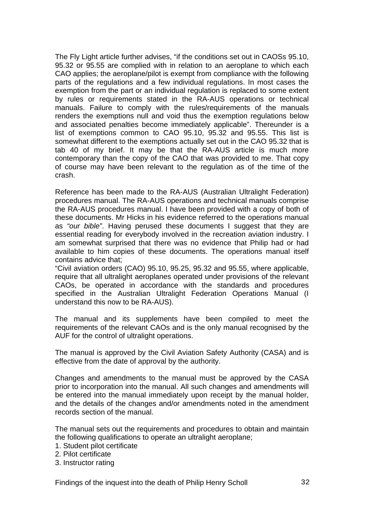The Fly Light article further advises, "if the conditions set out in CAOSs 95.10, 95.32 or 95.55 are complied with in relation to an aeroplane to which each CAO applies; the aeroplane/pilot is exempt from compliance with the following parts of the regulations and a few individual regulations. In most cases the exemption from the part or an individual regulation is replaced to some extent by rules or requirements stated in the RA-AUS operations or technical manuals. Failure to comply with the rules/requirements of the manuals renders the exemptions null and void thus the exemption regulations below and associated penalties become immediately applicable". Thereunder is a list of exemptions common to CAO 95.10, 95.32 and 95.55. This list is somewhat different to the exemptions actually set out in the CAO 95.32 that is tab 40 of my brief. It may be that the RA-AUS article is much more contemporary than the copy of the CAO that was provided to me. That copy of course may have been relevant to the regulation as of the time of the crash.

Reference has been made to the RA-AUS (Australian Ultralight Federation) procedures manual. The RA-AUS operations and technical manuals comprise the RA-AUS procedures manual. I have been provided with a copy of both of these documents. Mr Hicks in his evidence referred to the operations manual as *"our bible"*. Having perused these documents I suggest that they are essential reading for everybody involved in the recreation aviation industry. I am somewhat surprised that there was no evidence that Philip had or had available to him copies of these documents. The operations manual itself contains advice that;

"Civil aviation orders (CAO) 95.10, 95.25, 95.32 and 95.55, where applicable, require that all ultralight aeroplanes operated under provisions of the relevant CAOs, be operated in accordance with the standards and procedures specified in the Australian Ultralight Federation Operations Manual (I understand this now to be RA-AUS).

The manual and its supplements have been compiled to meet the requirements of the relevant CAOs and is the only manual recognised by the AUF for the control of ultralight operations.

The manual is approved by the Civil Aviation Safety Authority (CASA) and is effective from the date of approval by the authority.

Changes and amendments to the manual must be approved by the CASA prior to incorporation into the manual. All such changes and amendments will be entered into the manual immediately upon receipt by the manual holder, and the details of the changes and/or amendments noted in the amendment records section of the manual.

The manual sets out the requirements and procedures to obtain and maintain the following qualifications to operate an ultralight aeroplane;

- 1. Student pilot certificate
- 2. Pilot certificate
- 3. Instructor rating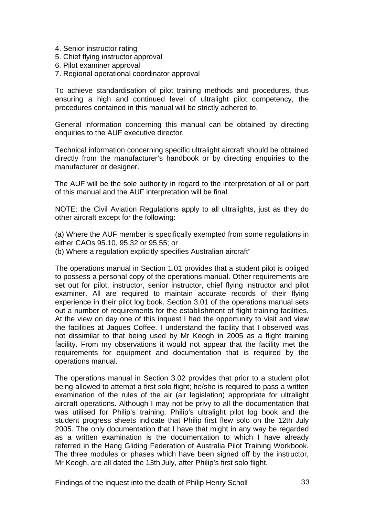- 4. Senior instructor rating
- 5. Chief flying instructor approval
- 6. Pilot examiner approval
- 7. Regional operational coordinator approval

To achieve standardisation of pilot training methods and procedures, thus ensuring a high and continued level of ultralight pilot competency, the procedures contained in this manual will be strictly adhered to.

General information concerning this manual can be obtained by directing enquiries to the AUF executive director.

Technical information concerning specific ultralight aircraft should be obtained directly from the manufacturer's handbook or by directing enquiries to the manufacturer or designer.

The AUF will be the sole authority in regard to the interpretation of all or part of this manual and the AUF interpretation will be final.

NOTE: the Civil Aviation Regulations apply to all ultralights, just as they do other aircraft except for the following:

(a) Where the AUF member is specifically exempted from some regulations in either CAOs 95.10, 95.32 or 95.55; or

(b) Where a regulation explicitly specifies Australian aircraft"

The operations manual in Section 1.01 provides that a student pilot is obliged to possess a personal copy of the operations manual. Other requirements are set out for pilot, instructor, senior instructor, chief flying instructor and pilot examiner. All are required to maintain accurate records of their flying experience in their pilot log book. Section 3.01 of the operations manual sets out a number of requirements for the establishment of flight training facilities. At the view on day one of this inquest I had the opportunity to visit and view the facilities at Jaques Coffee. I understand the facility that I observed was not dissimilar to that being used by Mr Keogh in 2005 as a flight training facility. From my observations it would not appear that the facility met the requirements for equipment and documentation that is required by the operations manual.

The operations manual in Section 3.02 provides that prior to a student pilot being allowed to attempt a first solo flight; he/she is required to pass a written examination of the rules of the air (air legislation) appropriate for ultralight aircraft operations. Although I may not be privy to all the documentation that was utilised for Philip's training, Philip's ultralight pilot log book and the student progress sheets indicate that Philip first flew solo on the 12th July 2005. The only documentation that I have that might in any way be regarded as a written examination is the documentation to which I have already referred in the Hang Gliding Federation of Australia Pilot Training Workbook. The three modules or phases which have been signed off by the instructor, Mr Keogh, are all dated the 13th July, after Philip's first solo flight.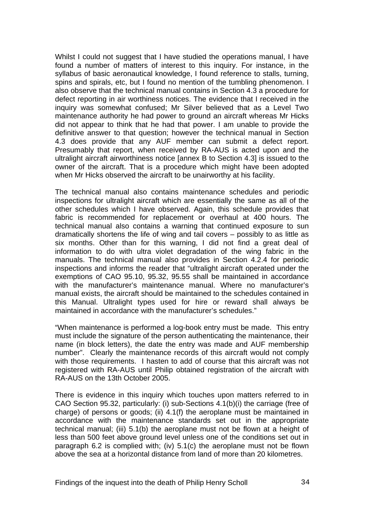Whilst I could not suggest that I have studied the operations manual, I have found a number of matters of interest to this inquiry. For instance, in the syllabus of basic aeronautical knowledge, I found reference to stalls, turning, spins and spirals, etc, but I found no mention of the tumbling phenomenon. I also observe that the technical manual contains in Section 4.3 a procedure for defect reporting in air worthiness notices. The evidence that I received in the inquiry was somewhat confused; Mr Silver believed that as a Level Two maintenance authority he had power to ground an aircraft whereas Mr Hicks did not appear to think that he had that power. I am unable to provide the definitive answer to that question; however the technical manual in Section 4.3 does provide that any AUF member can submit a defect report. Presumably that report, when received by RA-AUS is acted upon and the ultralight aircraft airworthiness notice [annex B to Section 4.3] is issued to the owner of the aircraft. That is a procedure which might have been adopted when Mr Hicks observed the aircraft to be unairworthy at his facility.

The technical manual also contains maintenance schedules and periodic inspections for ultralight aircraft which are essentially the same as all of the other schedules which I have observed. Again, this schedule provides that fabric is recommended for replacement or overhaul at 400 hours. The technical manual also contains a warning that continued exposure to sun dramatically shortens the life of wing and tail covers – possibly to as little as six months. Other than for this warning, I did not find a great deal of information to do with ultra violet degradation of the wing fabric in the manuals. The technical manual also provides in Section 4.2.4 for periodic inspections and informs the reader that "ultralight aircraft operated under the exemptions of CAO 95.10, 95.32, 95.55 shall be maintained in accordance with the manufacturer's maintenance manual. Where no manufacturer's manual exists, the aircraft should be maintained to the schedules contained in this Manual. Ultralight types used for hire or reward shall always be maintained in accordance with the manufacturer's schedules."

"When maintenance is performed a log-book entry must be made. This entry must include the signature of the person authenticating the maintenance, their name (in block letters), the date the entry was made and AUF membership number". Clearly the maintenance records of this aircraft would not comply with those requirements. I hasten to add of course that this aircraft was not registered with RA-AUS until Philip obtained registration of the aircraft with RA-AUS on the 13th October 2005.

There is evidence in this inquiry which touches upon matters referred to in CAO Section 95.32, particularly: (i) sub-Sections 4.1(b)(i) the carriage (free of charge) of persons or goods; (ii) 4.1(f) the aeroplane must be maintained in accordance with the maintenance standards set out in the appropriate technical manual; (iii) 5.1(b) the aeroplane must not be flown at a height of less than 500 feet above ground level unless one of the conditions set out in paragraph 6.2 is complied with; (iv) 5.1(c) the aeroplane must not be flown above the sea at a horizontal distance from land of more than 20 kilometres.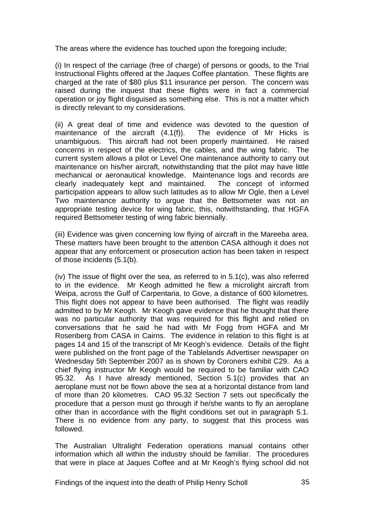The areas where the evidence has touched upon the foregoing include;

(i) In respect of the carriage (free of charge) of persons or goods, to the Trial Instructional Flights offered at the Jaques Coffee plantation. These flights are charged at the rate of \$80 plus \$11 insurance per person. The concern was raised during the inquest that these flights were in fact a commercial operation or joy flight disguised as something else. This is not a matter which is directly relevant to my considerations.

(ii) A great deal of time and evidence was devoted to the question of maintenance of the aircraft (4.1(f)). The evidence of Mr Hicks is unambiguous. This aircraft had not been properly maintained. He raised concerns in respect of the electrics, the cables, and the wing fabric. The current system allows a pilot or Level One maintenance authority to carry out maintenance on his/her aircraft, notwithstanding that the pilot may have little mechanical or aeronautical knowledge. Maintenance logs and records are clearly inadequately kept and maintained. The concept of informed participation appears to allow such latitudes as to allow Mr Ogle, then a Level Two maintenance authority to argue that the Bettsometer was not an appropriate testing device for wing fabric, this, notwithstanding, that HGFA required Bettsometer testing of wing fabric biennially.

(iii) Evidence was given concerning low flying of aircraft in the Mareeba area. These matters have been brought to the attention CASA although it does not appear that any enforcement or prosecution action has been taken in respect of those incidents (5.1(b).

(iv) The issue of flight over the sea, as referred to in 5.1(c), was also referred to in the evidence. Mr Keogh admitted he flew a microlight aircraft from Weipa, across the Gulf of Carpentaria, to Gove, a distance of 600 kilometres. This flight does not appear to have been authorised. The flight was readily admitted to by Mr Keogh. Mr Keogh gave evidence that he thought that there was no particular authority that was required for this flight and relied on conversations that he said he had with Mr Fogg from HGFA and Mr Rosenberg from CASA in Cairns. The evidence in relation to this flight is at pages 14 and 15 of the transcript of Mr Keogh's evidence. Details of the flight were published on the front page of the Tablelands Advertiser newspaper on Wednesday 5th September 2007 as is shown by Coroners exhibit C29. As a chief flying instructor Mr Keogh would be required to be familiar with CAO 95.32. As I have already mentioned, Section 5.1(c) provides that an aeroplane must not be flown above the sea at a horizontal distance from land of more than 20 kilometres. CAO 95.32 Section 7 sets out specifically the procedure that a person must go through if he/she wants to fly an aeroplane other than in accordance with the flight conditions set out in paragraph 5.1. There is no evidence from any party, to suggest that this process was followed.

The Australian Ultralight Federation operations manual contains other information which all within the industry should be familiar. The procedures that were in place at Jaques Coffee and at Mr Keogh's flying school did not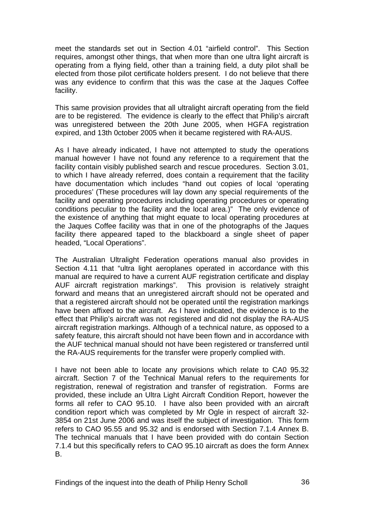meet the standards set out in Section 4.01 "airfield control". This Section requires, amongst other things, that when more than one ultra light aircraft is operating from a flying field, other than a training field, a duty pilot shall be elected from those pilot certificate holders present. I do not believe that there was any evidence to confirm that this was the case at the Jaques Coffee facility.

This same provision provides that all ultralight aircraft operating from the field are to be registered. The evidence is clearly to the effect that Philip's aircraft was unregistered between the 20th June 2005, when HGFA registration expired, and 13th 0ctober 2005 when it became registered with RA-AUS.

As I have already indicated, I have not attempted to study the operations manual however I have not found any reference to a requirement that the facility contain visibly published search and rescue procedures. Section 3.01, to which I have already referred, does contain a requirement that the facility have documentation which includes "hand out copies of local 'operating procedures' (These procedures will lay down any special requirements of the facility and operating procedures including operating procedures or operating conditions peculiar to the facility and the local area.)" The only evidence of the existence of anything that might equate to local operating procedures at the Jaques Coffee facility was that in one of the photographs of the Jaques facility there appeared taped to the blackboard a single sheet of paper headed, "Local Operations".

The Australian Ultralight Federation operations manual also provides in Section 4.11 that "ultra light aeroplanes operated in accordance with this manual are required to have a current AUF registration certificate and display AUF aircraft registration markings". This provision is relatively straight forward and means that an unregistered aircraft should not be operated and that a registered aircraft should not be operated until the registration markings have been affixed to the aircraft. As I have indicated, the evidence is to the effect that Philip's aircraft was not registered and did not display the RA-AUS aircraft registration markings. Although of a technical nature, as opposed to a safety feature, this aircraft should not have been flown and in accordance with the AUF technical manual should not have been registered or transferred until the RA-AUS requirements for the transfer were properly complied with.

I have not been able to locate any provisions which relate to CA0 95.32 aircraft. Section 7 of the Technical Manual refers to the requirements for registration, renewal of registration and transfer of registration. Forms are provided, these include an Ultra Light Aircraft Condition Report, however the forms all refer to CAO 95.10. I have also been provided with an aircraft condition report which was completed by Mr Ogle in respect of aircraft 32- 3854 on 21st June 2006 and was itself the subject of investigation. This form refers to CAO 95.55 and 95.32 and is endorsed with Section 7.1.4 Annex B. The technical manuals that I have been provided with do contain Section 7.1.4 but this specifically refers to CAO 95.10 aircraft as does the form Annex B.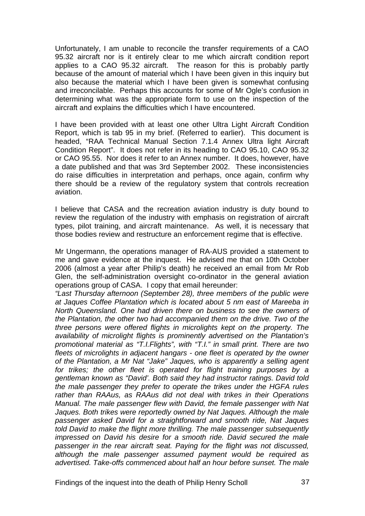Unfortunately, I am unable to reconcile the transfer requirements of a CAO 95.32 aircraft nor is it entirely clear to me which aircraft condition report applies to a CAO 95.32 aircraft. The reason for this is probably partly because of the amount of material which I have been given in this inquiry but also because the material which I have been given is somewhat confusing and irreconcilable. Perhaps this accounts for some of Mr Ogle's confusion in determining what was the appropriate form to use on the inspection of the aircraft and explains the difficulties which I have encountered.

I have been provided with at least one other Ultra Light Aircraft Condition Report, which is tab 95 in my brief. (Referred to earlier). This document is headed, "RAA Technical Manual Section 7.1.4 Annex Ultra light Aircraft Condition Report". It does not refer in its heading to CAO 95.10, CAO 95.32 or CAO 95.55. Nor does it refer to an Annex number. It does, however, have a date published and that was 3rd September 2002. These inconsistencies do raise difficulties in interpretation and perhaps, once again, confirm why there should be a review of the regulatory system that controls recreation aviation.

I believe that CASA and the recreation aviation industry is duty bound to review the regulation of the industry with emphasis on registration of aircraft types, pilot training, and aircraft maintenance. As well, it is necessary that those bodies review and restructure an enforcement regime that is effective.

Mr Ungermann, the operations manager of RA-AUS provided a statement to me and gave evidence at the inquest. He advised me that on 10th October 2006 (almost a year after Philip's death) he received an email from Mr Rob Glen, the self-administration oversight co-ordinator in the general aviation operations group of CASA. I copy that email hereunder:

*"Last Thursday afternoon (September 28), three members of the public were at Jaques Coffee Plantation which is located about 5 nm east of Mareeba in North Queensland. One had driven there on business to see the owners of the Plantation, the other two had accompanied them on the drive. Two of the three persons were offered flights in microlights kept on the property. The availability of microlight flights is prominently advertised on the Plantation's promotional material as "T.I.Flights", with "T.I." in small print. There are two fleets of microlights in adjacent hangars - one fleet is operated by the owner of the Plantation, a Mr Nat "Jake" Jaques, who is apparently a selling agent for trikes; the other fleet is operated for flight training purposes by a gentleman known as "David'. Both said they had instructor ratings. David told the male passenger they prefer to operate the trikes under the HGFA rules rather than RAAus, as RAAus did not deal with trikes in their Operations Manual. The male passenger flew with David, the female passenger with Nat Jaques. Both trikes were reportedly owned by Nat Jaques. Although the male passenger asked David for a straightforward and smooth ride, Nat Jaques told David to make the flight more thrilling. The male passenger subsequently impressed on David his desire for a smooth ride. David secured the male passenger in the rear aircraft seat. Paying for the flight was not discussed, although the male passenger assumed payment would be required as advertised. Take-offs commenced about half an hour before sunset. The male*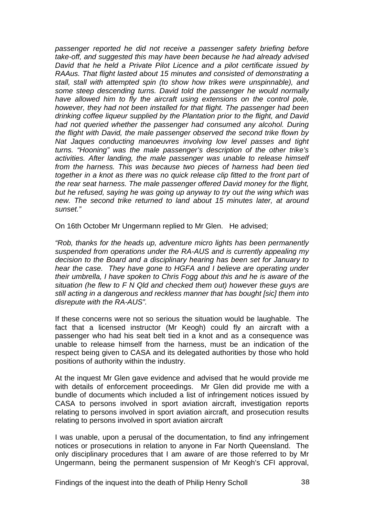*passenger reported he did not receive a passenger safety briefing before take-off, and suggested this may have been because he had already advised David that he held a Private Pilot Licence and a pilot certificate issued by RAAus. That flight lasted about 15 minutes and consisted of demonstrating a stall, stall with attempted spin (to show how trikes were unspinnable), and some steep descending turns. David told the passenger he would normally*  have allowed him to fly the aircraft using extensions on the control pole. *however, they had not been installed for that flight. The passenger had been drinking coffee liqueur supplied by the Plantation prior to the flight, and David*  had not queried whether the passenger had consumed any alcohol. During *the flight with David, the male passenger observed the second trike flown by Nat Jaques conducting manoeuvres involving low level passes and tight turns. "Hooning" was the male passenger's description of the other trike's activities. After landing, the male passenger was unable to release himself from the harness. This was because two pieces of harness had been tied together in a knot as there was no quick release clip fitted to the front part of the rear seat harness. The male passenger offered David money for the flight, but he refused, saying he was going up anyway to try out the wing which was new. The second trike returned to land about 15 minutes later, at around sunset."* 

On 16th October Mr Ungermann replied to Mr Glen. He advised;

*"Rob, thanks for the heads up, adventure micro lights has been permanently suspended from operations under the RA-AUS and is currently appealing my decision to the Board and a disciplinary hearing has been set for January to hear the case. They have gone to HGFA and I believe are operating under their umbrella, I have spoken to Chris Fogg about this and he is aware of the situation (he flew to F N Qld and checked them out) however these guys are still acting in a dangerous and reckless manner that has bought [sic] them into disrepute with the RA-AUS".* 

If these concerns were not so serious the situation would be laughable. The fact that a licensed instructor (Mr Keogh) could fly an aircraft with a passenger who had his seat belt tied in a knot and as a consequence was unable to release himself from the harness, must be an indication of the respect being given to CASA and its delegated authorities by those who hold positions of authority within the industry.

At the inquest Mr Glen gave evidence and advised that he would provide me with details of enforcement proceedings. Mr Glen did provide me with a bundle of documents which included a list of infringement notices issued by CASA to persons involved in sport aviation aircraft, investigation reports relating to persons involved in sport aviation aircraft, and prosecution results relating to persons involved in sport aviation aircraft

I was unable, upon a perusal of the documentation, to find any infringement notices or prosecutions in relation to anyone in Far North Queensland. The only disciplinary procedures that I am aware of are those referred to by Mr Ungermann, being the permanent suspension of Mr Keogh's CFI approval,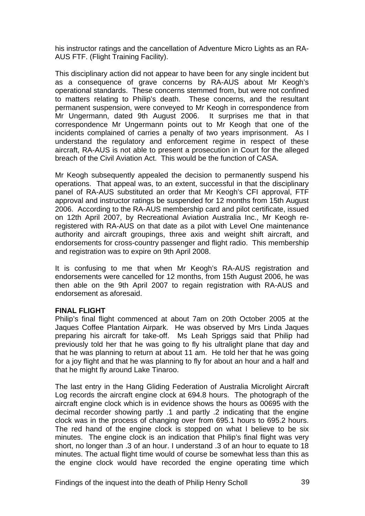his instructor ratings and the cancellation of Adventure Micro Lights as an RA-AUS FTF. (Flight Training Facility).

This disciplinary action did not appear to have been for any single incident but as a consequence of grave concerns by RA-AUS about Mr Keogh's operational standards. These concerns stemmed from, but were not confined to matters relating to Philip's death. These concerns, and the resultant permanent suspension, were conveyed to Mr Keogh in correspondence from Mr Ungermann, dated 9th August 2006. It surprises me that in that correspondence Mr Ungermann points out to Mr Keogh that one of the incidents complained of carries a penalty of two years imprisonment. As I understand the regulatory and enforcement regime in respect of these aircraft, RA-AUS is not able to present a prosecution in Court for the alleged breach of the Civil Aviation Act. This would be the function of CASA.

Mr Keogh subsequently appealed the decision to permanently suspend his operations. That appeal was, to an extent, successful in that the disciplinary panel of RA-AUS substituted an order that Mr Keogh's CFI approval, FTF approval and instructor ratings be suspended for 12 months from 15th August 2006. According to the RA-AUS membership card and pilot certificate, issued on 12th April 2007, by Recreational Aviation Australia Inc., Mr Keogh reregistered with RA-AUS on that date as a pilot with Level One maintenance authority and aircraft groupings, three axis and weight shift aircraft, and endorsements for cross-country passenger and flight radio. This membership and registration was to expire on 9th April 2008.

It is confusing to me that when Mr Keogh's RA-AUS registration and endorsements were cancelled for 12 months, from 15th August 2006, he was then able on the 9th April 2007 to regain registration with RA-AUS and endorsement as aforesaid.

# **FINAL FLIGHT**

Philip's final flight commenced at about 7am on 20th October 2005 at the Jaques Coffee Plantation Airpark. He was observed by Mrs Linda Jaques preparing his aircraft for take-off. Ms Leah Spriggs said that Philip had previously told her that he was going to fly his ultralight plane that day and that he was planning to return at about 11 am. He told her that he was going for a joy flight and that he was planning to fly for about an hour and a half and that he might fly around Lake Tinaroo.

The last entry in the Hang Gliding Federation of Australia Microlight Aircraft Log records the aircraft engine clock at 694.8 hours. The photograph of the aircraft engine clock which is in evidence shows the hours as 00695 with the decimal recorder showing partly .1 and partly .2 indicating that the engine clock was in the process of changing over from 695.1 hours to 695.2 hours. The red hand of the engine clock is stopped on what I believe to be six minutes. The engine clock is an indication that Philip's final flight was very short, no longer than .3 of an hour. I understand .3 of an hour to equate to 18 minutes. The actual flight time would of course be somewhat less than this as the engine clock would have recorded the engine operating time which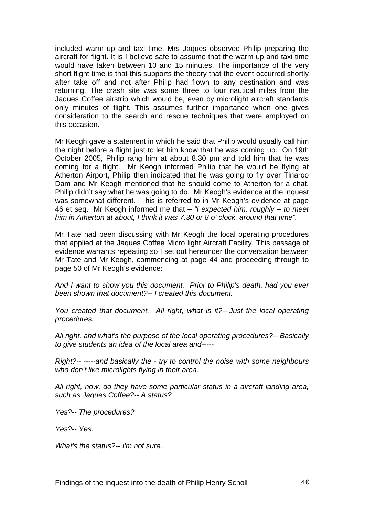included warm up and taxi time. Mrs Jaques observed Philip preparing the aircraft for flight. It is I believe safe to assume that the warm up and taxi time would have taken between 10 and 15 minutes. The importance of the very short flight time is that this supports the theory that the event occurred shortly after take off and not after Philip had flown to any destination and was returning. The crash site was some three to four nautical miles from the Jaques Coffee airstrip which would be, even by microlight aircraft standards only minutes of flight. This assumes further importance when one gives consideration to the search and rescue techniques that were employed on this occasion.

Mr Keogh gave a statement in which he said that Philip would usually call him the night before a flight just to let him know that he was coming up. On 19th October 2005, Philip rang him at about 8.30 pm and told him that he was coming for a flight. Mr Keogh informed Philip that he would be flying at Atherton Airport, Philip then indicated that he was going to fly over Tinaroo Dam and Mr Keogh mentioned that he should come to Atherton for a chat. Philip didn't say what he was going to do. Mr Keogh's evidence at the inquest was somewhat different. This is referred to in Mr Keogh's evidence at page 46 et seq. Mr Keogh informed me that – *"I expected him, roughly – to meet him in Atherton at about, I think it was 7.30 or 8 o' clock, around that time".* 

Mr Tate had been discussing with Mr Keogh the local operating procedures that applied at the Jaques Coffee Micro light Aircraft Facility. This passage of evidence warrants repeating so I set out hereunder the conversation between Mr Tate and Mr Keogh, commencing at page 44 and proceeding through to page 50 of Mr Keogh's evidence:

*And I want to show you this document. Prior to Philip's death, had you ever been shown that document?-- I created this document.* 

*You created that document. All right, what is it?-- Just the local operating procedures.* 

*All right, and what's the purpose of the local operating procedures?-- Basically to give students an idea of the local area and-----* 

*Right?-- -----and basically the - try to control the noise with some neighbours who don't like microlights flying in their area.* 

*All right, now, do they have some particular status in a aircraft landing area, such as Jaques Coffee?-- A status?* 

*Yes?-- The procedures?* 

*Yes?-- Yes.* 

*What's the status?-- I'm not sure.*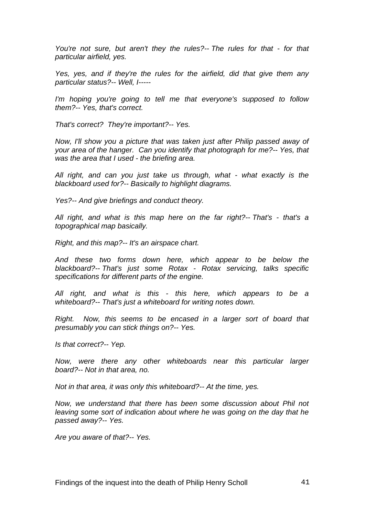*You're not sure, but aren't they the rules?-- The rules for that - for that particular airfield, yes.* 

*Yes, yes, and if they're the rules for the airfield, did that give them any particular status?-- Well, I-----* 

*I'm hoping you're going to tell me that everyone's supposed to follow them?-- Yes, that's correct.* 

*That's correct? They're important?-- Yes.* 

*Now, I'll show you a picture that was taken just after Philip passed away of your area of the hanger. Can you identify that photograph for me?-- Yes, that was the area that I used - the briefing area.* 

*All right, and can you just take us through, what - what exactly is the blackboard used for?-- Basically to highlight diagrams.* 

*Yes?-- And give briefings and conduct theory.* 

*All right, and what is this map here on the far right?-- That's - that's a topographical map basically.* 

*Right, and this map?-- It's an airspace chart.* 

*And these two forms down here, which appear to be below the blackboard?-- That's just some Rotax - Rotax servicing, talks specific specifications for different parts of the engine.* 

*All right, and what is this - this here, which appears to be a whiteboard?-- That's just a whiteboard for writing notes down.* 

*Right. Now, this seems to be encased in a larger sort of board that presumably you can stick things on?-- Yes.* 

*Is that correct?-- Yep.* 

*Now, were there any other whiteboards near this particular larger board?-- Not in that area, no.* 

*Not in that area, it was only this whiteboard?-- At the time, yes.* 

*Now, we understand that there has been some discussion about Phil not leaving some sort of indication about where he was going on the day that he passed away?-- Yes.* 

*Are you aware of that?-- Yes.*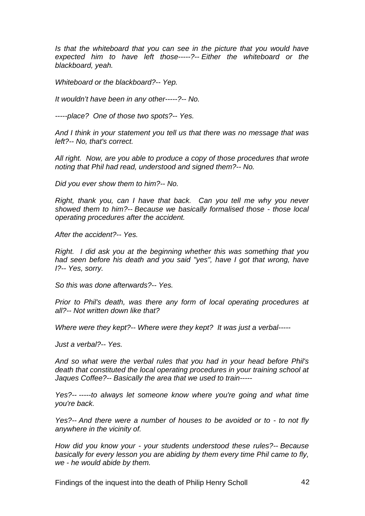*Is that the whiteboard that you can see in the picture that you would have expected him to have left those-----?-- Either the whiteboard or the blackboard, yeah.* 

*Whiteboard or the blackboard?-- Yep.* 

*It wouldn't have been in any other-----?-- No.* 

*-----place? One of those two spots?-- Yes.* 

*And I think in your statement you tell us that there was no message that was left?-- No, that's correct.* 

*All right. Now, are you able to produce a copy of those procedures that wrote noting that Phil had read, understood and signed them?-- No.* 

*Did you ever show them to him?-- No.* 

*Right, thank you, can I have that back. Can you tell me why you never showed them to him?-- Because we basically formalised those - those local operating procedures after the accident.* 

*After the accident?-- Yes.* 

*Right. I did ask you at the beginning whether this was something that you had seen before his death and you said "yes", have I got that wrong, have I?-- Yes, sorry.* 

*So this was done afterwards?-- Yes.* 

*Prior to Phil's death, was there any form of local operating procedures at all?-- Not written down like that?* 

*Where were they kept?-- Where were they kept? It was just a verbal-----* 

*Just a verbal?-- Yes.* 

*And so what were the verbal rules that you had in your head before Phil's death that constituted the local operating procedures in your training school at Jaques Coffee?-- Basically the area that we used to train-----* 

*Yes?-- -----to always let someone know where you're going and what time you're back.* 

*Yes?-- And there were a number of houses to be avoided or to - to not fly anywhere in the vicinity of.* 

*How did you know your - your students understood these rules?-- Because basically for every lesson you are abiding by them every time Phil came to fly, we - he would abide by them.* 

Findings of the inquest into the death of Philip Henry Scholl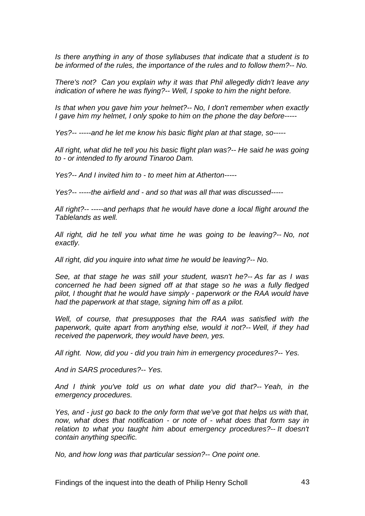*Is there anything in any of those syllabuses that indicate that a student is to be informed of the rules, the importance of the rules and to follow them?-- No.* 

*There's not? Can you explain why it was that Phil allegedly didn't leave any indication of where he was flying?-- Well, I spoke to him the night before.* 

*Is that when you gave him your helmet?-- No, I don't remember when exactly I gave him my helmet, I only spoke to him on the phone the day before-----* 

*Yes?-- -----and he let me know his basic flight plan at that stage, so-----* 

*All right, what did he tell you his basic flight plan was?-- He said he was going to - or intended to fly around Tinaroo Dam.* 

*Yes?-- And I invited him to - to meet him at Atherton-----* 

*Yes?-- -----the airfield and - and so that was all that was discussed-----* 

*All right?-- -----and perhaps that he would have done a local flight around the Tablelands as well.* 

*All right, did he tell you what time he was going to be leaving?-- No, not exactly.* 

*All right, did you inquire into what time he would be leaving?-- No.* 

*See, at that stage he was still your student, wasn't he?-- As far as I was concerned he had been signed off at that stage so he was a fully fledged pilot, I thought that he would have simply - paperwork or the RAA would have had the paperwork at that stage, signing him off as a pilot.* 

*Well, of course, that presupposes that the RAA was satisfied with the paperwork, quite apart from anything else, would it not?-- Well, if they had received the paperwork, they would have been, yes.* 

*All right. Now, did you - did you train him in emergency procedures?-- Yes.* 

*And in SARS procedures?-- Yes.* 

*And I think you've told us on what date you did that?-- Yeah, in the emergency procedures.* 

*Yes, and - just go back to the only form that we've got that helps us with that, now, what does that notification - or note of - what does that form say in*  relation to what you taught him about emergency procedures?-- It doesn't *contain anything specific.* 

*No, and how long was that particular session?-- One point one.*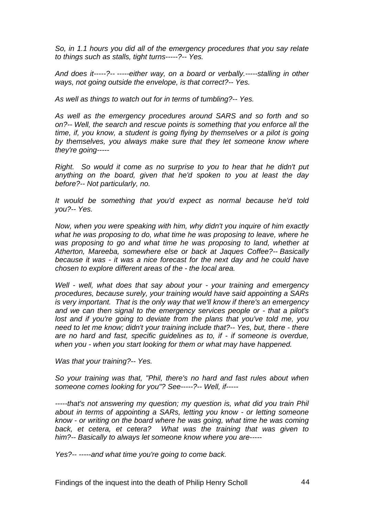*So, in 1.1 hours you did all of the emergency procedures that you say relate to things such as stalls, tight turns-----?-- Yes.* 

*And does it-----?-- -----either way, on a board or verbally.-----stalling in other ways, not going outside the envelope, is that correct?-- Yes.* 

*As well as things to watch out for in terms of tumbling?-- Yes.* 

*As well as the emergency procedures around SARS and so forth and so on?-- Well, the search and rescue points is something that you enforce all the time, if, you know, a student is going flying by themselves or a pilot is going by themselves, you always make sure that they let someone know where they're going-----* 

*Right. So would it come as no surprise to you to hear that he didn't put anything on the board, given that he'd spoken to you at least the day before?-- Not particularly, no.* 

*It would be something that you'd expect as normal because he'd told you?-- Yes.* 

*Now, when you were speaking with him, why didn't you inquire of him exactly what he was proposing to do, what time he was proposing to leave, where he was proposing to go and what time he was proposing to land, whether at Atherton, Mareeba, somewhere else or back at Jaques Coffee?-- Basically because it was - it was a nice forecast for the next day and he could have chosen to explore different areas of the - the local area.* 

*Well - well, what does that say about your - your training and emergency procedures, because surely, your training would have said appointing a SARs is very important. That is the only way that we'll know if there's an emergency and we can then signal to the emergency services people or - that a pilot's lost and if you're going to deviate from the plans that you've told me, you need to let me know; didn't your training include that?-- Yes, but, there - there are no hard and fast, specific guidelines as to, if - if someone is overdue, when you - when you start looking for them or what may have happened.* 

*Was that your training?-- Yes.* 

*So your training was that, "Phil, there's no hard and fast rules about when someone comes looking for you"? See-----?-- Well, if-----* 

*-----that's not answering my question; my question is, what did you train Phil about in terms of appointing a SARs, letting you know - or letting someone know - or writing on the board where he was going, what time he was coming*  back, et cetera, et cetera? What was the training that was given to *him?-- Basically to always let someone know where you are-----* 

*Yes?-- -----and what time you're going to come back.*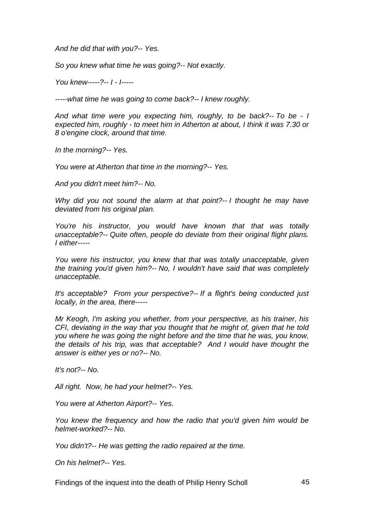*And he did that with you?-- Yes.* 

*So you knew what time he was going?-- Not exactly.* 

*You knew-----?-- I - I-----* 

*-----what time he was going to come back?-- I knew roughly.* 

*And what time were you expecting him, roughly, to be back?-- To be - I expected him, roughly - to meet him in Atherton at about, I think it was 7.30 or 8 o'engine clock, around that time.* 

*In the morning?-- Yes.* 

*You were at Atherton that time in the morning?-- Yes.* 

*And you didn't meet him?-- No.* 

*Why did you not sound the alarm at that point?-- I thought he may have deviated from his original plan.* 

*You're his instructor, you would have known that that was totally unacceptable?-- Quite often, people do deviate from their original flight plans. I either-----* 

*You were his instructor, you knew that that was totally unacceptable, given the training you'd given him?-- No, I wouldn't have said that was completely unacceptable.* 

*It's acceptable? From your perspective?-- If a flight's being conducted just locally, in the area, there-----* 

*Mr Keogh, I'm asking you whether, from your perspective, as his trainer, his CFI, deviating in the way that you thought that he might of, given that he told you where he was going the night before and the time that he was, you know, the details of his trip, was that acceptable? And I would have thought the answer is either yes or no?-- No.* 

*It's not?-- No.* 

*All right. Now, he had your helmet?-- Yes.* 

*You were at Atherton Airport?-- Yes.* 

*You knew the frequency and how the radio that you'd given him would be helmet-worked?-- No.* 

*You didn't?-- He was getting the radio repaired at the time.* 

*On his helmet?-- Yes.* 

Findings of the inquest into the death of Philip Henry Scholl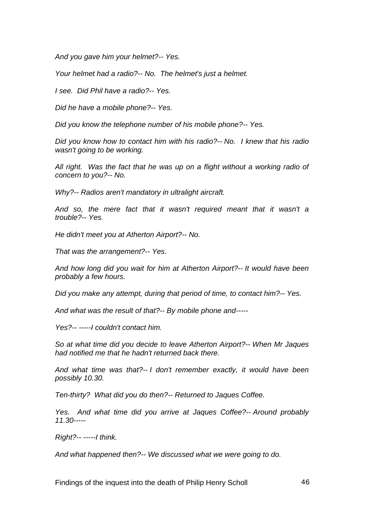*And you gave him your helmet?-- Yes.* 

*Your helmet had a radio?-- No. The helmet's just a helmet.* 

*I see. Did Phil have a radio?-- Yes.* 

*Did he have a mobile phone?-- Yes.* 

*Did you know the telephone number of his mobile phone?-- Yes.* 

*Did you know how to contact him with his radio?-- No. I knew that his radio wasn't going to be working.* 

*All right. Was the fact that he was up on a flight without a working radio of concern to you?-- No.* 

*Why?-- Radios aren't mandatory in ultralight aircraft.* 

*And so, the mere fact that it wasn't required meant that it wasn't a trouble?-- Yes.* 

*He didn't meet you at Atherton Airport?-- No.* 

*That was the arrangement?-- Yes.* 

*And how long did you wait for him at Atherton Airport?-- It would have been probably a few hours.* 

*Did you make any attempt, during that period of time, to contact him?-- Yes.* 

*And what was the result of that?-- By mobile phone and-----* 

*Yes?-- -----I couldn't contact him.* 

*So at what time did you decide to leave Atherton Airport?-- When Mr Jaques had notified me that he hadn't returned back there.* 

*And what time was that?-- I don't remember exactly, it would have been possibly 10.30.* 

*Ten-thirty? What did you do then?-- Returned to Jaques Coffee.* 

*Yes. And what time did you arrive at Jaques Coffee?-- Around probably 11.30-----* 

*Right?-- -----I think.* 

*And what happened then?-- We discussed what we were going to do.*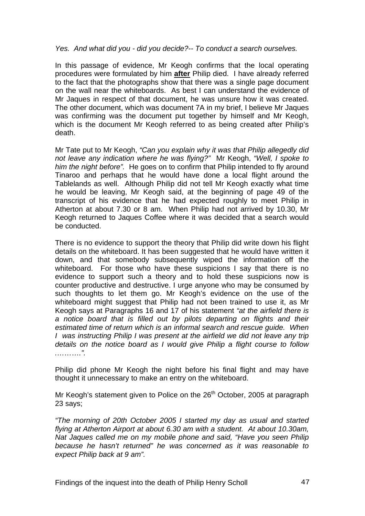### *Yes. And what did you - did you decide?-- To conduct a search ourselves.*

In this passage of evidence, Mr Keogh confirms that the local operating procedures were formulated by him **after** Philip died. I have already referred to the fact that the photographs show that there was a single page document on the wall near the whiteboards. As best I can understand the evidence of Mr Jaques in respect of that document, he was unsure how it was created. The other document, which was document 7A in my brief, I believe Mr Jaques was confirming was the document put together by himself and Mr Keogh, which is the document Mr Keogh referred to as being created after Philip's death.

Mr Tate put to Mr Keogh, *"Can you explain why it was that Philip allegedly did not leave any indication where he was flying?"* Mr Keogh, *"Well, I spoke to him the night before".* He goes on to confirm that Philip intended to fly around Tinaroo and perhaps that he would have done a local flight around the Tablelands as well. Although Philip did not tell Mr Keogh exactly what time he would be leaving, Mr Keogh said, at the beginning of page 49 of the transcript of his evidence that he had expected roughly to meet Philip in Atherton at about 7.30 or 8 am. When Philip had not arrived by 10.30, Mr Keogh returned to Jaques Coffee where it was decided that a search would be conducted.

There is no evidence to support the theory that Philip did write down his flight details on the whiteboard. It has been suggested that he would have written it down, and that somebody subsequently wiped the information off the whiteboard. For those who have these suspicions I say that there is no evidence to support such a theory and to hold these suspicions now is counter productive and destructive. I urge anyone who may be consumed by such thoughts to let them go. Mr Keogh's evidence on the use of the whiteboard might suggest that Philip had not been trained to use it, as Mr Keogh says at Paragraphs 16 and 17 of his statement *"at the airfield there is a notice board that is filled out by pilots departing on flights and their estimated time of return which is an informal search and rescue guide. When I was instructing Philip I was present at the airfield we did not leave any trip details on the notice board as I would give Philip a flight course to follow .……….".*

Philip did phone Mr Keogh the night before his final flight and may have thought it unnecessary to make an entry on the whiteboard.

Mr Keogh's statement given to Police on the  $26<sup>th</sup>$  October, 2005 at paragraph 23 says;

*"The morning of 20th October 2005 I started my day as usual and started flying at Atherton Airport at about 6.30 am with a student. At about 10.30am, Nat Jaques called me on my mobile phone and said, "Have you seen Philip because he hasn't returned" he was concerned as it was reasonable to expect Philip back at 9 am".*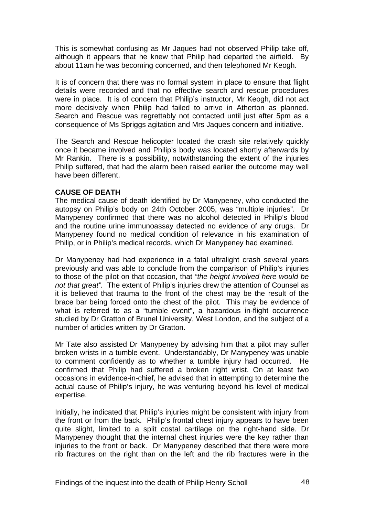This is somewhat confusing as Mr Jaques had not observed Philip take off, although it appears that he knew that Philip had departed the airfield. By about 11am he was becoming concerned, and then telephoned Mr Keogh.

It is of concern that there was no formal system in place to ensure that flight details were recorded and that no effective search and rescue procedures were in place. It is of concern that Philip's instructor, Mr Keogh, did not act more decisively when Philip had failed to arrive in Atherton as planned. Search and Rescue was regrettably not contacted until just after 5pm as a consequence of Ms Spriggs agitation and Mrs Jaques concern and initiative.

The Search and Rescue helicopter located the crash site relatively quickly once it became involved and Philip's body was located shortly afterwards by Mr Rankin. There is a possibility, notwithstanding the extent of the injuries Philip suffered, that had the alarm been raised earlier the outcome may well have been different.

## **CAUSE OF DEATH**

The medical cause of death identified by Dr Manypeney, who conducted the autopsy on Philip's body on 24th October 2005, was "multiple injuries". Dr Manypeney confirmed that there was no alcohol detected in Philip's blood and the routine urine immunoassay detected no evidence of any drugs. Dr Manypeney found no medical condition of relevance in his examination of Philip, or in Philip's medical records, which Dr Manypeney had examined.

Dr Manypeney had had experience in a fatal ultralight crash several years previously and was able to conclude from the comparison of Philip's injuries to those of the pilot on that occasion, that *"the height involved here would be not that great".* The extent of Philip's injuries drew the attention of Counsel as it is believed that trauma to the front of the chest may be the result of the brace bar being forced onto the chest of the pilot. This may be evidence of what is referred to as a "tumble event", a hazardous in-flight occurrence studied by Dr Gratton of Brunel University, West London, and the subject of a number of articles written by Dr Gratton.

Mr Tate also assisted Dr Manypeney by advising him that a pilot may suffer broken wrists in a tumble event. Understandably, Dr Manypeney was unable to comment confidently as to whether a tumble injury had occurred. He confirmed that Philip had suffered a broken right wrist. On at least two occasions in evidence-in-chief, he advised that in attempting to determine the actual cause of Philip's injury, he was venturing beyond his level of medical expertise.

Initially, he indicated that Philip's injuries might be consistent with injury from the front or from the back. Philip's frontal chest injury appears to have been quite slight, limited to a split costal cartilage on the right-hand side. Dr Manypeney thought that the internal chest injuries were the key rather than injuries to the front or back. Dr Manypeney described that there were more rib fractures on the right than on the left and the rib fractures were in the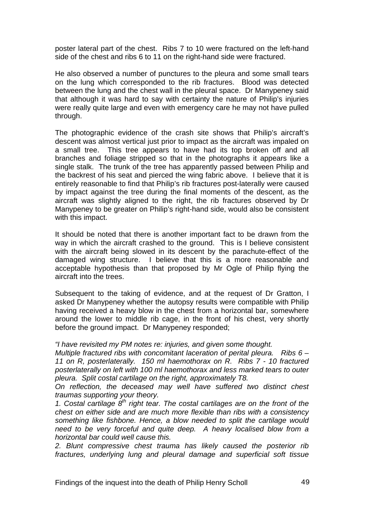poster lateral part of the chest. Ribs 7 to 10 were fractured on the left-hand side of the chest and ribs 6 to 11 on the right-hand side were fractured.

He also observed a number of punctures to the pleura and some small tears on the lung which corresponded to the rib fractures. Blood was detected between the lung and the chest wall in the pleural space. Dr Manypeney said that although it was hard to say with certainty the nature of Philip's injuries were really quite large and even with emergency care he may not have pulled through.

The photographic evidence of the crash site shows that Philip's aircraft's descent was almost vertical just prior to impact as the aircraft was impaled on a small tree. This tree appears to have had its top broken off and all branches and foliage stripped so that in the photographs it appears like a single stalk. The trunk of the tree has apparently passed between Philip and the backrest of his seat and pierced the wing fabric above. I believe that it is entirely reasonable to find that Philip's rib fractures post-laterally were caused by impact against the tree during the final moments of the descent, as the aircraft was slightly aligned to the right, the rib fractures observed by Dr Manypeney to be greater on Philip's right-hand side, would also be consistent with this impact.

It should be noted that there is another important fact to be drawn from the way in which the aircraft crashed to the ground. This is I believe consistent with the aircraft being slowed in its descent by the parachute-effect of the damaged wing structure. I believe that this is a more reasonable and acceptable hypothesis than that proposed by Mr Ogle of Philip flying the aircraft into the trees.

Subsequent to the taking of evidence, and at the request of Dr Gratton, I asked Dr Manypeney whether the autopsy results were compatible with Philip having received a heavy blow in the chest from a horizontal bar, somewhere around the lower to middle rib cage, in the front of his chest, very shortly before the ground impact. Dr Manypeney responded;

*"I have revisited my PM notes re: injuries, and given some thought.* 

*Multiple fractured ribs with concomitant laceration of perital pleura. Ribs 6 – 11 on R, posterlaterally. 150 ml haemothorax on R. Ribs 7 - 10 fractured posterlaterally on left with 100 ml haemothorax and less marked tears to outer pleura. Split costal cartilage on the right, approximately T8.* 

*On reflection, the deceased may well have suffered two distinct chest traumas supporting your theory.* 

*1. Costal cartilage 8th right tear. The costal cartilages are on the front of the chest on either side and are much more flexible than ribs with a consistency something like fishbone. Hence, a blow needed to split the cartilage would need to be very forceful and quite deep. A heavy localised blow from a horizontal bar could well cause this.* 

*2. Blunt compressive chest trauma has likely caused the posterior rib fractures, underlying lung and pleural damage and superficial soft tissue*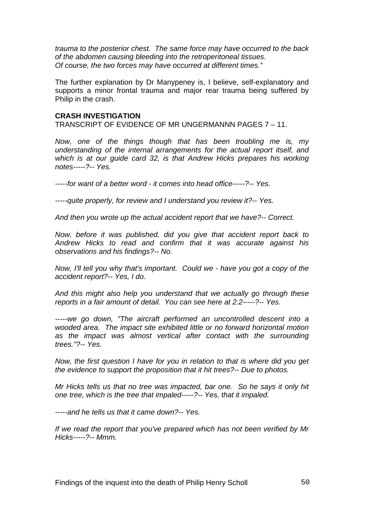*trauma to the posterior chest. The same force may have occurred to the back of the abdomen causing bleeding into the retroperitoneal tissues. Of course, the two forces may have occurred at different times."* 

The further explanation by Dr Manypeney is, I believe, self-explanatory and supports a minor frontal trauma and major rear trauma being suffered by Philip in the crash.

### **CRASH INVESTIGATION**

TRANSCRIPT OF EVIDENCE OF MR UNGERMANNN PAGES 7 – 11.

*Now, one of the things though that has been troubling me is, my understanding of the internal arrangements for the actual report itself, and*  which is at our quide card 32, is that Andrew Hicks prepares his working *notes-----?-- Yes.* 

*-----for want of a better word - it comes into head office-----?-- Yes.* 

*-----quite properly, for review and I understand you review it?-- Yes.* 

*And then you wrote up the actual accident report that we have?-- Correct.* 

*Now, before it was published, did you give that accident report back to Andrew Hicks to read and confirm that it was accurate against his observations and his findings?-- No.* 

*Now, I'll tell you why that's important. Could we - have you got a copy of the accident report?-- Yes, I do.* 

*And this might also help you understand that we actually go through these reports in a fair amount of detail. You can see here at 2.2-----?-- Yes.* 

*-----we go down, "The aircraft performed an uncontrolled descent into a wooded area. The impact site exhibited little or no forward horizontal motion as the impact was almost vertical after contact with the surrounding trees."?-- Yes.* 

*Now, the first question I have for you in relation to that is where did you get the evidence to support the proposition that it hit trees?-- Due to photos.* 

*Mr Hicks tells us that no tree was impacted, bar one. So he says it only hit one tree, which is the tree that impaled-----?-- Yes, that it impaled.* 

*-----and he tells us that it came down?-- Yes.* 

*If we read the report that you've prepared which has not been verified by Mr Hicks-----?-- Mmm.*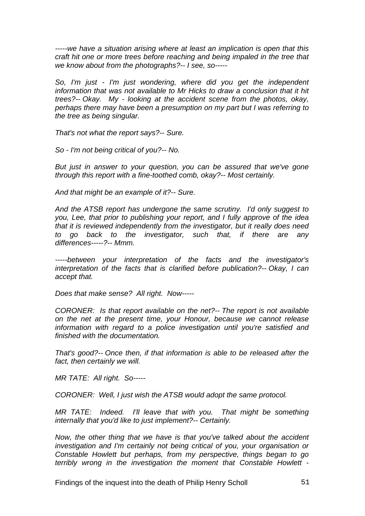*-----we have a situation arising where at least an implication is open that this craft hit one or more trees before reaching and being impaled in the tree that we know about from the photographs?-- I see, so-----* 

*So, I'm just - I'm just wondering, where did you get the independent*  information that was not available to Mr Hicks to draw a conclusion that it hit *trees?-- Okay. My - looking at the accident scene from the photos, okay, perhaps there may have been a presumption on my part but I was referring to the tree as being singular.* 

*That's not what the report says?-- Sure.* 

*So - I'm not being critical of you?-- No.* 

*But just in answer to your question, you can be assured that we've gone through this report with a fine-toothed comb, okay?-- Most certainly.* 

*And that might be an example of it?-- Sure.* 

*And the ATSB report has undergone the same scrutiny. I'd only suggest to you, Lee, that prior to publishing your report, and I fully approve of the idea that it is reviewed independently from the investigator, but it really does need to go back to the investigator, such that, if there are any differences-----?-- Mmm.* 

*-----between your interpretation of the facts and the investigator's interpretation of the facts that is clarified before publication?-- Okay, I can accept that.* 

*Does that make sense? All right. Now-----* 

*CORONER: Is that report available on the net?-- The report is not available on the net at the present time, your Honour, because we cannot release information with regard to a police investigation until you're satisfied and finished with the documentation.* 

*That's good?-- Once then, if that information is able to be released after the fact, then certainly we will.* 

*MR TATE: All right. So-----* 

*CORONER: Well, I just wish the ATSB would adopt the same protocol.* 

*MR TATE:* Indeed. I'll leave that with you. That might be something *internally that you'd like to just implement?-- Certainly.* 

*Now, the other thing that we have is that you've talked about the accident investigation and I'm certainly not being critical of you, your organisation or Constable Howlett but perhaps, from my perspective, things began to go terribly wrong in the investigation the moment that Constable Howlett -* 

Findings of the inquest into the death of Philip Henry Scholl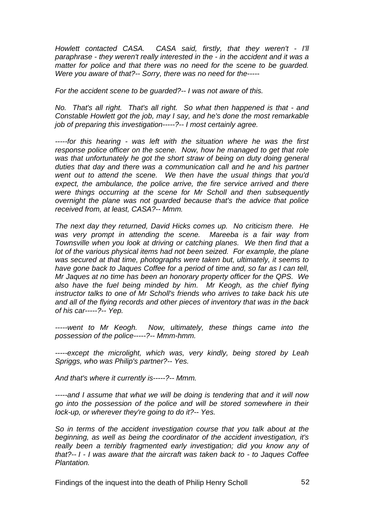*Howlett contacted CASA. CASA said, firstly, that they weren't - I'll paraphrase - they weren't really interested in the - in the accident and it was a matter for police and that there was no need for the scene to be guarded. Were you aware of that?-- Sorry, there was no need for the-----* 

*For the accident scene to be guarded?-- I was not aware of this.* 

*No. That's all right. That's all right. So what then happened is that - and Constable Howlett got the job, may I say, and he's done the most remarkable job of preparing this investigation-----?-- I most certainly agree.* 

*-----for this hearing - was left with the situation where he was the first response police officer on the scene. Now, how he managed to get that role*  was that unfortunately he got the short straw of being on duty doing general *duties that day and there was a communication call and he and his partner went out to attend the scene. We then have the usual things that you'd expect, the ambulance, the police arrive, the fire service arrived and there were things occurring at the scene for Mr Scholl and then subsequently overnight the plane was not guarded because that's the advice that police received from, at least, CASA?-- Mmm.* 

*The next day they returned, David Hicks comes up. No criticism there. He was very prompt in attending the scene. Mareeba is a fair way from Townsville when you look at driving or catching planes. We then find that a lot of the various physical items had not been seized. For example, the plane was secured at that time, photographs were taken but, ultimately, it seems to have gone back to Jaques Coffee for a period of time and, so far as I can tell, Mr Jaques at no time has been an honorary property officer for the QPS. We also have the fuel being minded by him. Mr Keogh, as the chief flying instructor talks to one of Mr Scholl's friends who arrives to take back his ute and all of the flying records and other pieces of inventory that was in the back of his car-----?-- Yep.* 

*-----went to Mr Keogh. Now, ultimately, these things came into the possession of the police-----?-- Mmm-hmm.* 

*-----except the microlight, which was, very kindly, being stored by Leah Spriggs, who was Philip's partner?-- Yes.* 

*And that's where it currently is-----?-- Mmm.* 

*-----and I assume that what we will be doing is tendering that and it will now go into the possession of the police and will be stored somewhere in their lock-up, or wherever they're going to do it?-- Yes.* 

*So in terms of the accident investigation course that you talk about at the beginning, as well as being the coordinator of the accident investigation, it's really been a terribly fragmented early investigation; did you know any of that?-- I - I was aware that the aircraft was taken back to - to Jaques Coffee Plantation.*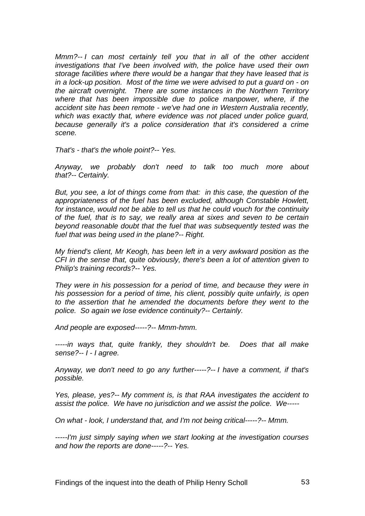*Mmm?-- I can most certainly tell you that in all of the other accident investigations that I've been involved with, the police have used their own storage facilities where there would be a hangar that they have leased that is in a lock-up position. Most of the time we were advised to put a guard on - on the aircraft overnight. There are some instances in the Northern Territory where that has been impossible due to police manpower, where, if the accident site has been remote - we've had one in Western Australia recently, which was exactly that, where evidence was not placed under police guard, because generally it's a police consideration that it's considered a crime scene.* 

*That's - that's the whole point?-- Yes.* 

*Anyway, we probably don't need to talk too much more about that?-- Certainly.* 

*But, you see, a lot of things come from that: in this case, the question of the appropriateness of the fuel has been excluded, although Constable Howlett, for instance, would not be able to tell us that he could vouch for the continuity of the fuel, that is to say, we really area at sixes and seven to be certain beyond reasonable doubt that the fuel that was subsequently tested was the fuel that was being used in the plane?-- Right.* 

*My friend's client, Mr Keogh, has been left in a very awkward position as the CFI in the sense that, quite obviously, there's been a lot of attention given to Philip's training records?-- Yes.* 

*They were in his possession for a period of time, and because they were in his possession for a period of time, his client, possibly quite unfairly, is open to the assertion that he amended the documents before they went to the police. So again we lose evidence continuity?-- Certainly.* 

*And people are exposed-----?-- Mmm-hmm.* 

*-----in ways that, quite frankly, they shouldn't be. Does that all make sense?-- I - I agree.* 

*Anyway, we don't need to go any further-----?-- I have a comment, if that's possible.* 

*Yes, please, yes?-- My comment is, is that RAA investigates the accident to assist the police. We have no jurisdiction and we assist the police. We-----* 

*On what - look, I understand that, and I'm not being critical-----?-- Mmm.* 

*-----I'm just simply saying when we start looking at the investigation courses and how the reports are done-----?-- Yes.*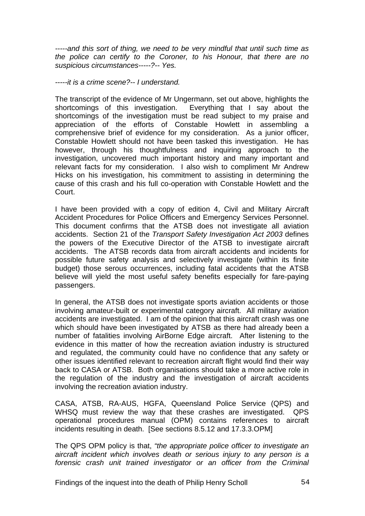*-----and this sort of thing, we need to be very mindful that until such time as the police can certify to the Coroner, to his Honour, that there are no suspicious circumstances-----?-- Yes.* 

*-----it is a crime scene?-- I understand.*

The transcript of the evidence of Mr Ungermann, set out above, highlights the shortcomings of this investigation. Everything that I say about the shortcomings of the investigation must be read subject to my praise and appreciation of the efforts of Constable Howlett in assembling a comprehensive brief of evidence for my consideration. As a junior officer, Constable Howlett should not have been tasked this investigation. He has however, through his thoughtfulness and inquiring approach to the investigation, uncovered much important history and many important and relevant facts for my consideration. I also wish to compliment Mr Andrew Hicks on his investigation, his commitment to assisting in determining the cause of this crash and his full co-operation with Constable Howlett and the Court.

I have been provided with a copy of edition 4, Civil and Military Aircraft Accident Procedures for Police Officers and Emergency Services Personnel. This document confirms that the ATSB does not investigate all aviation accidents. Section 21 of the *Transport Safety Investigation Act 2003* defines the powers of the Executive Director of the ATSB to investigate aircraft accidents. The ATSB records data from aircraft accidents and incidents for possible future safety analysis and selectively investigate (within its finite budget) those serous occurrences, including fatal accidents that the ATSB believe will yield the most useful safety benefits especially for fare-paying passengers.

In general, the ATSB does not investigate sports aviation accidents or those involving amateur-built or experimental category aircraft. All military aviation accidents are investigated. I am of the opinion that this aircraft crash was one which should have been investigated by ATSB as there had already been a number of fatalities involving AirBorne Edge aircraft. After listening to the evidence in this matter of how the recreation aviation industry is structured and regulated, the community could have no confidence that any safety or other issues identified relevant to recreation aircraft flight would find their way back to CASA or ATSB. Both organisations should take a more active role in the regulation of the industry and the investigation of aircraft accidents involving the recreation aviation industry.

CASA, ATSB, RA-AUS, HGFA, Queensland Police Service (QPS) and WHSQ must review the way that these crashes are investigated. QPS operational procedures manual (OPM) contains references to aircraft incidents resulting in death. [See sections 8.5.12 and 17.3.3.OPM]

The QPS OPM policy is that, *"the appropriate police officer to investigate an aircraft incident which involves death or serious injury to any person is a forensic crash unit trained investigator or an officer from the Criminal* 

Findings of the inquest into the death of Philip Henry Scholl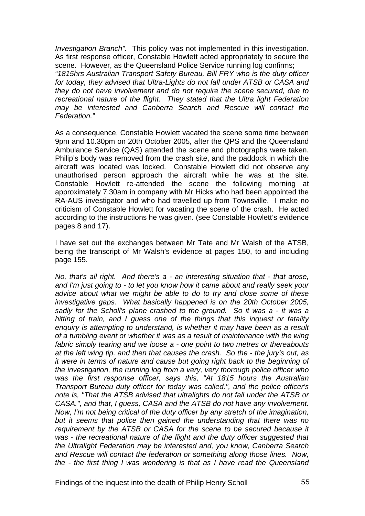*Investigation Branch".* This policy was not implemented in this investigation. As first response officer, Constable Howlett acted appropriately to secure the scene. However, as the Queensland Police Service running log confirms;

*"1815hrs Australian Transport Safety Bureau, Bill FRY who is the duty officer for today, they advised that Ultra-Lights do not fall under ATSB or CASA and they do not have involvement and do not require the scene secured, due to recreational nature of the flight. They stated that the Ultra light Federation may be interested and Canberra Search and Rescue will contact the Federation."* 

As a consequence, Constable Howlett vacated the scene some time between 9pm and 10.30pm on 20th October 2005, after the QPS and the Queensland Ambulance Service (QAS) attended the scene and photographs were taken. Philip's body was removed from the crash site, and the paddock in which the aircraft was located was locked. Constable Howlett did not observe any unauthorised person approach the aircraft while he was at the site. Constable Howlett re-attended the scene the following morning at approximately 7.30am in company with Mr Hicks who had been appointed the RA-AUS investigator and who had travelled up from Townsville. I make no criticism of Constable Howlett for vacating the scene of the crash. He acted according to the instructions he was given. (see Constable Howlett's evidence pages 8 and 17).

I have set out the exchanges between Mr Tate and Mr Walsh of the ATSB, being the transcript of Mr Walsh's evidence at pages 150, to and including page 155.

*No, that's all right. And there's a - an interesting situation that - that arose, and I'm just going to - to let you know how it came about and really seek your advice about what we might be able to do to try and close some of these investigative gaps. What basically happened is on the 20th October 2005, sadly for the Scholl's plane crashed to the ground. So it was a - it was a hitting of train, and I guess one of the things that this inquest or fatality enquiry is attempting to understand, is whether it may have been as a result of a tumbling event or whether it was as a result of maintenance with the wing fabric simply tearing and we loose a - one point to two metres or thereabouts at the left wing tip, and then that causes the crash. So the - the jury's out, as it were in terms of nature and cause but going right back to the beginning of the investigation, the running log from a very, very thorough police officer who*  was the first response officer, says this, "At 1815 hours the Australian *Transport Bureau duty officer for today was called.", and the police officer's note is, "That the ATSB advised that ultralights do not fall under the ATSB or CASA.", and that, I guess, CASA and the ATSB do not have any involvement. Now, I'm not being critical of the duty officer by any stretch of the imagination, but it seems that police then gained the understanding that there was no requirement by the ATSB or CASA for the scene to be secured because it was - the recreational nature of the flight and the duty officer suggested that the Ultralight Federation may be interested and, you know, Canberra Search and Rescue will contact the federation or something along those lines. Now, the - the first thing I was wondering is that as I have read the Queensland*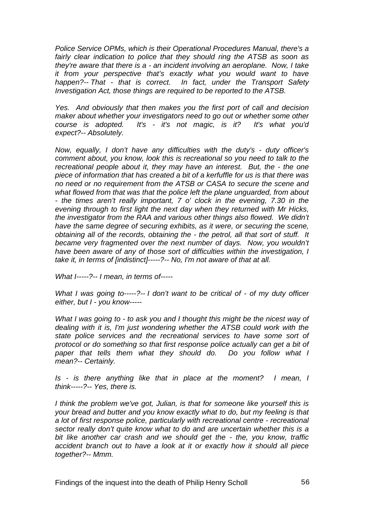*Police Service OPMs, which is their Operational Procedures Manual, there's a fairly clear indication to police that they should ring the ATSB as soon as they're aware that there is a - an incident involving an aeroplane. Now, I take it from your perspective that's exactly what you would want to have happen?-- That - that is correct. In fact, under the Transport Safety Investigation Act, those things are required to be reported to the ATSB.* 

*Yes. And obviously that then makes you the first port of call and decision maker about whether your investigators need to go out or whether some other course is adopted. It's - it's not magic, is it? It's what you'd expect?-- Absolutely.* 

*Now, equally, I don't have any difficulties with the duty's - duty officer's comment about, you know, look this is recreational so you need to talk to the recreational people about it, they may have an interest. But, the - the one piece of information that has created a bit of a kerfuffle for us is that there was no need or no requirement from the ATSB or CASA to secure the scene and what flowed from that was that the police left the plane unguarded, from about - the times aren't really important, 7 o' clock in the evening, 7.30 in the evening through to first light the next day when they returned with Mr Hicks, the investigator from the RAA and various other things also flowed. We didn't have the same degree of securing exhibits, as it were, or securing the scene, obtaining all of the records, obtaining the - the petrol, all that sort of stuff. It became very fragmented over the next number of days. Now, you wouldn't have been aware of any of those sort of difficulties within the investigation, I take it, in terms of [indistinct]-----?-- No, I'm not aware of that at all.* 

*What I-----?-- I mean, in terms of-----* 

*What I was going to-----?-- I don't want to be critical of - of my duty officer either, but I - you know-----* 

*What I was going to - to ask you and I thought this might be the nicest way of dealing with it is, I'm just wondering whether the ATSB could work with the state police services and the recreational services to have some sort of protocol or do something so that first response police actually can get a bit of paper that tells them what they should do. Do you follow what I mean?-- Certainly.* 

*Is - is there anything like that in place at the moment? I mean, I think-----?-- Yes, there is.* 

*I think the problem we've got, Julian, is that for someone like yourself this is your bread and butter and you know exactly what to do, but my feeling is that a lot of first response police, particularly with recreational centre - recreational sector really don't quite know what to do and are uncertain whether this is a bit like another car crash and we should get the - the, you know, traffic accident branch out to have a look at it or exactly how it should all piece together?-- Mmm.*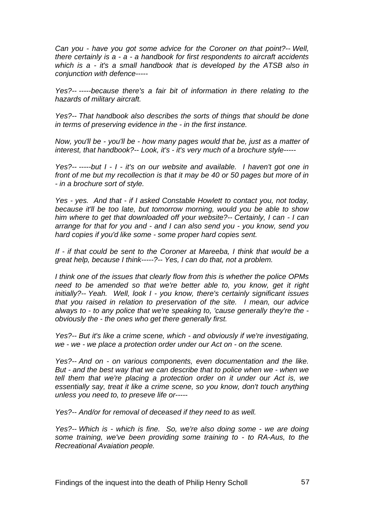*Can you - have you got some advice for the Coroner on that point?-- Well, there certainly is a - a - a handbook for first respondents to aircraft accidents which is a - it's a small handbook that is developed by the ATSB also in conjunction with defence-----* 

*Yes?-- -----because there's a fair bit of information in there relating to the hazards of military aircraft.* 

*Yes?-- That handbook also describes the sorts of things that should be done in terms of preserving evidence in the - in the first instance.* 

*Now, you'll be - you'll be - how many pages would that be, just as a matter of interest, that handbook?-- Look, it's - it's very much of a brochure style-----* 

*Yes?-- -----but I - I - it's on our website and available. I haven't got one in front of me but my recollection is that it may be 40 or 50 pages but more of in - in a brochure sort of style.* 

*Yes - yes. And that - if I asked Constable Howlett to contact you, not today, because it'll be too late, but tomorrow morning, would you be able to show him where to get that downloaded off your website?-- Certainly, I can - I can arrange for that for you and - and I can also send you - you know, send you hard copies if you'd like some - some proper hard copies sent.* 

*If - if that could be sent to the Coroner at Mareeba, I think that would be a great help, because I think-----?-- Yes, I can do that, not a problem.* 

*I think one of the issues that clearly flow from this is whether the police OPMs need to be amended so that we're better able to, you know, get it right initially?-- Yeah. Well, look I - you know, there's certainly significant issues that you raised in relation to preservation of the site. I mean, our advice always to - to any police that we're speaking to, 'cause generally they're the obviously the - the ones who get there generally first.* 

*Yes?-- But it's like a crime scene, which - and obviously if we're investigating, we - we - we place a protection order under our Act on - on the scene.* 

*Yes?-- And on - on various components, even documentation and the like. But - and the best way that we can describe that to police when we - when we tell them that we're placing a protection order on it under our Act is, we*  essentially say, treat it like a crime scene, so you know, don't touch anything *unless you need to, to preseve life or-----* 

*Yes?-- And/or for removal of deceased if they need to as well.* 

*Yes?-- Which is - which is fine. So, we're also doing some - we are doing some training, we've been providing some training to - to RA-Aus, to the Recreational Avaiation people.*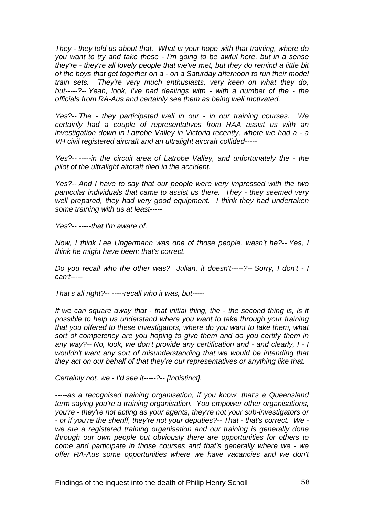*They - they told us about that. What is your hope with that training, where do you want to try and take these - I'm going to be awful here, but in a sense they're - they're all lovely people that we've met, but they do remind a little bit of the boys that get together on a - on a Saturday afternoon to run their model train sets. They're very much enthusiasts, very keen on what they do, but-----?-- Yeah, look, I've had dealings with - with a number of the - the officials from RA-Aus and certainly see them as being well motivated.* 

*Yes?-- The - they participated well in our - in our training courses. We certainly had a couple of representatives from RAA assist us with an investigation down in Latrobe Valley in Victoria recently, where we had a - a VH civil registered aircraft and an ultralight aircraft collided-----* 

*Yes?-- -----in the circuit area of Latrobe Valley, and unfortunately the - the pilot of the ultralight aircraft died in the accident.* 

*Yes?-- And I have to say that our people were very impressed with the two particular individuals that came to assist us there. They - they seemed very well prepared, they had very good equipment. I think they had undertaken some training with us at least-----* 

*Yes?-- -----that I'm aware of.* 

*Now, I think Lee Ungermann was one of those people, wasn't he?-- Yes, I think he might have been; that's correct.* 

*Do you recall who the other was? Julian, it doesn't-----?-- Sorry, I don't - I can't-----* 

*That's all right?-- -----recall who it was, but-----* 

*If we can square away that - that initial thing, the - the second thing is, is it possible to help us understand where you want to take through your training that you offered to these investigators, where do you want to take them, what sort of competency are you hoping to give them and do you certify them in any way?-- No, look, we don't provide any certification and - and clearly, I - I wouldn't want any sort of misunderstanding that we would be intending that they act on our behalf of that they're our representatives or anything like that.* 

*Certainly not, we - I'd see it-----?-- [Indistinct].* 

*-----as a recognised training organisation, if you know, that's a Queensland term saying you're a training organisation. You empower other organisations, you're - they're not acting as your agents, they're not your sub-investigators or - or if you're the sheriff, they're not your deputies?-- That - that's correct. We we are a registered training organisation and our training is generally done through our own people but obviously there are opportunities for others to come and participate in those courses and that's generally where we - we offer RA-Aus some opportunities where we have vacancies and we don't*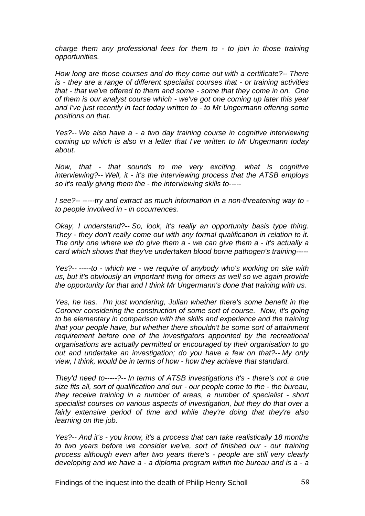*charge them any professional fees for them to - to join in those training opportunities.* 

*How long are those courses and do they come out with a certificate?-- There is - they are a range of different specialist courses that - or training activities that - that we've offered to them and some - some that they come in on. One of them is our analyst course which - we've got one coming up later this year and I've just recently in fact today written to - to Mr Ungermann offering some positions on that.* 

*Yes?-- We also have a - a two day training course in cognitive interviewing coming up which is also in a letter that I've written to Mr Ungermann today about.* 

*Now, that - that sounds to me very exciting, what is cognitive interviewing?-- Well, it - it's the interviewing process that the ATSB employs so it's really giving them the - the interviewing skills to-----* 

*I see?-- -----try and extract as much information in a non-threatening way to to people involved in - in occurrences.* 

*Okay, I understand?-- So, look, it's really an opportunity basis type thing. They - they don't really come out with any formal qualification in relation to it. The only one where we do give them a - we can give them a - it's actually a card which shows that they've undertaken blood borne pathogen's training-----* 

*Yes?-- -----to - which we - we require of anybody who's working on site with us, but it's obviously an important thing for others as well so we again provide the opportunity for that and I think Mr Ungermann's done that training with us.* 

*Yes, he has. I'm just wondering, Julian whether there's some benefit in the Coroner considering the construction of some sort of course. Now, it's going to be elementary in comparison with the skills and experience and the training that your people have, but whether there shouldn't be some sort of attainment requirement before one of the investigators appointed by the recreational organisations are actually permitted or encouraged by their organisation to go out and undertake an investigation; do you have a few on that?-- My only view, I think, would be in terms of how - how they achieve that standard.* 

*They'd need to-----?-- In terms of ATSB investigations it's - there's not a one size fits all, sort of qualification and our - our people come to the - the bureau, they receive training in a number of areas, a number of specialist - short specialist courses on various aspects of investigation, but they do that over a fairly extensive period of time and while they're doing that they're also learning on the job.* 

*Yes?-- And it's - you know, it's a process that can take realistically 18 months to two years before we consider we've, sort of finished our - our training process although even after two years there's - people are still very clearly developing and we have a - a diploma program within the bureau and is a - a*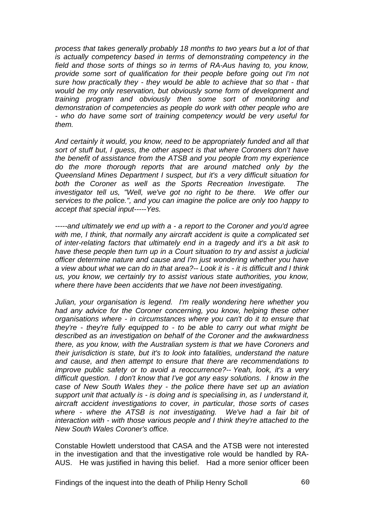*process that takes generally probably 18 months to two years but a lot of that is actually competency based in terms of demonstrating competency in the field and those sorts of things so in terms of RA-Aus having to, you know, provide some sort of qualification for their people before going out I'm not sure how practically they - they would be able to achieve that so that - that would be my only reservation, but obviously some form of development and training program and obviously then some sort of monitoring and demonstration of competencies as people do work with other people who are - who do have some sort of training competency would be very useful for them.* 

*And certainly it would, you know, need to be appropriately funded and all that sort of stuff but, I guess, the other aspect is that where Coroners don't have the benefit of assistance from the ATSB and you people from my experience do the more thorough reports that are around matched only by the Queensland Mines Department I suspect, but it's a very difficult situation for both the Coroner as well as the Sports Recreation Investigate. The investigator tell us, "Well, we've got no right to be there. We offer our services to the police.", and you can imagine the police are only too happy to accept that special input-----Yes.* 

*-----and ultimately we end up with a - a report to the Coroner and you'd agree with me, I think, that normally any aircraft accident is quite a complicated set of inter-relating factors that ultimately end in a tragedy and it's a bit ask to have these people then turn up in a Court situation to try and assist a judicial officer determine nature and cause and I'm just wondering whether you have a view about what we can do in that area?-- Look it is - it is difficult and I think us, you know, we certainly try to assist various state authorities, you know, where there have been accidents that we have not been investigating.* 

*Julian, your organisation is legend. I'm really wondering here whether you had any advice for the Coroner concerning, you know, helping these other organisations where - in circumstances where you can't do it to ensure that they're - they're fully equipped to - to be able to carry out what might be described as an investigation on behalf of the Coroner and the awkwardness there, as you know, with the Australian system is that we have Coroners and their jurisdiction is state, but it's to look into fatalities, understand the nature and cause, and then attempt to ensure that there are recommendations to improve public safety or to avoid a reoccurrence?-- Yeah, look, it's a very difficult question. I don't know that I've got any easy solutions. I know in the case of New South Wales they - the police there have set up an aviation support unit that actually is - is doing and is specialising in, as I understand it, aircraft accident investigations to cover, in particular, those sorts of cases where - where the ATSB is not investigating. We've had a fair bit of interaction with - with those various people and I think they're attached to the New South Wales Coroner's office.* 

Constable Howlett understood that CASA and the ATSB were not interested in the investigation and that the investigative role would be handled by RA-AUS. He was justified in having this belief. Had a more senior officer been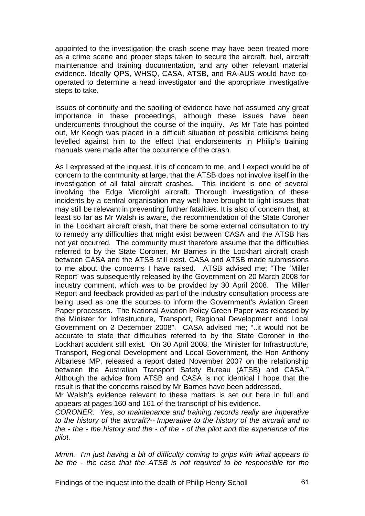appointed to the investigation the crash scene may have been treated more as a crime scene and proper steps taken to secure the aircraft, fuel, aircraft maintenance and training documentation, and any other relevant material evidence. Ideally QPS, WHSQ, CASA, ATSB, and RA-AUS would have cooperated to determine a head investigator and the appropriate investigative steps to take.

Issues of continuity and the spoiling of evidence have not assumed any great importance in these proceedings, although these issues have been undercurrents throughout the course of the inquiry. As Mr Tate has pointed out, Mr Keogh was placed in a difficult situation of possible criticisms being levelled against him to the effect that endorsements in Philip's training manuals were made after the occurrence of the crash.

As I expressed at the inquest, it is of concern to me, and I expect would be of concern to the community at large, that the ATSB does not involve itself in the investigation of all fatal aircraft crashes. This incident is one of several involving the Edge Microlight aircraft. Thorough investigation of these incidents by a central organisation may well have brought to light issues that may still be relevant in preventing further fatalities. It is also of concern that, at least so far as Mr Walsh is aware, the recommendation of the State Coroner in the Lockhart aircraft crash, that there be some external consultation to try to remedy any difficulties that might exist between CASA and the ATSB has not yet occurred*.* The community must therefore assume that the difficulties referred to by the State Coroner, Mr Barnes in the Lockhart aircraft crash between CASA and the ATSB still exist. CASA and ATSB made submissions to me about the concerns I have raised. ATSB advised me; "The 'Miller Report' was subsequently released by the Government on 20 March 2008 for industry comment, which was to be provided by 30 April 2008. The Miller Report and feedback provided as part of the industry consultation process are being used as one the sources to inform the Government's Aviation Green Paper processes. The National Aviation Policy Green Paper was released by the Minister for Infrastructure, Transport, Regional Development and Local Government on 2 December 2008". CASA advised me; "..it would not be accurate to state that difficulties referred to by the State Coroner in the Lockhart accident still exist. On 30 April 2008, the Minister for Infrastructure, Transport, Regional Development and Local Government, the Hon Anthony Albanese MP, released a report dated November 2007 on the relationship between the Australian Transport Safety Bureau (ATSB) and CASA." Although the advice from ATSB and CASA is not identical I hope that the result is that the concerns raised by Mr Barnes have been addressed.

Mr Walsh's evidence relevant to these matters is set out here in full and appears at pages 160 and 161 of the transcript of his evidence.

*CORONER: Yes, so maintenance and training records really are imperative to the history of the aircraft?-- Imperative to the history of the aircraft and to the - the - the history and the - of the - of the pilot and the experience of the pilot.* 

*Mmm. I'm just having a bit of difficulty coming to grips with what appears to be the - the case that the ATSB is not required to be responsible for the* 

Findings of the inquest into the death of Philip Henry Scholl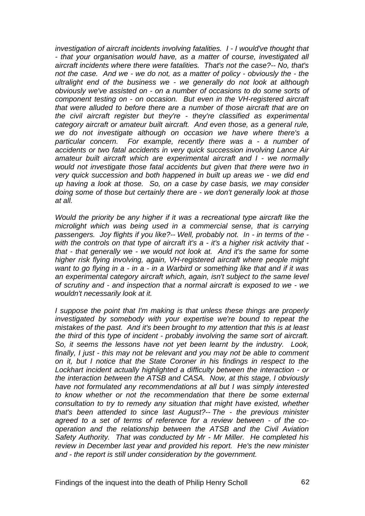*investigation of aircraft incidents involving fatalities. I - I would've thought that - that your organisation would have, as a matter of course, investigated all aircraft incidents where there were fatalities. That's not the case?-- No, that's not the case. And we - we do not, as a matter of policy - obviously the - the ultralight end of the business we - we generally do not look at although obviously we've assisted on - on a number of occasions to do some sorts of component testing on - on occasion. But even in the VH-registered aircraft that were alluded to before there are a number of those aircraft that are on the civil aircraft register but they're - they're classified as experimental category aircraft or amateur built aircraft. And even those, as a general rule, we do not investigate although on occasion we have where there's a particular concern. For example, recently there was a - a number of accidents or two fatal accidents in very quick succession involving Lance Air amateur built aircraft which are experimental aircraft and I - we normally would not investigate those fatal accidents but given that there were two in very quick succession and both happened in built up areas we - we did end up having a look at those. So, on a case by case basis, we may consider doing some of those but certainly there are - we don't generally look at those at all.* 

*Would the priority be any higher if it was a recreational type aircraft like the microlight which was being used in a commercial sense, that is carrying passengers. Joy flights if you like?-- Well, probably not. In - in terms of the with the controls on that type of aircraft it's a - it's a higher risk activity that that - that generally we - we would not look at. And it's the same for some higher risk flying involving, again, VH-registered aircraft where people might want to go flying in a - in a - in a Warbird or something like that and if it was*  an experimental category aircraft which, again, isn't subject to the same level *of scrutiny and - and inspection that a normal aircraft is exposed to we - we wouldn't necessarily look at it.* 

*I suppose the point that I'm making is that unless these things are properly investigated by somebody with your expertise we're bound to repeat the mistakes of the past. And it's been brought to my attention that this is at least the third of this type of incident - probably involving the same sort of aircraft. So, it seems the lessons have not yet been learnt by the industry. Look, finally, I just - this may not be relevant and you may not be able to comment on it, but I notice that the State Coroner in his findings in respect to the Lockhart incident actually highlighted a difficulty between the interaction - or the interaction between the ATSB and CASA. Now, at this stage, I obviously have not formulated any recommendations at all but I was simply interested to know whether or not the recommendation that there be some external consultation to try to remedy any situation that might have existed, whether that's been attended to since last August?-- The - the previous minister agreed to a set of terms of reference for a review between - of the cooperation and the relationship between the ATSB and the Civil Aviation Safety Authority. That was conducted by Mr - Mr Miller. He completed his review in December last year and provided his report. He's the new minister and - the report is still under consideration by the government.*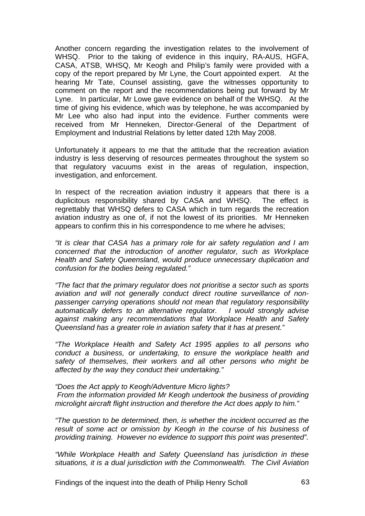Another concern regarding the investigation relates to the involvement of WHSQ. Prior to the taking of evidence in this inquiry, RA-AUS, HGFA, CASA, ATSB, WHSQ, Mr Keogh and Philip's family were provided with a copy of the report prepared by Mr Lyne, the Court appointed expert. At the hearing Mr Tate, Counsel assisting, gave the witnesses opportunity to comment on the report and the recommendations being put forward by Mr Lyne. In particular, Mr Lowe gave evidence on behalf of the WHSQ. At the time of giving his evidence, which was by telephone, he was accompanied by Mr Lee who also had input into the evidence. Further comments were received from Mr Henneken, Director-General of the Department of Employment and Industrial Relations by letter dated 12th May 2008.

Unfortunately it appears to me that the attitude that the recreation aviation industry is less deserving of resources permeates throughout the system so that regulatory vacuums exist in the areas of regulation, inspection, investigation, and enforcement.

In respect of the recreation aviation industry it appears that there is a duplicitous responsibility shared by CASA and WHSQ. The effect is regrettably that WHSQ defers to CASA which in turn regards the recreation aviation industry as one of, if not the lowest of its priorities. Mr Henneken appears to confirm this in his correspondence to me where he advises;

*"It is clear that CASA has a primary role for air safety regulation and I am concerned that the introduction of another regulator, such as Workplace Health and Safety Queensland, would produce unnecessary duplication and confusion for the bodies being regulated."* 

*"The fact that the primary regulator does not prioritise a sector such as sports aviation and will not generally conduct direct routine surveillance of nonpassenger carrying operations should not mean that regulatory responsibility automatically defers to an alternative regulator. I would strongly advise against making any recommendations that Workplace Health and Safety Queensland has a greater role in aviation safety that it has at present."* 

*"The Workplace Health and Safety Act 1995 applies to all persons who conduct a business, or undertaking, to ensure the workplace health and safety of themselves, their workers and all other persons who might be affected by the way they conduct their undertaking."* 

*"Does the Act apply to Keogh/Adventure Micro lights? From the information provided Mr Keogh undertook the business of providing microlight aircraft flight instruction and therefore the Act does apply to him."* 

*"The question to be determined, then, is whether the incident occurred as the result of some act or omission by Keogh in the course of his business of providing training. However no evidence to support this point was presented".* 

*"While Workplace Health and Safety Queensland has jurisdiction in these situations, it is a dual jurisdiction with the Commonwealth. The Civil Aviation* 

Findings of the inquest into the death of Philip Henry Scholl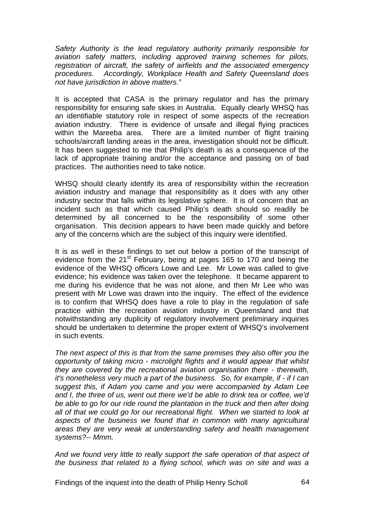*Safety Authority is the lead regulatory authority primarily responsible for aviation safety matters, including approved training schemes for pilots, registration of aircraft, the safety of airfields and the associated emergency procedures. Accordingly, Workplace Health and Safety Queensland does not have jurisdiction in above matters."* 

It is accepted that CASA is the primary regulator and has the primary responsibility for ensuring safe skies in Australia. Equally clearly WHSQ has an identifiable statutory role in respect of some aspects of the recreation aviation industry. There is evidence of unsafe and illegal flying practices within the Mareeba area. There are a limited number of flight training schools/aircraft landing areas in the area, investigation should not be difficult. It has been suggested to me that Philip's death is as a consequence of the lack of appropriate training and/or the acceptance and passing on of bad practices. The authorities need to take notice.

WHSQ should clearly identify its area of responsibility within the recreation aviation industry and manage that responsibility as it does with any other industry sector that falls within its legislative sphere. It is of concern that an incident such as that which caused Philip's death should so readily be determined by all concerned to be the responsibility of some other organisation. This decision appears to have been made quickly and before any of the concerns which are the subject of this inquiry were identified.

It is as well in these findings to set out below a portion of the transcript of evidence from the  $21^{st}$  February, being at pages 165 to 170 and being the evidence of the WHSQ officers Lowe and Lee. Mr Lowe was called to give evidence; his evidence was taken over the telephone. It became apparent to me during his evidence that he was not alone, and then Mr Lee who was present with Mr Lowe was drawn into the inquiry. The effect of the evidence is to confirm that WHSQ does have a role to play in the regulation of safe practice within the recreation aviation industry in Queensland and that notwithstanding any duplicity of regulatory involvement preliminary inquiries should be undertaken to determine the proper extent of WHSQ's involvement in such events.

*The next aspect of this is that from the same premises they also offer you the opportunity of taking micro - microlight flights and it would appear that whilst they are covered by the recreational aviation organisation there - therewith, it's nonetheless very much a part of the business. So, for example, if - if I can suggest this, if Adam you came and you were accompanied by Adam Lee and I, the three of us, went out there we'd be able to drink tea or coffee, we'd*  be able to go for our ride round the plantation in the truck and then after doing *all of that we could go for our recreational flight. When we started to look at aspects of the business we found that in common with many agricultural areas they are very weak at understanding safety and health management systems?-- Mmm.* 

*And we found very little to really support the safe operation of that aspect of the business that related to a flying school, which was on site and was a*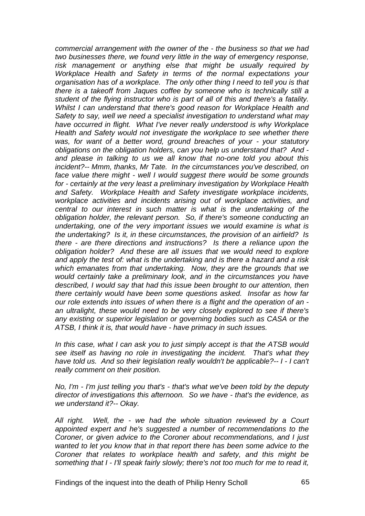*commercial arrangement with the owner of the - the business so that we had two businesses there, we found very little in the way of emergency response, risk management or anything else that might be usually required by Workplace Health and Safety in terms of the normal expectations your organisation has of a workplace. The only other thing I need to tell you is that there is a takeoff from Jaques coffee by someone who is technically still a student of the flying instructor who is part of all of this and there's a fatality. Whilst I can understand that there's good reason for Workplace Health and Safety to say, well we need a specialist investigation to understand what may have occurred in flight. What I've never really understood is why Workplace Health and Safety would not investigate the workplace to see whether there was, for want of a better word, ground breaches of your - your statutory obligations on the obligation holders, can you help us understand that? And and please in talking to us we all know that no-one told you about this incident?-- Mmm, thanks, Mr Tate. In the circumstances you've described, on face value there might - well I would suggest there would be some grounds for - certainly at the very least a preliminary investigation by Workplace Health and Safety. Workplace Health and Safety investigate workplace incidents, workplace activities and incidents arising out of workplace activities, and central to our interest in such matter is what is the undertaking of the obligation holder, the relevant person. So, if there's someone conducting an undertaking, one of the very important issues we would examine is what is the undertaking? Is it, in these circumstances, the provision of an airfield? Is there - are there directions and instructions? Is there a reliance upon the obligation holder? And these are all issues that we would need to explore and apply the test of: what is the undertaking and is there a hazard and a risk which emanates from that undertaking. Now, they are the grounds that we would certainly take a preliminary look, and in the circumstances you have described, I would say that had this issue been brought to our attention, then there certainly would have been some questions asked. Insofar as how far our role extends into issues of when there is a flight and the operation of an an ultralight, these would need to be very closely explored to see if there's any existing or superior legislation or governing bodies such as CASA or the ATSB, I think it is, that would have - have primacy in such issues.* 

*In this case, what I can ask you to just simply accept is that the ATSB would see itself as having no role in investigating the incident. That's what they have told us. And so their legislation really wouldn't be applicable?-- I - I can't really comment on their position.* 

*No, I'm - I'm just telling you that's - that's what we've been told by the deputy director of investigations this afternoon. So we have - that's the evidence, as we understand it?-- Okay.* 

*All right. Well, the - we had the whole situation reviewed by a Court appointed expert and he's suggested a number of recommendations to the Coroner, or given advice to the Coroner about recommendations, and I just wanted to let you know that in that report there has been some advice to the Coroner that relates to workplace health and safety, and this might be something that I - I'll speak fairly slowly; there's not too much for me to read it,*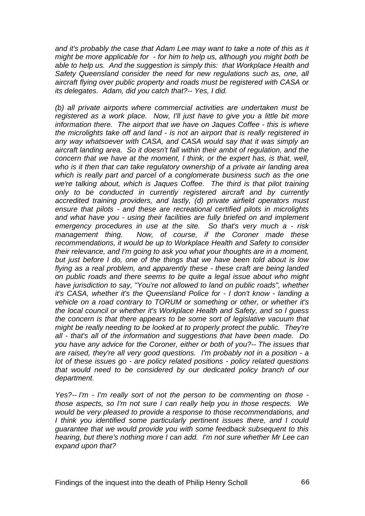*and it's probably the case that Adam Lee may want to take a note of this as it might be more applicable for - for him to help us, although you might both be able to help us. And the suggestion is simply this: that Workplace Health and Safety Queensland consider the need for new regulations such as, one, all aircraft flying over public property and roads must be registered with CASA or its delegates. Adam, did you catch that?-- Yes, I did.* 

*(b) all private airports where commercial activities are undertaken must be registered as a work place. Now, I'll just have to give you a little bit more information there. The airport that we have on Jaques Coffee - this is where the microlights take off and land - is not an airport that is really registered in any way whatsoever with CASA, and CASA would say that it was simply an aircraft landing area. So it doesn't fall within their ambit of regulation, and the concern that we have at the moment, I think, or the expert has, is that, well, who is it then that can take regulatory ownership of a private air landing area which is really part and parcel of a conglomerate business such as the one we're talking about, which is Jaques Coffee. The third is that pilot training only to be conducted in currently registered aircraft and by currently accredited training providers, and lastly, (d) private airfield operators must ensure that pilots - and these are recreational certified pilots in microlights and what have you - using their facilities are fully briefed on and implement emergency procedures in use at the site. So that's very much a - risk management thing. Now, of course, if the Coroner made these recommendations, it would be up to Workplace Health and Safety to consider their relevance, and I'm going to ask you what your thoughts are in a moment, but just before I do, one of the things that we have been told about is low flying as a real problem, and apparently these - these craft are being landed on public roads and there seems to be quite a legal issue about who might have jurisdiction to say, "You're not allowed to land on public roads", whether it's CASA, whether it's the Queensland Police for - I don't know - landing a vehicle on a road contrary to TORUM or something or other, or whether it's the local council or whether it's Workplace Health and Safety, and so I guess the concern is that there appears to be some sort of legislative vacuum that might be really needing to be looked at to properly protect the public. They're all - that's all of the information and suggestions that have been made. Do you have any advice for the Coroner, either or both of you?-- The issues that are raised, they're all very good questions. I'm probably not in a position - a lot of these issues go - are policy related positions - policy related questions that would need to be considered by our dedicated policy branch of our department.* 

*Yes?-- I'm - I'm really sort of not the person to be commenting on those those aspects, so I'm not sure I can really help you in those respects. We would be very pleased to provide a response to those recommendations, and I think you identified some particularly pertinent issues there, and I could guarantee that we would provide you with some feedback subsequent to this hearing, but there's nothing more I can add. I'm not sure whether Mr Lee can expand upon that?*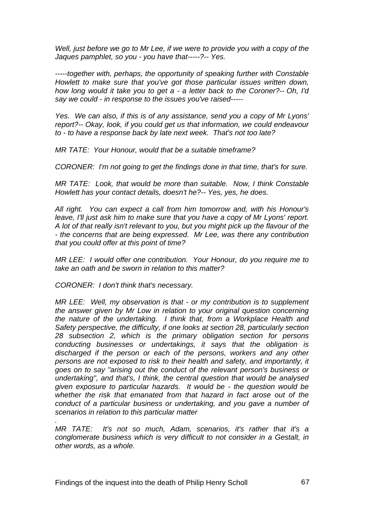*Well, just before we go to Mr Lee, if we were to provide you with a copy of the Jaques pamphlet, so you - you have that-----?-- Yes.* 

*-----together with, perhaps, the opportunity of speaking further with Constable Howlett to make sure that you've got those particular issues written down, how long would it take you to get a - a letter back to the Coroner?-- Oh, I'd say we could - in response to the issues you've raised-----* 

*Yes. We can also, if this is of any assistance, send you a copy of Mr Lyons' report?-- Okay, look, if you could get us that information, we could endeavour to - to have a response back by late next week. That's not too late?* 

*MR TATE: Your Honour, would that be a suitable timeframe?* 

*CORONER: I'm not going to get the findings done in that time, that's for sure.* 

*MR TATE: Look, that would be more than suitable. Now, I think Constable Howlett has your contact details, doesn't he?-- Yes, yes, he does.* 

*All right. You can expect a call from him tomorrow and, with his Honour's leave, I'll just ask him to make sure that you have a copy of Mr Lyons' report. A lot of that really isn't relevant to you, but you might pick up the flavour of the - the concerns that are being expressed. Mr Lee, was there any contribution that you could offer at this point of time?* 

*MR LEE: I would offer one contribution. Your Honour, do you require me to take an oath and be sworn in relation to this matter?* 

*CORONER: I don't think that's necessary.* 

*.* 

*MR LEE: Well, my observation is that - or my contribution is to supplement the answer given by Mr Low in relation to your original question concerning the nature of the undertaking. I think that, from a Workplace Health and Safety perspective, the difficulty, if one looks at section 28, particularly section 28 subsection 2, which is the primary obligation section for persons conducting businesses or undertakings, it says that the obligation is discharged if the person or each of the persons, workers and any other persons are not exposed to risk to their health and safety, and importantly, it goes on to say "arising out the conduct of the relevant person's business or undertaking", and that's, I think, the central question that would be analysed given exposure to particular hazards. It would be - the question would be whether the risk that emanated from that hazard in fact arose out of the conduct of a particular business or undertaking, and you gave a number of scenarios in relation to this particular matter* 

*MR TATE: It's not so much, Adam, scenarios, it's rather that it's a conglomerate business which is very difficult to not consider in a Gestalt, in other words, as a whole.*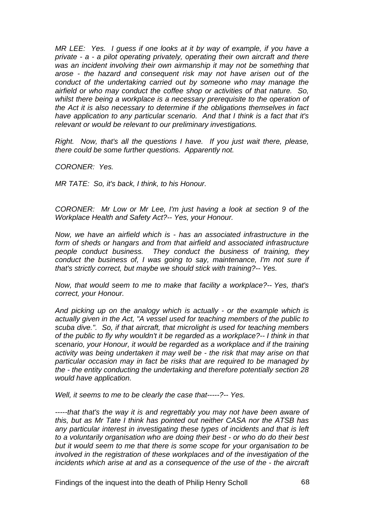*MR LEE:* Yes. I guess if one looks at it by way of example, if you have a *private - a - a pilot operating privately, operating their own aircraft and there was an incident involving their own airmanship it may not be something that arose - the hazard and consequent risk may not have arisen out of the conduct of the undertaking carried out by someone who may manage the airfield or who may conduct the coffee shop or activities of that nature. So, whilst there being a workplace is a necessary prerequisite to the operation of the Act it is also necessary to determine if the obligations themselves in fact have application to any particular scenario. And that I think is a fact that it's relevant or would be relevant to our preliminary investigations.* 

*Right. Now, that's all the questions I have. If you just wait there, please, there could be some further questions. Apparently not.* 

*CORONER: Yes.* 

*MR TATE: So, it's back, I think, to his Honour.* 

*CORONER: Mr Low or Mr Lee, I'm just having a look at section 9 of the Workplace Health and Safety Act?-- Yes, your Honour.* 

*Now, we have an airfield which is - has an associated infrastructure in the form of sheds or hangars and from that airfield and associated infrastructure people conduct business. They conduct the business of training, they conduct the business of, I was going to say, maintenance, I'm not sure if that's strictly correct, but maybe we should stick with training?-- Yes.* 

*Now, that would seem to me to make that facility a workplace?-- Yes, that's correct, your Honour.* 

*And picking up on the analogy which is actually - or the example which is actually given in the Act, "A vessel used for teaching members of the public to scuba dive.". So, if that aircraft, that microlight is used for teaching members of the public to fly why wouldn't it be regarded as a workplace?-- I think in that scenario, your Honour, it would be regarded as a workplace and if the training activity was being undertaken it may well be - the risk that may arise on that particular occasion may in fact be risks that are required to be managed by the - the entity conducting the undertaking and therefore potentially section 28 would have application.* 

*Well, it seems to me to be clearly the case that-----?-- Yes.* 

*-----that that's the way it is and regrettably you may not have been aware of this, but as Mr Tate I think has pointed out neither CASA nor the ATSB has any particular interest in investigating these types of incidents and that is left to a voluntarily organisation who are doing their best - or who do do their best but it would seem to me that there is some scope for your organisation to be involved in the registration of these workplaces and of the investigation of the incidents which arise at and as a consequence of the use of the - the aircraft* 

Findings of the inquest into the death of Philip Henry Scholl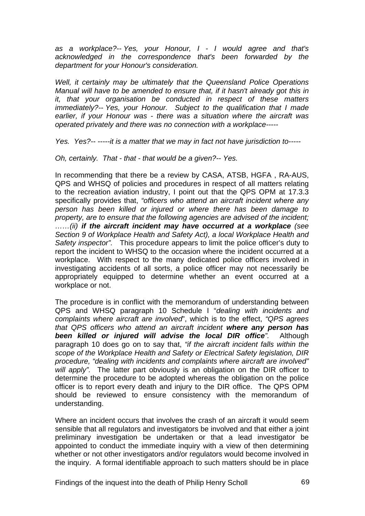*as a workplace?-- Yes, your Honour, I - I would agree and that's acknowledged in the correspondence that's been forwarded by the department for your Honour's consideration.* 

*Well, it certainly may be ultimately that the Queensland Police Operations Manual will have to be amended to ensure that, if it hasn't already got this in it, that your organisation be conducted in respect of these matters immediately?-- Yes, your Honour. Subject to the qualification that I made earlier, if your Honour was - there was a situation where the aircraft was operated privately and there was no connection with a workplace-----* 

*Yes. Yes?-- -----it is a matter that we may in fact not have jurisdiction to-----* 

*Oh, certainly. That - that - that would be a given?-- Yes.* 

In recommending that there be a review by CASA, ATSB, HGFA , RA-AUS, QPS and WHSQ of policies and procedures in respect of all matters relating to the recreation aviation industry, I point out that the QPS OPM at 17.3.3 specifically provides that, *"officers who attend an aircraft incident where any person has been killed or injured or where there has been damage to property, are to ensure that the following agencies are advised of the incident; ……(ii) if the aircraft incident may have occurred at a workplace (see Section 9 of Workplace Health and Safety Act), a local Workplace Health and Safety inspector".* This procedure appears to limit the police officer's duty to report the incident to WHSQ to the occasion where the incident occurred at a workplace. With respect to the many dedicated police officers involved in investigating accidents of all sorts, a police officer may not necessarily be appropriately equipped to determine whether an event occurred at a workplace or not.

The procedure is in conflict with the memorandum of understanding between QPS and WHSQ paragraph 10 Schedule I "*dealing with incidents and complaints where aircraft are involved*", which is to the effect, *"QPS agrees that QPS officers who attend an aircraft incident where any person has been killed or injured will advise the local DIR office".* Although paragraph 10 does go on to say that, *"if the aircraft incident falls within the scope of the Workplace Health and Safety or Electrical Safety legislation, DIR procedure, "dealing with incidents and complaints where aircraft are involved" will apply".* The latter part obviously is an obligation on the DIR officer to determine the procedure to be adopted whereas the obligation on the police officer is to report every death and injury to the DIR office. The QPS OPM should be reviewed to ensure consistency with the memorandum of understanding.

Where an incident occurs that involves the crash of an aircraft it would seem sensible that all regulators and investigators be involved and that either a joint preliminary investigation be undertaken or that a lead investigator be appointed to conduct the immediate inquiry with a view of then determining whether or not other investigators and/or regulators would become involved in the inquiry. A formal identifiable approach to such matters should be in place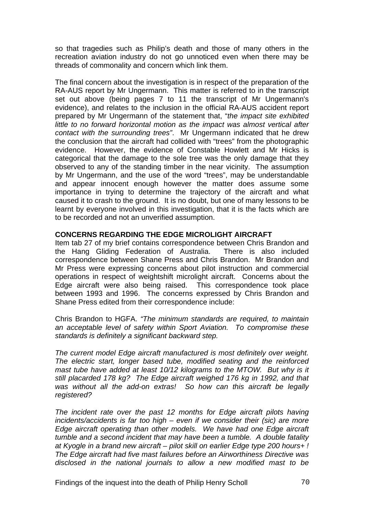so that tragedies such as Philip's death and those of many others in the recreation aviation industry do not go unnoticed even when there may be threads of commonality and concern which link them.

The final concern about the investigation is in respect of the preparation of the RA-AUS report by Mr Ungermann. This matter is referred to in the transcript set out above (being pages 7 to 11 the transcript of Mr Ungermann's evidence), and relates to the inclusion in the official RA-AUS accident report prepared by Mr Ungermann of the statement that, "*the impact site exhibited little to no forward horizontal motion as the impact was almost vertical after contact with the surrounding trees"*. Mr Ungermann indicated that he drew the conclusion that the aircraft had collided with "trees" from the photographic evidence. However, the evidence of Constable Howlett and Mr Hicks is categorical that the damage to the sole tree was the only damage that they observed to any of the standing timber in the near vicinity. The assumption by Mr Ungermann, and the use of the word "trees", may be understandable and appear innocent enough however the matter does assume some importance in trying to determine the trajectory of the aircraft and what caused it to crash to the ground. It is no doubt, but one of many lessons to be learnt by everyone involved in this investigation, that it is the facts which are to be recorded and not an unverified assumption.

# **CONCERNS REGARDING THE EDGE MICROLIGHT AIRCRAFT**

Item tab 27 of my brief contains correspondence between Chris Brandon and the Hang Gliding Federation of Australia. There is also included correspondence between Shane Press and Chris Brandon. Mr Brandon and Mr Press were expressing concerns about pilot instruction and commercial operations in respect of weightshift microlight aircraft. Concerns about the Edge aircraft were also being raised. This correspondence took place between 1993 and 1996. The concerns expressed by Chris Brandon and Shane Press edited from their correspondence include:

Chris Brandon to HGFA. *"The minimum standards are required, to maintain an acceptable level of safety within Sport Aviation. To compromise these standards is definitely a significant backward step.* 

*The current model Edge aircraft manufactured is most definitely over weight. The electric start, longer based tube, modified seating and the reinforced*  mast tube have added at least 10/12 kilograms to the MTOW. But why is it *still placarded 178 kg? The Edge aircraft weighed 176 kg in 1992, and that was without all the add-on extras! So how can this aircraft be legally registered?* 

*The incident rate over the past 12 months for Edge aircraft pilots having incidents/accidents is far too high – even if we consider their (sic) are more Edge aircraft operating than other models. We have had one Edge aircraft tumble and a second incident that may have been a tumble. A double fatality at Kyogle in a brand new aircraft – pilot skill on earlier Edge type 200 hours+ ! The Edge aircraft had five mast failures before an Airworthiness Directive was disclosed in the national journals to allow a new modified mast to be*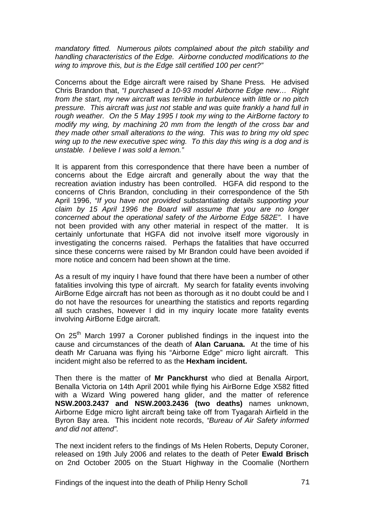*mandatory fitted. Numerous pilots complained about the pitch stability and handling characteristics of the Edge. Airborne conducted modifications to the wing to improve this, but is the Edge still certified 100 per cent?"* 

Concerns about the Edge aircraft were raised by Shane Press*.* He advised Chris Brandon that, *"I purchased a 10-93 model Airborne Edge new… Right from the start, my new aircraft was terrible in turbulence with little or no pitch pressure. This aircraft was just not stable and was quite frankly a hand full in rough weather. On the 5 May 1995 I took my wing to the AirBorne factory to modify my wing, by machining 20 mm from the length of the cross bar and they made other small alterations to the wing. This was to bring my old spec wing up to the new executive spec wing. To this day this wing is a dog and is unstable. I believe I was sold a lemon."* 

It is apparent from this correspondence that there have been a number of concerns about the Edge aircraft and generally about the way that the recreation aviation industry has been controlled. HGFA did respond to the concerns of Chris Brandon, concluding in their correspondence of the 5th April 1996, *"If you have not provided substantiating details supporting your claim by 15 April 1996 the Board will assume that you are no longer concerned about the operational safety of the Airborne Edge 582E".* I have not been provided with any other material in respect of the matter. It is certainly unfortunate that HGFA did not involve itself more vigorously in investigating the concerns raised. Perhaps the fatalities that have occurred since these concerns were raised by Mr Brandon could have been avoided if more notice and concern had been shown at the time.

As a result of my inquiry I have found that there have been a number of other fatalities involving this type of aircraft. My search for fatality events involving AirBorne Edge aircraft has not been as thorough as it no doubt could be and I do not have the resources for unearthing the statistics and reports regarding all such crashes, however I did in my inquiry locate more fatality events involving AirBorne Edge aircraft.

On 25<sup>th</sup> March 1997 a Coroner published findings in the inquest into the cause and circumstances of the death of **Alan Caruana.** At the time of his death Mr Caruana was flying his "Airborne Edge" micro light aircraft. This incident might also be referred to as the **Hexham incident.** 

Then there is the matter of **Mr Panckhurst** who died at Benalla Airport, Benalla Victoria on 14th April 2001 while flying his AirBorne Edge X582 fitted with a Wizard Wing powered hang glider, and the matter of reference **NSW.2003.2437 and NSW.2003.2436 (two deaths)** names unknown, Airborne Edge micro light aircraft being take off from Tyagarah Airfield in the Byron Bay area. This incident note records, *"Bureau of Air Safety informed and did not attend".* 

The next incident refers to the findings of Ms Helen Roberts, Deputy Coroner, released on 19th July 2006 and relates to the death of Peter **Ewald Brisch** on 2nd October 2005 on the Stuart Highway in the Coomalie (Northern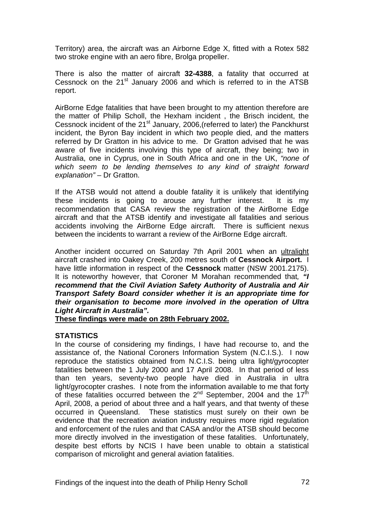Territory) area, the aircraft was an Airborne Edge X, fitted with a Rotex 582 two stroke engine with an aero fibre, Brolga propeller.

There is also the matter of aircraft **32-4388**, a fatality that occurred at Cessnock on the  $21<sup>st</sup>$  January 2006 and which is referred to in the ATSB report.

AirBorne Edge fatalities that have been brought to my attention therefore are the matter of Philip Scholl, the Hexham incident , the Brisch incident, the Cessnock incident of the 21<sup>st</sup> January, 2006, (referred to later) the Panckhurst incident, the Byron Bay incident in which two people died, and the matters referred by Dr Gratton in his advice to me. Dr Gratton advised that he was aware of five incidents involving this type of aircraft, they being; two in Australia, one in Cyprus, one in South Africa and one in the UK, *"none of which seem to be lending themselves to any kind of straight forward explanation"* – Dr Gratton.

If the ATSB would not attend a double fatality it is unlikely that identifying these incidents is going to arouse any further interest. It is my recommendation that CASA review the registration of the AirBorne Edge aircraft and that the ATSB identify and investigate all fatalities and serious accidents involving the AirBorne Edge aircraft. There is sufficient nexus between the incidents to warrant a review of the AirBorne Edge aircraft.

Another incident occurred on Saturday 7th April 2001 when an ultralight aircraft crashed into Oakey Creek, 200 metres south of **Cessnock Airport.** I have little information in respect of the **Cessnock** matter (NSW 2001.2175). It is noteworthy however, that Coroner M Morahan recommended that*, "I recommend that the Civil Aviation Safety Authority of Australia and Air Transport Safety Board consider whether it is an appropriate time for their organisation to become more involved in the operation of Ultra Light Aircraft in Australia".*

**These findings were made on 28th February 2002.**

### **STATISTICS**

In the course of considering my findings, I have had recourse to, and the assistance of, the National Coroners Information System (N.C.I.S.). I now reproduce the statistics obtained from N.C.I.S. being ultra light/gyrocopter fatalities between the 1 July 2000 and 17 April 2008. In that period of less than ten years, seventy-two people have died in Australia in ultra light/gyrocopter crashes. I note from the information available to me that forty of these fatalities occurred between the  $2^{nd}$  September, 2004 and the 17<sup>th</sup> April, 2008, a period of about three and a half years, and that twenty of these occurred in Queensland. These statistics must surely on their own be evidence that the recreation aviation industry requires more rigid regulation and enforcement of the rules and that CASA and/or the ATSB should become more directly involved in the investigation of these fatalities. Unfortunately, despite best efforts by NCIS I have been unable to obtain a statistical comparison of microlight and general aviation fatalities.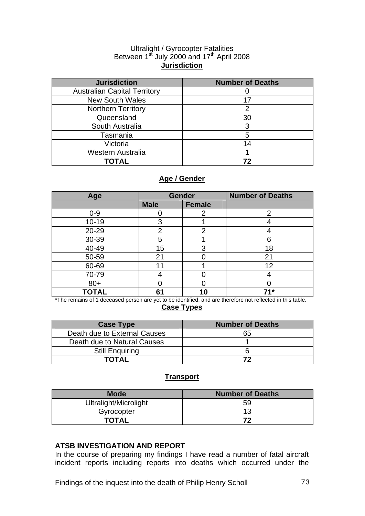#### Ultralight / Gyrocopter Fatalities Between  $1<sup>st</sup>$  July 2000 and  $17<sup>th</sup>$  April 2008 **Jurisdiction**

| <b>Jurisdiction</b>                 | <b>Number of Deaths</b> |
|-------------------------------------|-------------------------|
| <b>Australian Capital Territory</b> |                         |
| <b>New South Wales</b>              | 17                      |
| <b>Northern Territory</b>           | 2                       |
| Queensland                          | 30                      |
| South Australia                     | 3                       |
| Tasmania                            | 5                       |
| Victoria                            | 14                      |
| <b>Western Australia</b>            |                         |
| ΤΟΤΑΙ                               | 72                      |

# **Age / Gender**

| Age          | <b>Gender</b>  |               | <b>Number of Deaths</b> |
|--------------|----------------|---------------|-------------------------|
|              | <b>Male</b>    | <b>Female</b> |                         |
| $0 - 9$      |                |               | 2                       |
| $10 - 19$    | 3              |               |                         |
| 20-29        | $\overline{2}$ | 2             |                         |
| 30-39        | 5              |               | 6                       |
| 40-49        | 15             | 3             | 18                      |
| 50-59        | 21             |               | 21                      |
| 60-69        |                |               | 12                      |
| 70-79        |                |               |                         |
| $80 +$       |                |               |                         |
| <b>TOTAL</b> | 61             | 10            | 71*                     |

\*The remains of 1 deceased person are yet to be identified, and are therefore not reflected in this table. **Case Types**

| <b>Case Type</b>             | <b>Number of Deaths</b> |
|------------------------------|-------------------------|
| Death due to External Causes | 65                      |
| Death due to Natural Causes  |                         |
| <b>Still Enquiring</b>       |                         |
| TOTAL                        |                         |

## **Transport**

| <b>Mode</b>           | <b>Number of Deaths</b> |
|-----------------------|-------------------------|
| Ultralight/Microlight | 59                      |
| Gyrocopter            |                         |
| <b>TOTAL</b>          | 79                      |

### **ATSB INVESTIGATION AND REPORT**

In the course of preparing my findings I have read a number of fatal aircraft incident reports including reports into deaths which occurred under the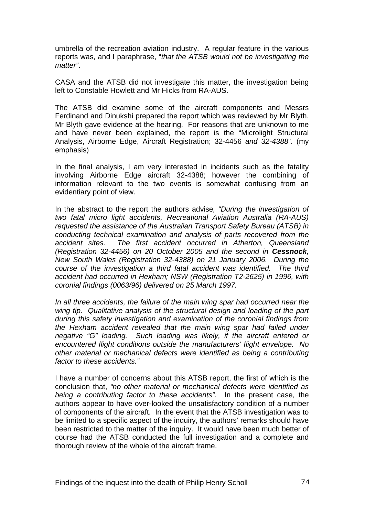umbrella of the recreation aviation industry. A regular feature in the various reports was, and I paraphrase, "*that the ATSB would not be investigating the matter"*.

CASA and the ATSB did not investigate this matter, the investigation being left to Constable Howlett and Mr Hicks from RA-AUS.

The ATSB did examine some of the aircraft components and Messrs Ferdinand and Dinukshi prepared the report which was reviewed by Mr Blyth. Mr Blyth gave evidence at the hearing. For reasons that are unknown to me and have never been explained, the report is the "Microlight Structural Analysis, Airborne Edge, Aircraft Registration; 32-4456 *and 32-4388*". (my emphasis)

In the final analysis, I am very interested in incidents such as the fatality involving Airborne Edge aircraft 32-4388; however the combining of information relevant to the two events is somewhat confusing from an evidentiary point of view.

In the abstract to the report the authors advise*, "During the investigation of two fatal micro light accidents, Recreational Aviation Australia (RA-AUS) requested the assistance of the Australian Transport Safety Bureau (ATSB) in conducting technical examination and analysis of parts recovered from the accident sites. The first accident occurred in Atherton, Queensland (Registration 32-4456) on 20 October 2005 and the second in Cessnock, New South Wales (Registration 32-4388) on 21 January 2006. During the course of the investigation a third fatal accident was identified. The third accident had occurred in Hexham; NSW (Registration T2-2625) in 1996, with coronial findings (0063/96) delivered on 25 March 1997.* 

In all three accidents, the failure of the main wing spar had occurred near the *wing tip. Qualitative analysis of the structural design and loading of the part during this safety investigation and examination of the coronial findings from the Hexham accident revealed that the main wing spar had failed under negative "G" loading. Such loading was likely, if the aircraft entered or encountered flight conditions outside the manufacturers' flight envelope. No other material or mechanical defects were identified as being a contributing factor to these accidents."* 

I have a number of concerns about this ATSB report, the first of which is the conclusion that, *"no other material or mechanical defects were identified as being a contributing factor to these accidents".* In the present case, the authors appear to have over-looked the unsatisfactory condition of a number of components of the aircraft. In the event that the ATSB investigation was to be limited to a specific aspect of the inquiry, the authors' remarks should have been restricted to the matter of the inquiry. It would have been much better of course had the ATSB conducted the full investigation and a complete and thorough review of the whole of the aircraft frame.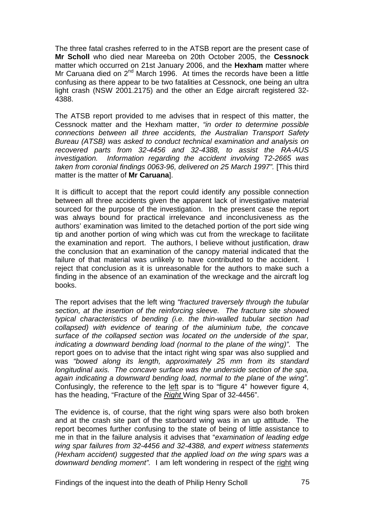The three fatal crashes referred to in the ATSB report are the present case of **Mr Scholl** who died near Mareeba on 20th October 2005, the **Cessnock** matter which occurred on 21st January 2006, and the **Hexham** matter where Mr Caruana died on  $2^{nd}$  March 1996. At times the records have been a little confusing as there appear to be two fatalities at Cessnock, one being an ultra light crash (NSW 2001.2175) and the other an Edge aircraft registered 32- 4388.

The ATSB report provided to me advises that in respect of this matter, the Cessnock matter and the Hexham matter, *"in order to determine possible connections between all three accidents, the Australian Transport Safety Bureau (ATSB) was asked to conduct technical examination and analysis on recovered parts from 32-4456 and 32-4388, to assist the RA-AUS investigation. Information regarding the accident involving T2-2665 was taken from coronial findings 0063-96, delivered on 25 March 1997".* [This third matter is the matter of **Mr Caruana**].

It is difficult to accept that the report could identify any possible connection between all three accidents given the apparent lack of investigative material sourced for the purpose of the investigation. In the present case the report was always bound for practical irrelevance and inconclusiveness as the authors' examination was limited to the detached portion of the port side wing tip and another portion of wing which was cut from the wreckage to facilitate the examination and report. The authors, I believe without justification, draw the conclusion that an examination of the canopy material indicated that the failure of that material was unlikely to have contributed to the accident. I reject that conclusion as it is unreasonable for the authors to make such a finding in the absence of an examination of the wreckage and the aircraft log books.

The report advises that the left wing *"fractured traversely through the tubular section, at the insertion of the reinforcing sleeve. The fracture site showed typical characteristics of bending (i.e. the thin-walled tubular section had collapsed) with evidence of tearing of the aluminium tube, the concave surface of the collapsed section was located on the underside of the spar, indicating a downward bending load (normal to the plane of the wing)".* The report goes on to advise that the intact right wing spar was also supplied and was *"bowed along its length, approximately 25 mm from its standard longitudinal axis. The concave surface was the underside section of the spa, again indicating a downward bending load, normal to the plane of the wing".* Confusingly, the reference to the left spar is to "figure 4" however figure 4, has the heading, "Fracture of the *Right* Wing Spar of 32-4456".

The evidence is, of course, that the right wing spars were also both broken and at the crash site part of the starboard wing was in an up attitude. The report becomes further confusing to the state of being of little assistance to me in that in the failure analysis it advises that "*examination of leading edge wing spar failures from 32-4456 and 32-4388, and expert witness statements (Hexham accident) suggested that the applied load on the wing spars was a*  downward bending moment". I am left wondering in respect of the right wing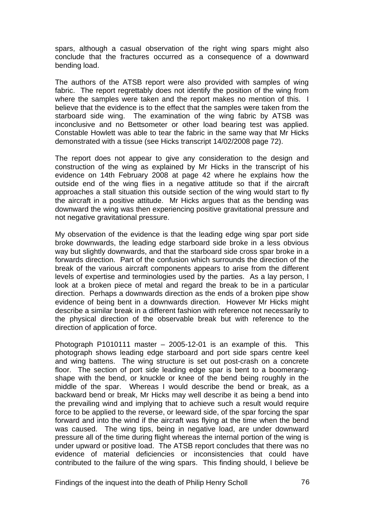spars, although a casual observation of the right wing spars might also conclude that the fractures occurred as a consequence of a downward bending load.

The authors of the ATSB report were also provided with samples of wing fabric. The report regrettably does not identify the position of the wing from where the samples were taken and the report makes no mention of this. I believe that the evidence is to the effect that the samples were taken from the starboard side wing. The examination of the wing fabric by ATSB was inconclusive and no Bettsometer or other load bearing test was applied. Constable Howlett was able to tear the fabric in the same way that Mr Hicks demonstrated with a tissue (see Hicks transcript 14/02/2008 page 72).

The report does not appear to give any consideration to the design and construction of the wing as explained by Mr Hicks in the transcript of his evidence on 14th February 2008 at page 42 where he explains how the outside end of the wing flies in a negative attitude so that if the aircraft approaches a stall situation this outside section of the wing would start to fly the aircraft in a positive attitude. Mr Hicks argues that as the bending was downward the wing was then experiencing positive gravitational pressure and not negative gravitational pressure.

My observation of the evidence is that the leading edge wing spar port side broke downwards, the leading edge starboard side broke in a less obvious way but slightly downwards, and that the starboard side cross spar broke in a forwards direction. Part of the confusion which surrounds the direction of the break of the various aircraft components appears to arise from the different levels of expertise and terminologies used by the parties. As a lay person, I look at a broken piece of metal and regard the break to be in a particular direction. Perhaps a downwards direction as the ends of a broken pipe show evidence of being bent in a downwards direction. However Mr Hicks might describe a similar break in a different fashion with reference not necessarily to the physical direction of the observable break but with reference to the direction of application of force.

Photograph P1010111 master – 2005-12-01 is an example of this. This photograph shows leading edge starboard and port side spars centre keel and wing battens. The wing structure is set out post-crash on a concrete floor. The section of port side leading edge spar is bent to a boomerangshape with the bend, or knuckle or knee of the bend being roughly in the middle of the spar. Whereas I would describe the bend or break, as a backward bend or break, Mr Hicks may well describe it as being a bend into the prevailing wind and implying that to achieve such a result would require force to be applied to the reverse, or leeward side, of the spar forcing the spar forward and into the wind if the aircraft was flying at the time when the bend was caused. The wing tips, being in negative load, are under downward pressure all of the time during flight whereas the internal portion of the wing is under upward or positive load. The ATSB report concludes that there was no evidence of material deficiencies or inconsistencies that could have contributed to the failure of the wing spars. This finding should, I believe be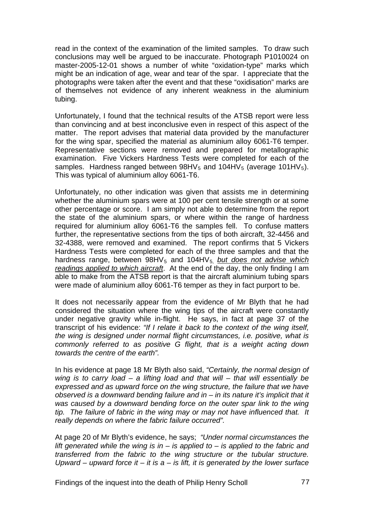read in the context of the examination of the limited samples. To draw such conclusions may well be argued to be inaccurate. Photograph P1010024 on master-2005-12-01 shows a number of white "oxidation-type" marks which might be an indication of age, wear and tear of the spar. I appreciate that the photographs were taken after the event and that these "oxidisation" marks are of themselves not evidence of any inherent weakness in the aluminium tubing.

Unfortunately, I found that the technical results of the ATSB report were less than convincing and at best inconclusive even in respect of this aspect of the matter. The report advises that material data provided by the manufacturer for the wing spar, specified the material as aluminium alloy 6061-T6 temper. Representative sections were removed and prepared for metallographic examination. Five Vickers Hardness Tests were completed for each of the samples. Hardness ranged between  $98HV_5$  and  $104HV_5$  (average 101HV<sub>5</sub>). This was typical of aluminium alloy 6061-T6.

Unfortunately, no other indication was given that assists me in determining whether the aluminium spars were at 100 per cent tensile strength or at some other percentage or score. I am simply not able to determine from the report the state of the aluminium spars, or where within the range of hardness required for aluminium alloy 6061-T6 the samples fell. To confuse matters further, the representative sections from the tips of both aircraft, 32-4456 and 32-4388, were removed and examined. The report confirms that 5 Vickers Hardness Tests were completed for each of the three samples and that the hardness range, between 98HV<sub>5</sub> and 104HV<sub>5</sub> *but does not advise which readings applied to which aircraft*. At the end of the day, the only finding I am able to make from the ATSB report is that the aircraft aluminium tubing spars were made of aluminium alloy 6061-T6 temper as they in fact purport to be.

It does not necessarily appear from the evidence of Mr Blyth that he had considered the situation where the wing tips of the aircraft were constantly under negative gravity while in-flight. He says, in fact at page 37 of the transcript of his evidence: *"If I relate it back to the context of the wing itself, the wing is designed under normal flight circumstances, i.e. positive, what is commonly referred to as positive G flight, that is a weight acting down towards the centre of the earth".* 

In his evidence at page 18 Mr Blyth also said, *"Certainly, the normal design of wing is to carry load – a lifting load and that will – that will essentially be expressed and as upward force on the wing structure, the failure that we have observed is a downward bending failure and in – in its nature it's implicit that it was caused by a downward bending force on the outer spar link to the wing tip. The failure of fabric in the wing may or may not have influenced that. It really depends on where the fabric failure occurred".* 

At page 20 of Mr Blyth's evidence, he says; *"Under normal circumstances the lift generated while the wing is in – is applied to – is applied to the fabric and transferred from the fabric to the wing structure or the tubular structure. Upward – upward force it – it is a – is lift, it is generated by the lower surface*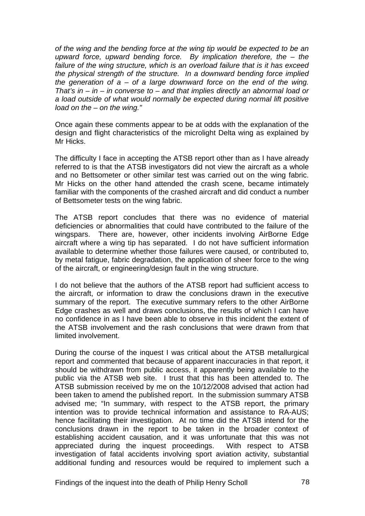*of the wing and the bending force at the wing tip would be expected to be an upward force, upward bending force. By implication therefore, the – the failure of the wing structure, which is an overload failure that is it has exceed the physical strength of the structure. In a downward bending force implied the generation of a – of a large downward force on the end of the wing. That's in – in – in converse to – and that implies directly an abnormal load or a load outside of what would normally be expected during normal lift positive load on the – on the wing."*

Once again these comments appear to be at odds with the explanation of the design and flight characteristics of the microlight Delta wing as explained by Mr Hicks.

The difficulty I face in accepting the ATSB report other than as I have already referred to is that the ATSB investigators did not view the aircraft as a whole and no Bettsometer or other similar test was carried out on the wing fabric. Mr Hicks on the other hand attended the crash scene, became intimately familiar with the components of the crashed aircraft and did conduct a number of Bettsometer tests on the wing fabric.

The ATSB report concludes that there was no evidence of material deficiencies or abnormalities that could have contributed to the failure of the wingspars. There are, however, other incidents involving AirBorne Edge aircraft where a wing tip has separated. I do not have sufficient information available to determine whether those failures were caused, or contributed to, by metal fatigue, fabric degradation, the application of sheer force to the wing of the aircraft, or engineering/design fault in the wing structure.

I do not believe that the authors of the ATSB report had sufficient access to the aircraft, or information to draw the conclusions drawn in the executive summary of the report. The executive summary refers to the other AirBorne Edge crashes as well and draws conclusions, the results of which I can have no confidence in as I have been able to observe in this incident the extent of the ATSB involvement and the rash conclusions that were drawn from that limited involvement.

During the course of the inquest I was critical about the ATSB metallurgical report and commented that because of apparent inaccuracies in that report, it should be withdrawn from public access, it apparently being available to the public via the ATSB web site. I trust that this has been attended to. The ATSB submission received by me on the 10/12/2008 advised that action had been taken to amend the published report. In the submission summary ATSB advised me; "In summary, with respect to the ATSB report, the primary intention was to provide technical information and assistance to RA-AUS; hence facilitating their investigation. At no time did the ATSB intend for the conclusions drawn in the report to be taken in the broader context of establishing accident causation, and it was unfortunate that this was not appreciated during the inquest proceedings. With respect to ATSB investigation of fatal accidents involving sport aviation activity, substantial additional funding and resources would be required to implement such a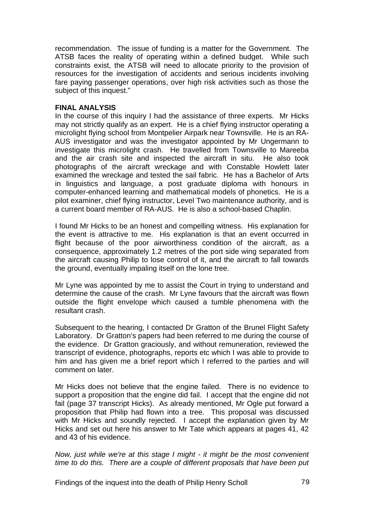recommendation. The issue of funding is a matter for the Government. The ATSB faces the reality of operating within a defined budget. While such constraints exist, the ATSB will need to allocate priority to the provision of resources for the investigation of accidents and serious incidents involving fare paying passenger operations, over high risk activities such as those the subject of this inquest."

#### **FINAL ANALYSIS**

In the course of this inquiry I had the assistance of three experts. Mr Hicks may not strictly qualify as an expert. He is a chief flying instructor operating a microlight flying school from Montpelier Airpark near Townsville. He is an RA-AUS investigator and was the investigator appointed by Mr Ungermann to investigate this microlight crash. He travelled from Townsville to Mareeba and the air crash site and inspected the aircraft in situ. He also took photographs of the aircraft wreckage and with Constable Howlett later examined the wreckage and tested the sail fabric. He has a Bachelor of Arts in linguistics and language, a post graduate diploma with honours in computer-enhanced learning and mathematical models of phonetics. He is a pilot examiner, chief flying instructor, Level Two maintenance authority, and is a current board member of RA-AUS. He is also a school-based Chaplin.

I found Mr Hicks to be an honest and compelling witness. His explanation for the event is attractive to me. His explanation is that an event occurred in flight because of the poor airworthiness condition of the aircraft, as a consequence, approximately 1.2 metres of the port side wing separated from the aircraft causing Philip to lose control of it, and the aircraft to fall towards the ground, eventually impaling itself on the lone tree.

Mr Lyne was appointed by me to assist the Court in trying to understand and determine the cause of the crash. Mr Lyne favours that the aircraft was flown outside the flight envelope which caused a tumble phenomena with the resultant crash.

Subsequent to the hearing, I contacted Dr Gratton of the Brunel Flight Safety Laboratory. Dr Gratton's papers had been referred to me during the course of the evidence. Dr Gratton graciously, and without remuneration, reviewed the transcript of evidence, photographs, reports etc which I was able to provide to him and has given me a brief report which I referred to the parties and will comment on later.

Mr Hicks does not believe that the engine failed. There is no evidence to support a proposition that the engine did fail. I accept that the engine did not fail (page 37 transcript Hicks). As already mentioned, Mr Ogle put forward a proposition that Philip had flown into a tree. This proposal was discussed with Mr Hicks and soundly rejected. I accept the explanation given by Mr Hicks and set out here his answer to Mr Tate which appears at pages 41, 42 and 43 of his evidence.

*Now, just while we're at this stage I might - it might be the most convenient time to do this. There are a couple of different proposals that have been put*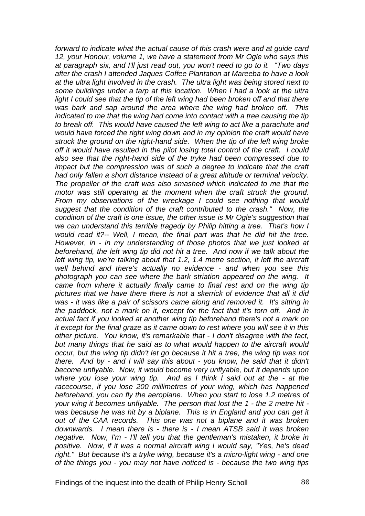*forward to indicate what the actual cause of this crash were and at guide card 12, your Honour, volume 1, we have a statement from Mr Ogle who says this at paragraph six, and I'll just read out, you won't need to go to it. "Two days after the crash I attended Jaques Coffee Plantation at Mareeba to have a look at the ultra light involved in the crash. The ultra light was being stored next to some buildings under a tarp at this location. When I had a look at the ultra light I could see that the tip of the left wing had been broken off and that there was bark and sap around the area where the wing had broken off. This indicated to me that the wing had come into contact with a tree causing the tip to break off. This would have caused the left wing to act like a parachute and would have forced the right wing down and in my opinion the craft would have struck the ground on the right-hand side. When the tip of the left wing broke off it would have resulted in the pilot losing total control of the craft. I could also see that the right-hand side of the tryke had been compressed due to*  impact but the compression was of such a degree to indicate that the craft *had only fallen a short distance instead of a great altitude or terminal velocity. The propeller of the craft was also smashed which indicated to me that the motor was still operating at the moment when the craft struck the ground. From my observations of the wreckage I could see nothing that would suggest that the condition of the craft contributed to the crash." Now, the condition of the craft is one issue, the other issue is Mr Ogle's suggestion that we can understand this terrible tragedy by Philip hitting a tree. That's how I would read it?-- Well, I mean, the final part was that he did hit the tree. However, in - in my understanding of those photos that we just looked at beforehand, the left wing tip did not hit a tree. And now if we talk about the left wing tip, we're talking about that 1.2, 1.4 metre section, it left the aircraft well behind and there's actually no evidence - and when you see this photograph you can see where the bark striation appeared on the wing. It came from where it actually finally came to final rest and on the wing tip pictures that we have there there is not a skerrick of evidence that all it did was - it was like a pair of scissors came along and removed it. It's sitting in the paddock, not a mark on it, except for the fact that it's torn off. And in actual fact if you looked at another wing tip beforehand there's not a mark on it except for the final graze as it came down to rest where you will see it in this other picture. You know, it's remarkable that - I don't disagree with the fact, but many things that he said as to what would happen to the aircraft would occur, but the wing tip didn't let go because it hit a tree, the wing tip was not there. And by - and I will say this about - you know, he said that it didn't become unflyable. Now, it would become very unflyable, but it depends upon where you lose your wing tip. And as I think I said out at the - at the racecourse, if you lose 200 millimetres of your wing, which has happened beforehand, you can fly the aeroplane. When you start to lose 1.2 metres of your wing it becomes unflyable. The person that lost the 1 - the 2 metre hit was because he was hit by a biplane. This is in England and you can get it out of the CAA records. This one was not a biplane and it was broken downwards. I mean there is - there is - I mean ATSB said it was broken negative. Now, I'm - I'll tell you that the gentleman's mistaken, it broke in positive. Now, if it was a normal aircraft wing I would say, "Yes, he's dead right." But because it's a tryke wing, because it's a micro-light wing - and one of the things you - you may not have noticed is - because the two wing tips*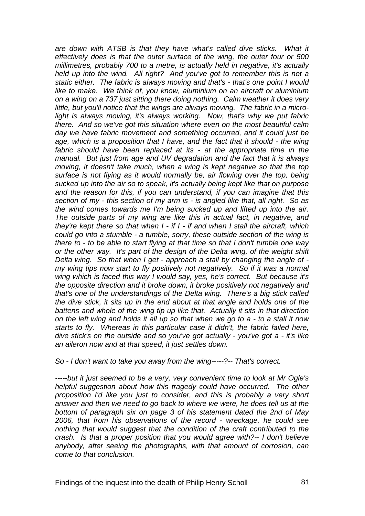*are down with ATSB is that they have what's called dive sticks. What it effectively does is that the outer surface of the wing, the outer four or 500 millimetres, probably 700 to a metre, is actually held in negative, it's actually held up into the wind. All right? And you've got to remember this is not a static either. The fabric is always moving and that's - that's one point I would like to make. We think of, you know, aluminium on an aircraft or aluminium on a wing on a 737 just sitting there doing nothing. Calm weather it does very little, but you'll notice that the wings are always moving. The fabric in a microlight is always moving, it's always working. Now, that's why we put fabric there. And so we've got this situation where even on the most beautiful calm day we have fabric movement and something occurred, and it could just be*  age, which is a proposition that I have, and the fact that it should - the wing *fabric should have been replaced at its - at the appropriate time in the manual. But just from age and UV degradation and the fact that it is always moving, it doesn't take much, when a wing is kept negative so that the top*  surface is not flying as it would normally be, air flowing over the top, being *sucked up into the air so to speak, it's actually being kept like that on purpose and the reason for this, if you can understand, if you can imagine that this section of my - this section of my arm is - is angled like that, all right. So as the wind comes towards me I'm being sucked up and lifted up into the air. The outside parts of my wing are like this in actual fact, in negative, and they're kept there so that when I - if I - if and when I stall the aircraft, which could go into a stumble - a tumble, sorry, these outside section of the wing is there to - to be able to start flying at that time so that I don't tumble one way or the other way. It's part of the design of the Delta wing, of the weight shift Delta wing. So that when I get - approach a stall by changing the angle of my wing tips now start to fly positively not negatively. So if it was a normal wing which is faced this way I would say, yes, he's correct. But because it's the opposite direction and it broke down, it broke positively not negatively and that's one of the understandings of the Delta wing. There's a big stick called the dive stick, it sits up in the end about at that angle and holds one of the battens and whole of the wing tip up like that. Actually it sits in that direction on the left wing and holds it all up so that when we go to a - to a stall it now starts to fly. Whereas in this particular case it didn't, the fabric failed here, dive stick's on the outside and so you've got actually - you've got a - it's like an aileron now and at that speed, it just settles down.* 

*So - I don't want to take you away from the wing-----?-- That's correct.* 

*-----but it just seemed to be a very, very convenient time to look at Mr Ogle's helpful suggestion about how this tragedy could have occurred. The other proposition I'd like you just to consider, and this is probably a very short answer and then we need to go back to where we were, he does tell us at the bottom of paragraph six on page 3 of his statement dated the 2nd of May 2006, that from his observations of the record - wreckage, he could see nothing that would suggest that the condition of the craft contributed to the crash. Is that a proper position that you would agree with?-- I don't believe anybody, after seeing the photographs, with that amount of corrosion, can come to that conclusion.*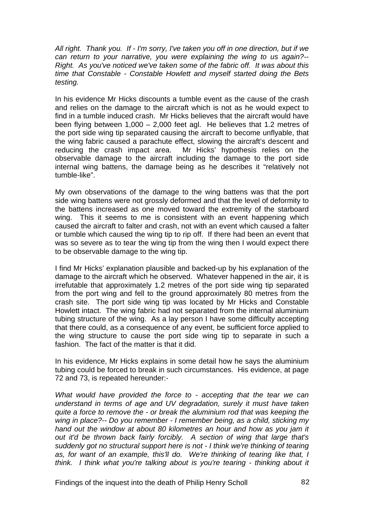*All right. Thank you. If - I'm sorry, I've taken you off in one direction, but if we can return to your narrative, you were explaining the wing to us again?-- Right. As you've noticed we've taken some of the fabric off. It was about this time that Constable - Constable Howlett and myself started doing the Bets testing.*

In his evidence Mr Hicks discounts a tumble event as the cause of the crash and relies on the damage to the aircraft which is not as he would expect to find in a tumble induced crash. Mr Hicks believes that the aircraft would have been flying between 1,000 – 2,000 feet agl. He believes that 1.2 metres of the port side wing tip separated causing the aircraft to become unflyable, that the wing fabric caused a parachute effect, slowing the aircraft's descent and reducing the crash impact area. Mr Hicks' hypothesis relies on the observable damage to the aircraft including the damage to the port side internal wing battens, the damage being as he describes it "relatively not tumble-like".

My own observations of the damage to the wing battens was that the port side wing battens were not grossly deformed and that the level of deformity to the battens increased as one moved toward the extremity of the starboard wing. This it seems to me is consistent with an event happening which caused the aircraft to falter and crash, not with an event which caused a falter or tumble which caused the wing tip to rip off. If there had been an event that was so severe as to tear the wing tip from the wing then I would expect there to be observable damage to the wing tip.

I find Mr Hicks' explanation plausible and backed-up by his explanation of the damage to the aircraft which he observed. Whatever happened in the air, it is irrefutable that approximately 1.2 metres of the port side wing tip separated from the port wing and fell to the ground approximately 80 metres from the crash site. The port side wing tip was located by Mr Hicks and Constable Howlett intact. The wing fabric had not separated from the internal aluminium tubing structure of the wing. As a lay person I have some difficulty accepting that there could, as a consequence of any event, be sufficient force applied to the wing structure to cause the port side wing tip to separate in such a fashion. The fact of the matter is that it did.

In his evidence, Mr Hicks explains in some detail how he says the aluminium tubing could be forced to break in such circumstances. His evidence, at page 72 and 73, is repeated hereunder:-

*What would have provided the force to - accepting that the tear we can understand in terms of age and UV degradation, surely it must have taken quite a force to remove the - or break the aluminium rod that was keeping the wing in place?-- Do you remember - I remember being, as a child, sticking my hand out the window at about 80 kilometres an hour and how as you jam it out it'd be thrown back fairly forcibly. A section of wing that large that's suddenly got no structural support here is not - I think we're thinking of tearing as, for want of an example, this'll do. We're thinking of tearing like that, I think. I think what you're talking about is you're tearing - thinking about it*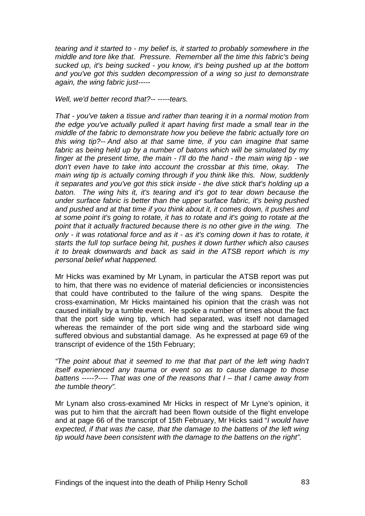*tearing and it started to - my belief is, it started to probably somewhere in the middle and tore like that. Pressure. Remember all the time this fabric's being sucked up, it's being sucked - you know, it's being pushed up at the bottom and you've got this sudden decompression of a wing so just to demonstrate again, the wing fabric just-----* 

*Well, we'd better record that?-- -----tears.* 

*That - you've taken a tissue and rather than tearing it in a normal motion from the edge you've actually pulled it apart having first made a small tear in the middle of the fabric to demonstrate how you believe the fabric actually tore on this wing tip?-- And also at that same time, if you can imagine that same fabric as being held up by a number of batons which will be simulated by my finger at the present time, the main - I'll do the hand - the main wing tip - we don't even have to take into account the crossbar at this time, okay. The main wing tip is actually coming through if you think like this. Now, suddenly it separates and you've got this stick inside - the dive stick that's holding up a baton. The wing hits it, it's tearing and it's got to tear down because the under surface fabric is better than the upper surface fabric, it's being pushed and pushed and at that time if you think about it, it comes down, it pushes and at some point it's going to rotate, it has to rotate and it's going to rotate at the point that it actually fractured because there is no other give in the wing. The only - it was rotational force and as it - as it's coming down it has to rotate, it starts the full top surface being hit, pushes it down further which also causes it to break downwards and back as said in the ATSB report which is my personal belief what happened.* 

Mr Hicks was examined by Mr Lynam, in particular the ATSB report was put to him, that there was no evidence of material deficiencies or inconsistencies that could have contributed to the failure of the wing spans. Despite the cross-examination, Mr Hicks maintained his opinion that the crash was not caused initially by a tumble event. He spoke a number of times about the fact that the port side wing tip, which had separated, was itself not damaged whereas the remainder of the port side wing and the starboard side wing suffered obvious and substantial damage. As he expressed at page 69 of the transcript of evidence of the 15th February;

*"The point about that it seemed to me that that part of the left wing hadn't itself experienced any trauma or event so as to cause damage to those battens -----?---- That was one of the reasons that I – that I came away from the tumble theory".* 

Mr Lynam also cross-examined Mr Hicks in respect of Mr Lyne's opinion, it was put to him that the aircraft had been flown outside of the flight envelope and at page 66 of the transcript of 15th February, Mr Hicks said "*I would have expected, if that was the case, that the damage to the battens of the left wing tip would have been consistent with the damage to the battens on the right".*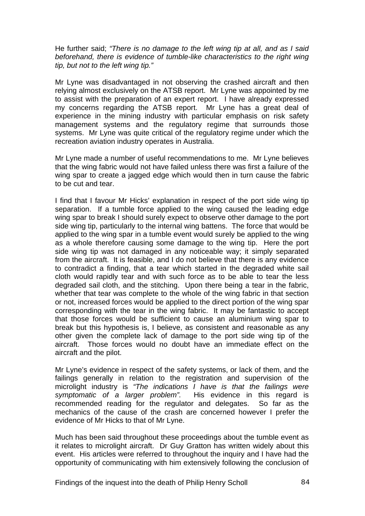He further said; *"There is no damage to the left wing tip at all, and as I said*  beforehand, there is evidence of tumble-like characteristics to the right wing *tip, but not to the left wing tip."*

Mr Lyne was disadvantaged in not observing the crashed aircraft and then relying almost exclusively on the ATSB report. Mr Lyne was appointed by me to assist with the preparation of an expert report. I have already expressed my concerns regarding the ATSB report. Mr Lyne has a great deal of experience in the mining industry with particular emphasis on risk safety management systems and the regulatory regime that surrounds those systems. Mr Lyne was quite critical of the regulatory regime under which the recreation aviation industry operates in Australia.

Mr Lyne made a number of useful recommendations to me. Mr Lyne believes that the wing fabric would not have failed unless there was first a failure of the wing spar to create a jagged edge which would then in turn cause the fabric to be cut and tear.

I find that I favour Mr Hicks' explanation in respect of the port side wing tip separation. If a tumble force applied to the wing caused the leading edge wing spar to break I should surely expect to observe other damage to the port side wing tip, particularly to the internal wing battens. The force that would be applied to the wing spar in a tumble event would surely be applied to the wing as a whole therefore causing some damage to the wing tip. Here the port side wing tip was not damaged in any noticeable way; it simply separated from the aircraft. It is feasible, and I do not believe that there is any evidence to contradict a finding, that a tear which started in the degraded white sail cloth would rapidly tear and with such force as to be able to tear the less degraded sail cloth, and the stitching. Upon there being a tear in the fabric, whether that tear was complete to the whole of the wing fabric in that section or not, increased forces would be applied to the direct portion of the wing spar corresponding with the tear in the wing fabric. It may be fantastic to accept that those forces would be sufficient to cause an aluminium wing spar to break but this hypothesis is, I believe, as consistent and reasonable as any other given the complete lack of damage to the port side wing tip of the aircraft. Those forces would no doubt have an immediate effect on the aircraft and the pilot.

Mr Lyne's evidence in respect of the safety systems, or lack of them, and the failings generally in relation to the registration and supervision of the microlight industry is *"The indications I have is that the failings were symptomatic of a larger problem".* His evidence in this regard is recommended reading for the regulator and delegates. So far as the mechanics of the cause of the crash are concerned however I prefer the evidence of Mr Hicks to that of Mr Lyne.

Much has been said throughout these proceedings about the tumble event as it relates to microlight aircraft. Dr Guy Gratton has written widely about this event. His articles were referred to throughout the inquiry and I have had the opportunity of communicating with him extensively following the conclusion of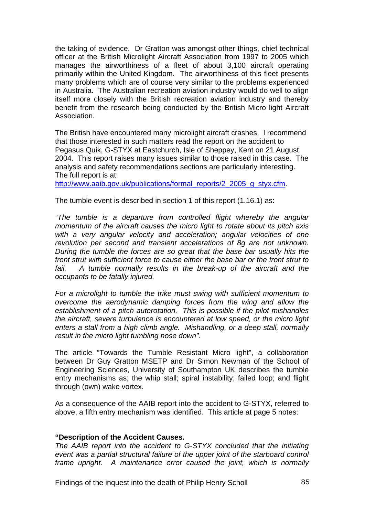the taking of evidence. Dr Gratton was amongst other things, chief technical officer at the British Microlight Aircraft Association from 1997 to 2005 which manages the airworthiness of a fleet of about 3,100 aircraft operating primarily within the United Kingdom. The airworthiness of this fleet presents many problems which are of course very similar to the problems experienced in Australia. The Australian recreation aviation industry would do well to align itself more closely with the British recreation aviation industry and thereby benefit from the research being conducted by the British Micro light Aircraft Association.

The British have encountered many microlight aircraft crashes. I recommend that those interested in such matters read the report on the accident to Pegasus Quik, G-STYX at Eastchurch, Isle of Sheppey, Kent on 21 August 2004. This report raises many issues similar to those raised in this case. The analysis and safety recommendations sections are particularly interesting. The full report is at

[http://www.aaib.gov.uk/publications/formal\\_reports/2\\_2005\\_g\\_styx.cfm](http://www.aaib.gov.uk/publications/formal_reports/2_2005_g_styx.cfm).

The tumble event is described in section 1 of this report (1.16.1) as:

*"The tumble is a departure from controlled flight whereby the angular momentum of the aircraft causes the micro light to rotate about its pitch axis with a very angular velocity and acceleration; angular velocities of one revolution per second and transient accelerations of 8g are not unknown. During the tumble the forces are so great that the base bar usually hits the front strut with sufficient force to cause either the base bar or the front strut to*  fail. A tumble normally results in the break-up of the aircraft and the *occupants to be fatally injured.* 

*For a microlight to tumble the trike must swing with sufficient momentum to overcome the aerodynamic damping forces from the wing and allow the establishment of a pitch autorotation. This is possible if the pilot mishandles the aircraft, severe turbulence is encountered at low speed, or the micro light enters a stall from a high climb angle. Mishandling, or a deep stall, normally result in the micro light tumbling nose down".* 

The article "Towards the Tumble Resistant Micro light", a collaboration between Dr Guy Gratton MSETP and Dr Simon Newman of the School of Engineering Sciences, University of Southampton UK describes the tumble entry mechanisms as; the whip stall; spiral instability; failed loop; and flight through (own) wake vortex.

As a consequence of the AAIB report into the accident to G-STYX, referred to above, a fifth entry mechanism was identified. This article at page 5 notes:

### **"Description of the Accident Causes.**

*The AAIB report into the accident to G-STYX concluded that the initiating event was a partial structural failure of the upper joint of the starboard control frame upright. A maintenance error caused the joint, which is normally*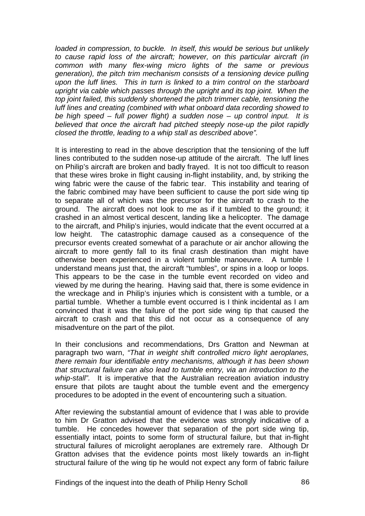*loaded in compression, to buckle. In itself, this would be serious but unlikely to cause rapid loss of the aircraft; however, on this particular aircraft (in common with many flex-wing micro lights of the same or previous generation), the pitch trim mechanism consists of a tensioning device pulling upon the luff lines. This in turn is linked to a trim control on the starboard upright via cable which passes through the upright and its top joint. When the top joint failed, this suddenly shortened the pitch trimmer cable, tensioning the luff lines and creating (combined with what onboard data recording showed to be high speed – full power flight) a sudden nose – up control input. It is believed that once the aircraft had pitched steeply nose-up the pilot rapidly closed the throttle, leading to a whip stall as described above".* 

It is interesting to read in the above description that the tensioning of the luff lines contributed to the sudden nose-up attitude of the aircraft. The luff lines on Philip's aircraft are broken and badly frayed. It is not too difficult to reason that these wires broke in flight causing in-flight instability, and, by striking the wing fabric were the cause of the fabric tear. This instability and tearing of the fabric combined may have been sufficient to cause the port side wing tip to separate all of which was the precursor for the aircraft to crash to the ground. The aircraft does not look to me as if it tumbled to the ground; it crashed in an almost vertical descent, landing like a helicopter. The damage to the aircraft, and Philip's injuries, would indicate that the event occurred at a low height. The catastrophic damage caused as a consequence of the precursor events created somewhat of a parachute or air anchor allowing the aircraft to more gently fall to its final crash destination than might have otherwise been experienced in a violent tumble manoeuvre. A tumble I understand means just that, the aircraft "tumbles", or spins in a loop or loops. This appears to be the case in the tumble event recorded on video and viewed by me during the hearing. Having said that, there is some evidence in the wreckage and in Philip's injuries which is consistent with a tumble, or a partial tumble. Whether a tumble event occurred is I think incidental as I am convinced that it was the failure of the port side wing tip that caused the aircraft to crash and that this did not occur as a consequence of any misadventure on the part of the pilot.

In their conclusions and recommendations, Drs Gratton and Newman at paragraph two warn, *"That in weight shift controlled micro light aeroplanes, there remain four identifiable entry mechanisms, although it has been shown that structural failure can also lead to tumble entry, via an introduction to the whip-stall".* It is imperative that the Australian recreation aviation industry ensure that pilots are taught about the tumble event and the emergency procedures to be adopted in the event of encountering such a situation.

After reviewing the substantial amount of evidence that I was able to provide to him Dr Gratton advised that the evidence was strongly indicative of a tumble. He concedes however that separation of the port side wing tip, essentially intact, points to some form of structural failure, but that in-flight structural failures of microlight aeroplanes are extremely rare. Although Dr Gratton advises that the evidence points most likely towards an in-flight structural failure of the wing tip he would not expect any form of fabric failure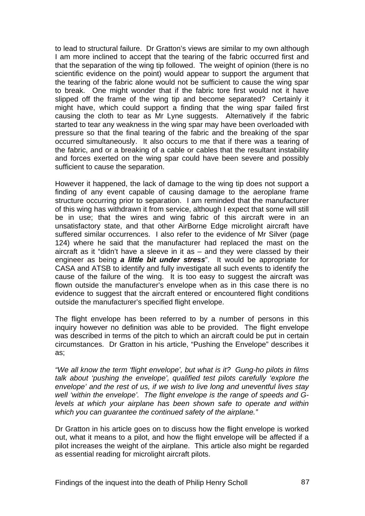to lead to structural failure. Dr Gratton's views are similar to my own although I am more inclined to accept that the tearing of the fabric occurred first and that the separation of the wing tip followed. The weight of opinion (there is no scientific evidence on the point) would appear to support the argument that the tearing of the fabric alone would not be sufficient to cause the wing spar to break. One might wonder that if the fabric tore first would not it have slipped off the frame of the wing tip and become separated? Certainly it might have, which could support a finding that the wing spar failed first causing the cloth to tear as Mr Lyne suggests. Alternatively if the fabric started to tear any weakness in the wing spar may have been overloaded with pressure so that the final tearing of the fabric and the breaking of the spar occurred simultaneously. It also occurs to me that if there was a tearing of the fabric, and or a breaking of a cable or cables that the resultant instability and forces exerted on the wing spar could have been severe and possibly sufficient to cause the separation.

However it happened, the lack of damage to the wing tip does not support a finding of any event capable of causing damage to the aeroplane frame structure occurring prior to separation. I am reminded that the manufacturer of this wing has withdrawn it from service, although I expect that some will still be in use; that the wires and wing fabric of this aircraft were in an unsatisfactory state, and that other AirBorne Edge microlight aircraft have suffered similar occurrences. I also refer to the evidence of Mr Silver (page 124) where he said that the manufacturer had replaced the mast on the aircraft as it "didn't have a sleeve in it as – and they were classed by their engineer as being *a little bit under stress*". It would be appropriate for CASA and ATSB to identify and fully investigate all such events to identify the cause of the failure of the wing. It is too easy to suggest the aircraft was flown outside the manufacturer's envelope when as in this case there is no evidence to suggest that the aircraft entered or encountered flight conditions outside the manufacturer's specified flight envelope.

The flight envelope has been referred to by a number of persons in this inquiry however no definition was able to be provided. The flight envelope was described in terms of the pitch to which an aircraft could be put in certain circumstances. Dr Gratton in his article, "Pushing the Envelope" describes it as;

*"We all know the term 'flight envelope', but what is it? Gung-ho pilots in films talk about 'pushing the envelope', qualified test pilots carefully 'explore the envelope' and the rest of us, if we wish to live long and uneventful lives stay well 'within the envelope'. The flight envelope is the range of speeds and Glevels at which your airplane has been shown safe to operate and within which you can guarantee the continued safety of the airplane."* 

Dr Gratton in his article goes on to discuss how the flight envelope is worked out, what it means to a pilot, and how the flight envelope will be affected if a pilot increases the weight of the airplane. This article also might be regarded as essential reading for microlight aircraft pilots.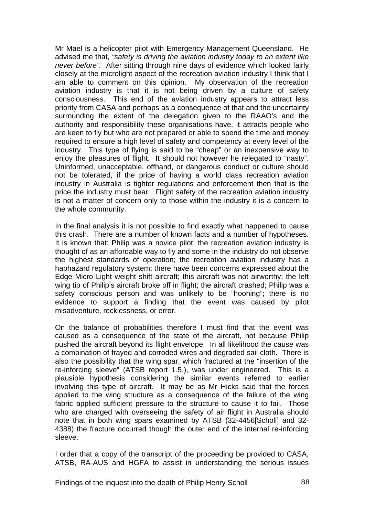Mr Mael is a helicopter pilot with Emergency Management Queensland. He advised me that, *"safety is driving the aviation industry today to an extent like never before".* After sitting through nine days of evidence which looked fairly closely at the microlight aspect of the recreation aviation industry I think that I am able to comment on this opinion. My observation of the recreation aviation industry is that it is not being driven by a culture of safety consciousness. This end of the aviation industry appears to attract less priority from CASA and perhaps as a consequence of that and the uncertainty surrounding the extent of the delegation given to the RAAO's and the authority and responsibility these organisations have, it attracts people who are keen to fly but who are not prepared or able to spend the time and money required to ensure a high level of safety and competency at every level of the industry. This type of flying is said to be "cheap" or an inexpensive way to enjoy the pleasures of flight. It should not however he relegated to "nasty". Uninformed, unacceptable, offhand, or dangerous conduct or culture should not be tolerated, if the price of having a world class recreation aviation industry in Australia is tighter regulations and enforcement then that is the price the industry must bear. Flight safety of the recreation aviation industry is not a matter of concern only to those within the industry it is a concern to the whole community.

In the final analysis it is not possible to find exactly what happened to cause this crash. There are a number of known facts and a number of hypotheses. It is known that: Philip was a novice pilot; the recreation aviation industry is thought of as an affordable way to fly and some in the industry do not observe the highest standards of operation; the recreation aviation industry has a haphazard regulatory system; there have been concerns expressed about the Edge Micro Light weight shift aircraft; this aircraft was not airworthy; the left wing tip of Philip's aircraft broke off in flight; the aircraft crashed; Philip was a safety conscious person and was unlikely to be "hooning"; there is no evidence to support a finding that the event was caused by pilot misadventure, recklessness, or error.

On the balance of probabilities therefore I must find that the event was caused as a consequence of the state of the aircraft, not because Philip pushed the aircraft beyond its flight envelope. In all likelihood the cause was a combination of frayed and corroded wires and degraded sail cloth. There is also the possibility that the wing spar, which fractured at the "insertion of the re-inforcing sleeve" (ATSB report 1.5.), was under engineered. This is a plausible hypothesis considering the similar events referred to earlier involving this type of aircraft. It may be as Mr Hicks said that the forces applied to the wing structure as a consequence of the failure of the wing fabric applied sufficient pressure to the structure to cause it to fail. Those who are charged with overseeing the safety of air flight in Australia should note that in both wing spars examined by ATSB (32-4456[Scholl] and 32- 4388) the fracture occurred though the outer end of the internal re-inforcing sleeve.

I order that a copy of the transcript of the proceeding be provided to CASA, ATSB, RA-AUS and HGFA to assist in understanding the serious issues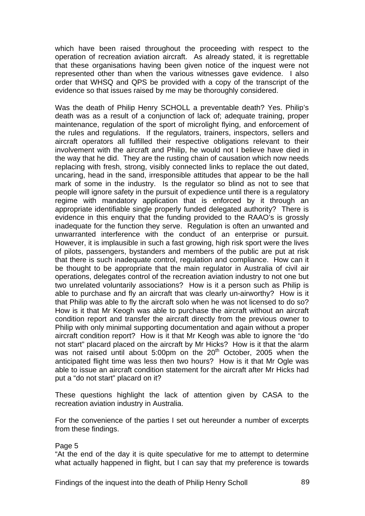which have been raised throughout the proceeding with respect to the operation of recreation aviation aircraft. As already stated, it is regrettable that these organisations having been given notice of the inquest were not represented other than when the various witnesses gave evidence. I also order that WHSQ and QPS be provided with a copy of the transcript of the evidence so that issues raised by me may be thoroughly considered.

Was the death of Philip Henry SCHOLL a preventable death? Yes. Philip's death was as a result of a conjunction of lack of; adequate training, proper maintenance, regulation of the sport of microlight flying, and enforcement of the rules and regulations. If the regulators, trainers, inspectors, sellers and aircraft operators all fulfilled their respective obligations relevant to their involvement with the aircraft and Philip, he would not I believe have died in the way that he did. They are the rusting chain of causation which now needs replacing with fresh, strong, visibly connected links to replace the out dated, uncaring, head in the sand, irresponsible attitudes that appear to be the hall mark of some in the industry. Is the regulator so blind as not to see that people will ignore safety in the pursuit of expedience until there is a regulatory regime with mandatory application that is enforced by it through an appropriate identifiable single properly funded delegated authority? There is evidence in this enquiry that the funding provided to the RAAO's is grossly inadequate for the function they serve. Regulation is often an unwanted and unwarranted interference with the conduct of an enterprise or pursuit. However, it is implausible in such a fast growing, high risk sport were the lives of pilots, passengers, bystanders and members of the public are put at risk that there is such inadequate control, regulation and compliance. How can it be thought to be appropriate that the main regulator in Australia of civil air operations, delegates control of the recreation aviation industry to not one but two unrelated voluntarily associations? How is it a person such as Philip is able to purchase and fly an aircraft that was clearly un-airworthy? How is it that Philip was able to fly the aircraft solo when he was not licensed to do so? How is it that Mr Keogh was able to purchase the aircraft without an aircraft condition report and transfer the aircraft directly from the previous owner to Philip with only minimal supporting documentation and again without a proper aircraft condition report? How is it that Mr Keogh was able to ignore the "do not start" placard placed on the aircraft by Mr Hicks? How is it that the alarm was not raised until about 5:00pm on the 20<sup>th</sup> October, 2005 when the anticipated flight time was less then two hours? How is it that Mr Ogle was able to issue an aircraft condition statement for the aircraft after Mr Hicks had put a "do not start" placard on it?

These questions highlight the lack of attention given by CASA to the recreation aviation industry in Australia.

For the convenience of the parties I set out hereunder a number of excerpts from these findings.

#### Page 5

"At the end of the day it is quite speculative for me to attempt to determine what actually happened in flight, but I can say that my preference is towards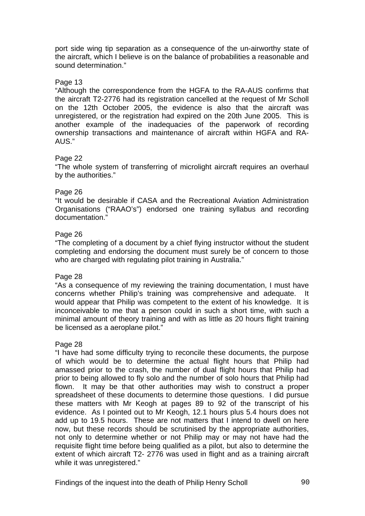port side wing tip separation as a consequence of the un-airworthy state of the aircraft, which I believe is on the balance of probabilities a reasonable and sound determination."

### Page 13

"Although the correspondence from the HGFA to the RA-AUS confirms that the aircraft T2-2776 had its registration cancelled at the request of Mr Scholl on the 12th October 2005, the evidence is also that the aircraft was unregistered, or the registration had expired on the 20th June 2005. This is another example of the inadequacies of the paperwork of recording ownership transactions and maintenance of aircraft within HGFA and RA-AUS."

### Page 22

"The whole system of transferring of microlight aircraft requires an overhaul by the authorities."

## Page 26

"It would be desirable if CASA and the Recreational Aviation Administration Organisations ("RAAO's") endorsed one training syllabus and recording documentation."

## Page 26

"The completing of a document by a chief flying instructor without the student completing and endorsing the document must surely be of concern to those who are charged with regulating pilot training in Australia."

### Page 28

"As a consequence of my reviewing the training documentation, I must have concerns whether Philip's training was comprehensive and adequate. It would appear that Philip was competent to the extent of his knowledge. It is inconceivable to me that a person could in such a short time, with such a minimal amount of theory training and with as little as 20 hours flight training be licensed as a aeroplane pilot."

### Page 28

"I have had some difficulty trying to reconcile these documents, the purpose of which would be to determine the actual flight hours that Philip had amassed prior to the crash, the number of dual flight hours that Philip had prior to being allowed to fly solo and the number of solo hours that Philip had flown. It may be that other authorities may wish to construct a proper spreadsheet of these documents to determine those questions. I did pursue these matters with Mr Keogh at pages 89 to 92 of the transcript of his evidence. As I pointed out to Mr Keogh, 12.1 hours plus 5.4 hours does not add up to 19.5 hours. These are not matters that I intend to dwell on here now, but these records should be scrutinised by the appropriate authorities, not only to determine whether or not Philip may or may not have had the requisite flight time before being qualified as a pilot, but also to determine the extent of which aircraft T2- 2776 was used in flight and as a training aircraft while it was unregistered."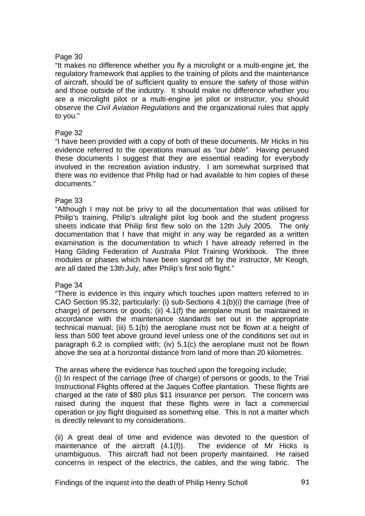#### Page 30

"It makes no difference whether you fly a microlight or a multi-engine jet, the regulatory framework that applies to the training of pilots and the maintenance of aircraft, should be of sufficient quality to ensure the safety of those within and those outside of the industry. It should make no difference whether you are a microlight pilot or a multi-engine jet pilot or instructor, you should observe the *Civil Aviation Regulations* and the organizational rules that apply to you."

#### Page 32

"I have been provided with a copy of both of these documents. Mr Hicks in his evidence referred to the operations manual as *"our bible"*. Having perused these documents I suggest that they are essential reading for everybody involved in the recreation aviation industry. I am somewhat surprised that there was no evidence that Philip had or had available to him copies of these documents."

#### Page 33

"Although I may not be privy to all the documentation that was utilised for Philip's training, Philip's ultralight pilot log book and the student progress sheets indicate that Philip first flew solo on the 12th July 2005. The only documentation that I have that might in any way be regarded as a written examination is the documentation to which I have already referred in the Hang Gliding Federation of Australia Pilot Training Workbook. The three modules or phases which have been signed off by the instructor, Mr Keogh, are all dated the 13th July, after Philip's first solo flight."

#### Page 34

"There is evidence in this inquiry which touches upon matters referred to in CAO Section 95.32, particularly: (i) sub-Sections 4.1(b)(i) the carriage (free of charge) of persons or goods; (ii) 4.1(f) the aeroplane must be maintained in accordance with the maintenance standards set out in the appropriate technical manual; (iii) 5.1(b) the aeroplane must not be flown at a height of less than 500 feet above ground level unless one of the conditions set out in paragraph 6.2 is complied with; (iv) 5.1(c) the aeroplane must not be flown above the sea at a horizontal distance from land of more than 20 kilometres.

The areas where the evidence has touched upon the foregoing include;

(i) In respect of the carriage (free of charge) of persons or goods, to the Trial Instructional Flights offered at the Jaques Coffee plantation. These flights are charged at the rate of \$80 plus \$11 insurance per person. The concern was raised during the inquest that these flights were in fact a commercial operation or joy flight disguised as something else. This is not a matter which is directly relevant to my considerations.

(ii) A great deal of time and evidence was devoted to the question of maintenance of the aircraft (4.1(f)). The evidence of Mr Hicks is unambiguous. This aircraft had not been properly maintained. He raised concerns in respect of the electrics, the cables, and the wing fabric. The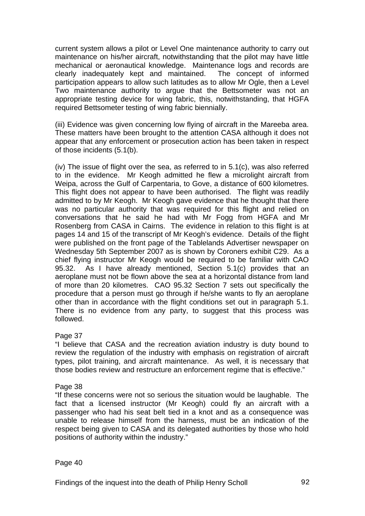current system allows a pilot or Level One maintenance authority to carry out maintenance on his/her aircraft, notwithstanding that the pilot may have little mechanical or aeronautical knowledge. Maintenance logs and records are clearly inadequately kept and maintained. The concept of informed participation appears to allow such latitudes as to allow Mr Ogle, then a Level Two maintenance authority to argue that the Bettsometer was not an appropriate testing device for wing fabric, this, notwithstanding, that HGFA required Bettsometer testing of wing fabric biennially.

(iii) Evidence was given concerning low flying of aircraft in the Mareeba area. These matters have been brought to the attention CASA although it does not appear that any enforcement or prosecution action has been taken in respect of those incidents (5.1(b).

(iv) The issue of flight over the sea, as referred to in 5.1(c), was also referred to in the evidence. Mr Keogh admitted he flew a microlight aircraft from Weipa, across the Gulf of Carpentaria, to Gove, a distance of 600 kilometres. This flight does not appear to have been authorised. The flight was readily admitted to by Mr Keogh. Mr Keogh gave evidence that he thought that there was no particular authority that was required for this flight and relied on conversations that he said he had with Mr Fogg from HGFA and Mr Rosenberg from CASA in Cairns. The evidence in relation to this flight is at pages 14 and 15 of the transcript of Mr Keogh's evidence. Details of the flight were published on the front page of the Tablelands Advertiser newspaper on Wednesday 5th September 2007 as is shown by Coroners exhibit C29. As a chief flying instructor Mr Keogh would be required to be familiar with CAO 95.32. As I have already mentioned, Section 5.1(c) provides that an aeroplane must not be flown above the sea at a horizontal distance from land of more than 20 kilometres. CAO 95.32 Section 7 sets out specifically the procedure that a person must go through if he/she wants to fly an aeroplane other than in accordance with the flight conditions set out in paragraph 5.1. There is no evidence from any party, to suggest that this process was followed.

### Page 37

"I believe that CASA and the recreation aviation industry is duty bound to review the regulation of the industry with emphasis on registration of aircraft types, pilot training, and aircraft maintenance. As well, it is necessary that those bodies review and restructure an enforcement regime that is effective."

#### Page 38

"If these concerns were not so serious the situation would be laughable. The fact that a licensed instructor (Mr Keogh) could fly an aircraft with a passenger who had his seat belt tied in a knot and as a consequence was unable to release himself from the harness, must be an indication of the respect being given to CASA and its delegated authorities by those who hold positions of authority within the industry."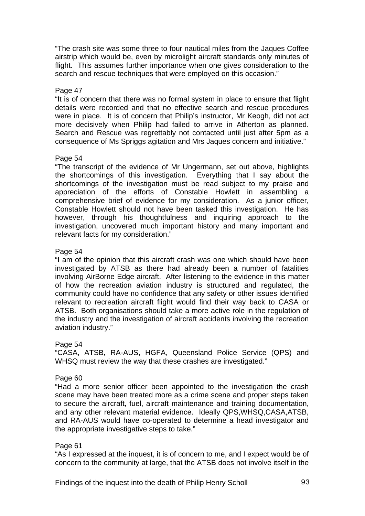"The crash site was some three to four nautical miles from the Jaques Coffee airstrip which would be, even by microlight aircraft standards only minutes of flight. This assumes further importance when one gives consideration to the search and rescue techniques that were employed on this occasion."

#### Page 47

"It is of concern that there was no formal system in place to ensure that flight details were recorded and that no effective search and rescue procedures were in place. It is of concern that Philip's instructor, Mr Keogh, did not act more decisively when Philip had failed to arrive in Atherton as planned. Search and Rescue was regrettably not contacted until just after 5pm as a consequence of Ms Spriggs agitation and Mrs Jaques concern and initiative."

#### Page 54

"The transcript of the evidence of Mr Ungermann, set out above, highlights the shortcomings of this investigation. Everything that I say about the shortcomings of the investigation must be read subject to my praise and appreciation of the efforts of Constable Howlett in assembling a comprehensive brief of evidence for my consideration. As a junior officer, Constable Howlett should not have been tasked this investigation. He has however, through his thoughtfulness and inquiring approach to the investigation, uncovered much important history and many important and relevant facts for my consideration."

### Page 54

"I am of the opinion that this aircraft crash was one which should have been investigated by ATSB as there had already been a number of fatalities involving AirBorne Edge aircraft. After listening to the evidence in this matter of how the recreation aviation industry is structured and regulated, the community could have no confidence that any safety or other issues identified relevant to recreation aircraft flight would find their way back to CASA or ATSB. Both organisations should take a more active role in the regulation of the industry and the investigation of aircraft accidents involving the recreation aviation industry."

### Page 54

"CASA, ATSB, RA-AUS, HGFA, Queensland Police Service (QPS) and WHSQ must review the way that these crashes are investigated."

### Page 60

"Had a more senior officer been appointed to the investigation the crash scene may have been treated more as a crime scene and proper steps taken to secure the aircraft, fuel, aircraft maintenance and training documentation, and any other relevant material evidence. Ideally QPS,WHSQ,CASA,ATSB, and RA-AUS would have co-operated to determine a head investigator and the appropriate investigative steps to take."

#### Page 61

"As I expressed at the inquest, it is of concern to me, and I expect would be of concern to the community at large, that the ATSB does not involve itself in the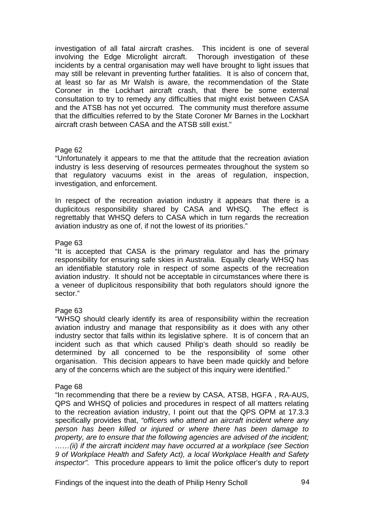investigation of all fatal aircraft crashes. This incident is one of several involving the Edge Microlight aircraft. Thorough investigation of these incidents by a central organisation may well have brought to light issues that may still be relevant in preventing further fatalities. It is also of concern that, at least so far as Mr Walsh is aware, the recommendation of the State Coroner in the Lockhart aircraft crash, that there be some external consultation to try to remedy any difficulties that might exist between CASA and the ATSB has not yet occurred*.* The community must therefore assume that the difficulties referred to by the State Coroner Mr Barnes in the Lockhart aircraft crash between CASA and the ATSB still exist."

#### Page 62

"Unfortunately it appears to me that the attitude that the recreation aviation industry is less deserving of resources permeates throughout the system so that regulatory vacuums exist in the areas of regulation, inspection, investigation, and enforcement.

In respect of the recreation aviation industry it appears that there is a duplicitous responsibility shared by CASA and WHSQ. The effect is regrettably that WHSQ defers to CASA which in turn regards the recreation aviation industry as one of, if not the lowest of its priorities."

#### Page 63

"It is accepted that CASA is the primary regulator and has the primary responsibility for ensuring safe skies in Australia. Equally clearly WHSQ has an identifiable statutory role in respect of some aspects of the recreation aviation industry. It should not be acceptable in circumstances where there is a veneer of duplicitous responsibility that both regulators should ignore the sector."

### Page 63

"WHSQ should clearly identify its area of responsibility within the recreation aviation industry and manage that responsibility as it does with any other industry sector that falls within its legislative sphere. It is of concern that an incident such as that which caused Philip's death should so readily be determined by all concerned to be the responsibility of some other organisation. This decision appears to have been made quickly and before any of the concerns which are the subject of this inquiry were identified."

### Page 68

"In recommending that there be a review by CASA, ATSB, HGFA , RA-AUS, QPS and WHSQ of policies and procedures in respect of all matters relating to the recreation aviation industry, I point out that the QPS OPM at 17.3.3 specifically provides that, *"officers who attend an aircraft incident where any person has been killed or injured or where there has been damage to property, are to ensure that the following agencies are advised of the incident; ……(ii) if the aircraft incident may have occurred at a workplace (see Section 9 of Workplace Health and Safety Act), a local Workplace Health and Safety inspector".* This procedure appears to limit the police officer's duty to report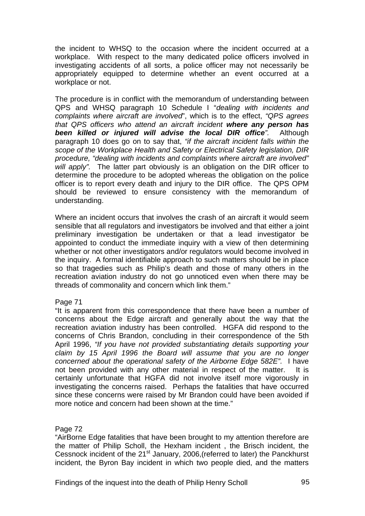the incident to WHSQ to the occasion where the incident occurred at a workplace. With respect to the many dedicated police officers involved in investigating accidents of all sorts, a police officer may not necessarily be appropriately equipped to determine whether an event occurred at a workplace or not.

The procedure is in conflict with the memorandum of understanding between QPS and WHSQ paragraph 10 Schedule I "*dealing with incidents and complaints where aircraft are involved*", which is to the effect, *"QPS agrees that QPS officers who attend an aircraft incident where any person has been killed or injured will advise the local DIR office".* Although paragraph 10 does go on to say that, *"if the aircraft incident falls within the scope of the Workplace Health and Safety or Electrical Safety legislation, DIR procedure, "dealing with incidents and complaints where aircraft are involved" will apply".* The latter part obviously is an obligation on the DIR officer to determine the procedure to be adopted whereas the obligation on the police officer is to report every death and injury to the DIR office. The QPS OPM should be reviewed to ensure consistency with the memorandum of understanding.

Where an incident occurs that involves the crash of an aircraft it would seem sensible that all regulators and investigators be involved and that either a joint preliminary investigation be undertaken or that a lead investigator be appointed to conduct the immediate inquiry with a view of then determining whether or not other investigators and/or regulators would become involved in the inquiry. A formal identifiable approach to such matters should be in place so that tragedies such as Philip's death and those of many others in the recreation aviation industry do not go unnoticed even when there may be threads of commonality and concern which link them."

### Page 71

"It is apparent from this correspondence that there have been a number of concerns about the Edge aircraft and generally about the way that the recreation aviation industry has been controlled. HGFA did respond to the concerns of Chris Brandon, concluding in their correspondence of the 5th April 1996, *"If you have not provided substantiating details supporting your claim by 15 April 1996 the Board will assume that you are no longer concerned about the operational safety of the Airborne Edge 582E".* I have not been provided with any other material in respect of the matter. It is certainly unfortunate that HGFA did not involve itself more vigorously in investigating the concerns raised. Perhaps the fatalities that have occurred since these concerns were raised by Mr Brandon could have been avoided if more notice and concern had been shown at the time."

#### Page 72

"AirBorne Edge fatalities that have been brought to my attention therefore are the matter of Philip Scholl, the Hexham incident , the Brisch incident, the Cessnock incident of the 21<sup>st</sup> January, 2006, (referred to later) the Panckhurst incident, the Byron Bay incident in which two people died, and the matters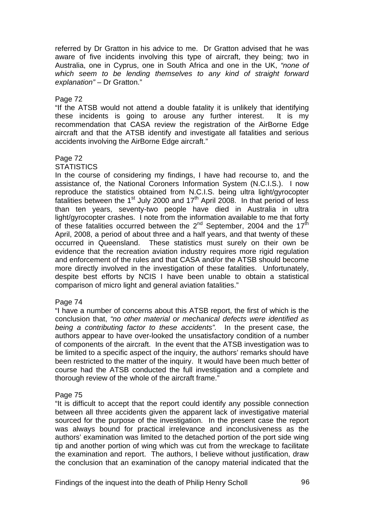referred by Dr Gratton in his advice to me. Dr Gratton advised that he was aware of five incidents involving this type of aircraft, they being; two in Australia, one in Cyprus, one in South Africa and one in the UK, *"none of which seem to be lending themselves to any kind of straight forward explanation"* – Dr Gratton."

#### Page 72

"If the ATSB would not attend a double fatality it is unlikely that identifying these incidents is going to arouse any further interest. It is my recommendation that CASA review the registration of the AirBorne Edge aircraft and that the ATSB identify and investigate all fatalities and serious accidents involving the AirBorne Edge aircraft."

#### Page 72

#### **STATISTICS**

In the course of considering my findings, I have had recourse to, and the assistance of, the National Coroners Information System (N.C.I.S.). I now reproduce the statistics obtained from N.C.I.S. being ultra light/gyrocopter fatalities between the 1<sup>st</sup> July 2000 and  $17<sup>th</sup>$  April 2008. In that period of less than ten years, seventy-two people have died in Australia in ultra light/gyrocopter crashes. I note from the information available to me that forty of these fatalities occurred between the  $2^{nd}$  September, 2004 and the 17<sup>th</sup> April, 2008, a period of about three and a half years, and that twenty of these occurred in Queensland. These statistics must surely on their own be evidence that the recreation aviation industry requires more rigid regulation and enforcement of the rules and that CASA and/or the ATSB should become more directly involved in the investigation of these fatalities. Unfortunately, despite best efforts by NCIS I have been unable to obtain a statistical comparison of micro light and general aviation fatalities."

### Page 74

"I have a number of concerns about this ATSB report, the first of which is the conclusion that, *"no other material or mechanical defects were identified as being a contributing factor to these accidents".* In the present case, the authors appear to have over-looked the unsatisfactory condition of a number of components of the aircraft. In the event that the ATSB investigation was to be limited to a specific aspect of the inquiry, the authors' remarks should have been restricted to the matter of the inquiry. It would have been much better of course had the ATSB conducted the full investigation and a complete and thorough review of the whole of the aircraft frame."

#### Page 75

"It is difficult to accept that the report could identify any possible connection between all three accidents given the apparent lack of investigative material sourced for the purpose of the investigation. In the present case the report was always bound for practical irrelevance and inconclusiveness as the authors' examination was limited to the detached portion of the port side wing tip and another portion of wing which was cut from the wreckage to facilitate the examination and report. The authors, I believe without justification, draw the conclusion that an examination of the canopy material indicated that the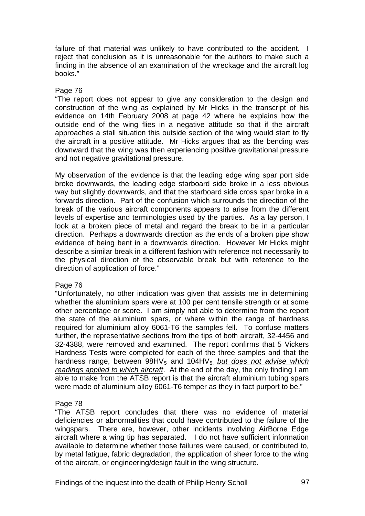failure of that material was unlikely to have contributed to the accident. I reject that conclusion as it is unreasonable for the authors to make such a finding in the absence of an examination of the wreckage and the aircraft log books."

### Page 76

"The report does not appear to give any consideration to the design and construction of the wing as explained by Mr Hicks in the transcript of his evidence on 14th February 2008 at page 42 where he explains how the outside end of the wing flies in a negative attitude so that if the aircraft approaches a stall situation this outside section of the wing would start to fly the aircraft in a positive attitude. Mr Hicks argues that as the bending was downward that the wing was then experiencing positive gravitational pressure and not negative gravitational pressure.

My observation of the evidence is that the leading edge wing spar port side broke downwards, the leading edge starboard side broke in a less obvious way but slightly downwards, and that the starboard side cross spar broke in a forwards direction. Part of the confusion which surrounds the direction of the break of the various aircraft components appears to arise from the different levels of expertise and terminologies used by the parties. As a lay person, I look at a broken piece of metal and regard the break to be in a particular direction. Perhaps a downwards direction as the ends of a broken pipe show evidence of being bent in a downwards direction. However Mr Hicks might describe a similar break in a different fashion with reference not necessarily to the physical direction of the observable break but with reference to the direction of application of force."

### Page 76

"Unfortunately, no other indication was given that assists me in determining whether the aluminium spars were at 100 per cent tensile strength or at some other percentage or score. I am simply not able to determine from the report the state of the aluminium spars, or where within the range of hardness required for aluminium alloy 6061-T6 the samples fell. To confuse matters further, the representative sections from the tips of both aircraft, 32-4456 and 32-4388, were removed and examined. The report confirms that 5 Vickers Hardness Tests were completed for each of the three samples and that the hardness range, between 98HV<sub>5</sub> and 104HV<sub>5</sub> *but does not advise which readings applied to which aircraft*. At the end of the day, the only finding I am able to make from the ATSB report is that the aircraft aluminium tubing spars were made of aluminium alloy 6061-T6 temper as they in fact purport to be."

### Page 78

"The ATSB report concludes that there was no evidence of material deficiencies or abnormalities that could have contributed to the failure of the wingspars. There are, however, other incidents involving AirBorne Edge aircraft where a wing tip has separated. I do not have sufficient information available to determine whether those failures were caused, or contributed to, by metal fatigue, fabric degradation, the application of sheer force to the wing of the aircraft, or engineering/design fault in the wing structure.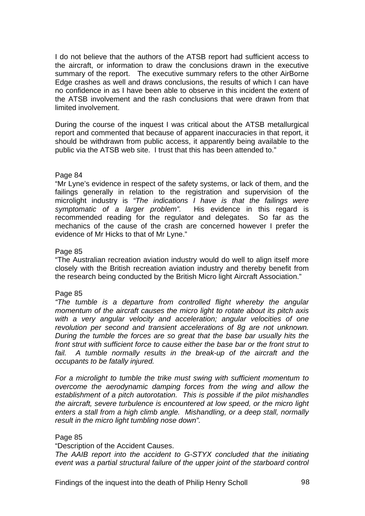I do not believe that the authors of the ATSB report had sufficient access to the aircraft, or information to draw the conclusions drawn in the executive summary of the report. The executive summary refers to the other AirBorne Edge crashes as well and draws conclusions, the results of which I can have no confidence in as I have been able to observe in this incident the extent of the ATSB involvement and the rash conclusions that were drawn from that limited involvement.

During the course of the inquest I was critical about the ATSB metallurgical report and commented that because of apparent inaccuracies in that report, it should be withdrawn from public access, it apparently being available to the public via the ATSB web site. I trust that this has been attended to."

#### Page 84

"Mr Lyne's evidence in respect of the safety systems, or lack of them, and the failings generally in relation to the registration and supervision of the microlight industry is *"The indications I have is that the failings were symptomatic of a larger problem".* His evidence in this regard is recommended reading for the regulator and delegates. So far as the mechanics of the cause of the crash are concerned however I prefer the evidence of Mr Hicks to that of Mr Lyne."

#### Page 85

"The Australian recreation aviation industry would do well to align itself more closely with the British recreation aviation industry and thereby benefit from the research being conducted by the British Micro light Aircraft Association."

#### Page 85

*"The tumble is a departure from controlled flight whereby the angular momentum of the aircraft causes the micro light to rotate about its pitch axis with a very angular velocity and acceleration; angular velocities of one revolution per second and transient accelerations of 8g are not unknown. During the tumble the forces are so great that the base bar usually hits the front strut with sufficient force to cause either the base bar or the front strut to*  fail. A tumble normally results in the break-up of the aircraft and the *occupants to be fatally injured.* 

*For a microlight to tumble the trike must swing with sufficient momentum to overcome the aerodynamic damping forces from the wing and allow the establishment of a pitch autorotation. This is possible if the pilot mishandles the aircraft, severe turbulence is encountered at low speed, or the micro light enters a stall from a high climb angle. Mishandling, or a deep stall, normally result in the micro light tumbling nose down".* 

#### Page 85

"Description of the Accident Causes.

*The AAIB report into the accident to G-STYX concluded that the initiating event was a partial structural failure of the upper joint of the starboard control*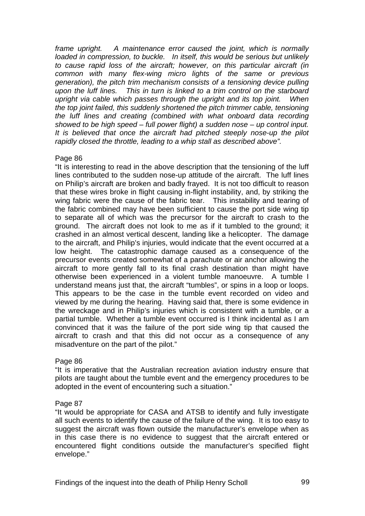*frame upright. A maintenance error caused the joint, which is normally loaded in compression, to buckle. In itself, this would be serious but unlikely to cause rapid loss of the aircraft; however, on this particular aircraft (in common with many flex-wing micro lights of the same or previous generation), the pitch trim mechanism consists of a tensioning device pulling upon the luff lines. This in turn is linked to a trim control on the starboard upright via cable which passes through the upright and its top joint. When the top joint failed, this suddenly shortened the pitch trimmer cable, tensioning the luff lines and creating (combined with what onboard data recording showed to be high speed – full power flight) a sudden nose – up control input. It is believed that once the aircraft had pitched steeply nose-up the pilot rapidly closed the throttle, leading to a whip stall as described above".* 

### Page 86

"It is interesting to read in the above description that the tensioning of the luff lines contributed to the sudden nose-up attitude of the aircraft. The luff lines on Philip's aircraft are broken and badly frayed. It is not too difficult to reason that these wires broke in flight causing in-flight instability, and, by striking the wing fabric were the cause of the fabric tear. This instability and tearing of the fabric combined may have been sufficient to cause the port side wing tip to separate all of which was the precursor for the aircraft to crash to the ground. The aircraft does not look to me as if it tumbled to the ground; it crashed in an almost vertical descent, landing like a helicopter. The damage to the aircraft, and Philip's injuries, would indicate that the event occurred at a low height. The catastrophic damage caused as a consequence of the precursor events created somewhat of a parachute or air anchor allowing the aircraft to more gently fall to its final crash destination than might have otherwise been experienced in a violent tumble manoeuvre. A tumble I understand means just that, the aircraft "tumbles", or spins in a loop or loops. This appears to be the case in the tumble event recorded on video and viewed by me during the hearing. Having said that, there is some evidence in the wreckage and in Philip's injuries which is consistent with a tumble, or a partial tumble. Whether a tumble event occurred is I think incidental as I am convinced that it was the failure of the port side wing tip that caused the aircraft to crash and that this did not occur as a consequence of any misadventure on the part of the pilot."

### Page 86

"It is imperative that the Australian recreation aviation industry ensure that pilots are taught about the tumble event and the emergency procedures to be adopted in the event of encountering such a situation."

### Page 87

"It would be appropriate for CASA and ATSB to identify and fully investigate all such events to identify the cause of the failure of the wing. It is too easy to suggest the aircraft was flown outside the manufacturer's envelope when as in this case there is no evidence to suggest that the aircraft entered or encountered flight conditions outside the manufacturer's specified flight envelope."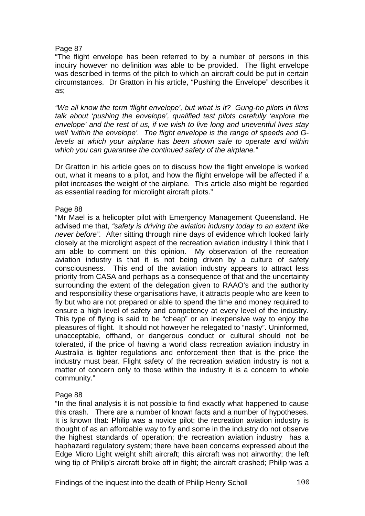## Page 87

"The flight envelope has been referred to by a number of persons in this inquiry however no definition was able to be provided. The flight envelope was described in terms of the pitch to which an aircraft could be put in certain circumstances. Dr Gratton in his article, "Pushing the Envelope" describes it as;

*"We all know the term 'flight envelope', but what is it? Gung-ho pilots in films talk about 'pushing the envelope', qualified test pilots carefully 'explore the envelope' and the rest of us, if we wish to live long and uneventful lives stay well 'within the envelope'. The flight envelope is the range of speeds and Glevels at which your airplane has been shown safe to operate and within which you can guarantee the continued safety of the airplane."* 

Dr Gratton in his article goes on to discuss how the flight envelope is worked out, what it means to a pilot, and how the flight envelope will be affected if a pilot increases the weight of the airplane. This article also might be regarded as essential reading for microlight aircraft pilots."

#### Page 88

"Mr Mael is a helicopter pilot with Emergency Management Queensland. He advised me that, *"safety is driving the aviation industry today to an extent like never before".* After sitting through nine days of evidence which looked fairly closely at the microlight aspect of the recreation aviation industry I think that I am able to comment on this opinion. My observation of the recreation aviation industry is that it is not being driven by a culture of safety consciousness. This end of the aviation industry appears to attract less priority from CASA and perhaps as a consequence of that and the uncertainty surrounding the extent of the delegation given to RAAO's and the authority and responsibility these organisations have, it attracts people who are keen to fly but who are not prepared or able to spend the time and money required to ensure a high level of safety and competency at every level of the industry. This type of flying is said to be "cheap" or an inexpensive way to enjoy the pleasures of flight. It should not however he relegated to "nasty". Uninformed, unacceptable, offhand, or dangerous conduct or cultural should not be tolerated, if the price of having a world class recreation aviation industry in Australia is tighter regulations and enforcement then that is the price the industry must bear. Flight safety of the recreation aviation industry is not a matter of concern only to those within the industry it is a concern to whole community."

### Page 88

"In the final analysis it is not possible to find exactly what happened to cause this crash. There are a number of known facts and a number of hypotheses. It is known that: Philip was a novice pilot; the recreation aviation industry is thought of as an affordable way to fly and some in the industry do not observe the highest standards of operation; the recreation aviation industry has a haphazard regulatory system; there have been concerns expressed about the Edge Micro Light weight shift aircraft; this aircraft was not airworthy; the left wing tip of Philip's aircraft broke off in flight; the aircraft crashed; Philip was a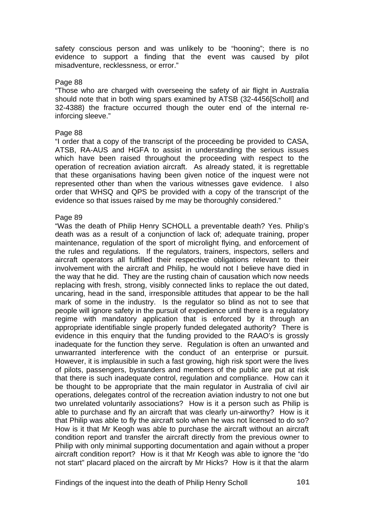safety conscious person and was unlikely to be "hooning"; there is no evidence to support a finding that the event was caused by pilot misadventure, recklessness, or error."

#### Page 88

"Those who are charged with overseeing the safety of air flight in Australia should note that in both wing spars examined by ATSB (32-4456[Scholl] and 32-4388) the fracture occurred though the outer end of the internal reinforcing sleeve."

#### Page 88

"I order that a copy of the transcript of the proceeding be provided to CASA, ATSB, RA-AUS and HGFA to assist in understanding the serious issues which have been raised throughout the proceeding with respect to the operation of recreation aviation aircraft. As already stated, it is regrettable that these organisations having been given notice of the inquest were not represented other than when the various witnesses gave evidence. I also order that WHSQ and QPS be provided with a copy of the transcript of the evidence so that issues raised by me may be thoroughly considered."

#### Page 89

"Was the death of Philip Henry SCHOLL a preventable death? Yes. Philip's death was as a result of a conjunction of lack of; adequate training, proper maintenance, regulation of the sport of microlight flying, and enforcement of the rules and regulations. If the regulators, trainers, inspectors, sellers and aircraft operators all fulfilled their respective obligations relevant to their involvement with the aircraft and Philip, he would not I believe have died in the way that he did. They are the rusting chain of causation which now needs replacing with fresh, strong, visibly connected links to replace the out dated, uncaring, head in the sand, irresponsible attitudes that appear to be the hall mark of some in the industry. Is the regulator so blind as not to see that people will ignore safety in the pursuit of expedience until there is a regulatory regime with mandatory application that is enforced by it through an appropriate identifiable single properly funded delegated authority? There is evidence in this enquiry that the funding provided to the RAAO's is grossly inadequate for the function they serve. Regulation is often an unwanted and unwarranted interference with the conduct of an enterprise or pursuit. However, it is implausible in such a fast growing, high risk sport were the lives of pilots, passengers, bystanders and members of the public are put at risk that there is such inadequate control, regulation and compliance. How can it be thought to be appropriate that the main regulator in Australia of civil air operations, delegates control of the recreation aviation industry to not one but two unrelated voluntarily associations? How is it a person such as Philip is able to purchase and fly an aircraft that was clearly un-airworthy? How is it that Philip was able to fly the aircraft solo when he was not licensed to do so? How is it that Mr Keogh was able to purchase the aircraft without an aircraft condition report and transfer the aircraft directly from the previous owner to Philip with only minimal supporting documentation and again without a proper aircraft condition report? How is it that Mr Keogh was able to ignore the "do not start" placard placed on the aircraft by Mr Hicks? How is it that the alarm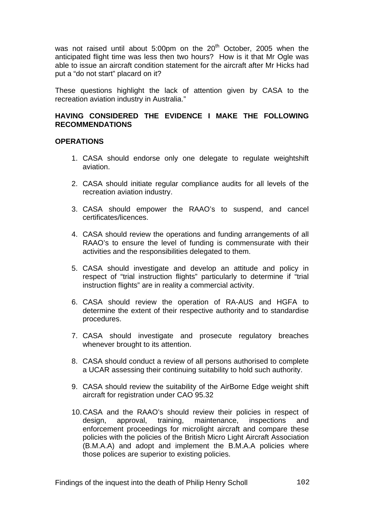was not raised until about 5:00pm on the  $20<sup>th</sup>$  October, 2005 when the anticipated flight time was less then two hours? How is it that Mr Ogle was able to issue an aircraft condition statement for the aircraft after Mr Hicks had put a "do not start" placard on it?

These questions highlight the lack of attention given by CASA to the recreation aviation industry in Australia."

## **HAVING CONSIDERED THE EVIDENCE I MAKE THE FOLLOWING RECOMMENDATIONS**

### **OPERATIONS**

- 1. CASA should endorse only one delegate to regulate weightshift aviation.
- 2. CASA should initiate regular compliance audits for all levels of the recreation aviation industry.
- 3. CASA should empower the RAAO's to suspend, and cancel certificates/licences.
- 4. CASA should review the operations and funding arrangements of all RAAO's to ensure the level of funding is commensurate with their activities and the responsibilities delegated to them.
- 5. CASA should investigate and develop an attitude and policy in respect of "trial instruction flights" particularly to determine if "trial instruction flights" are in reality a commercial activity.
- 6. CASA should review the operation of RA-AUS and HGFA to determine the extent of their respective authority and to standardise procedures.
- 7. CASA should investigate and prosecute regulatory breaches whenever brought to its attention.
- 8. CASA should conduct a review of all persons authorised to complete a UCAR assessing their continuing suitability to hold such authority.
- 9. CASA should review the suitability of the AirBorne Edge weight shift aircraft for registration under CAO 95.32
- 10. CASA and the RAAO's should review their policies in respect of design, approval, training, maintenance, inspections and enforcement proceedings for microlight aircraft and compare these policies with the policies of the British Micro Light Aircraft Association (B.M.A.A) and adopt and implement the B.M.A.A policies where those polices are superior to existing policies.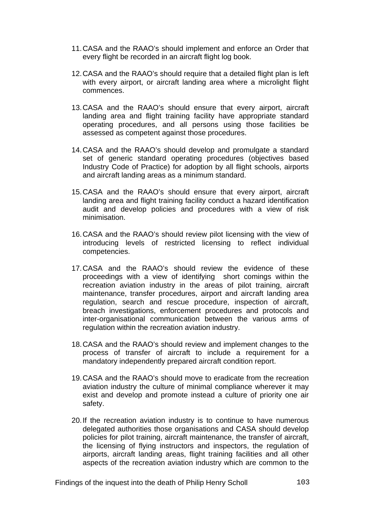- 11. CASA and the RAAO's should implement and enforce an Order that every flight be recorded in an aircraft flight log book.
- 12. CASA and the RAAO's should require that a detailed flight plan is left with every airport, or aircraft landing area where a microlight flight commences.
- 13. CASA and the RAAO's should ensure that every airport, aircraft landing area and flight training facility have appropriate standard operating procedures, and all persons using those facilities be assessed as competent against those procedures.
- 14. CASA and the RAAO's should develop and promulgate a standard set of generic standard operating procedures (objectives based Industry Code of Practice) for adoption by all flight schools, airports and aircraft landing areas as a minimum standard.
- 15. CASA and the RAAO's should ensure that every airport, aircraft landing area and flight training facility conduct a hazard identification audit and develop policies and procedures with a view of risk minimisation.
- 16. CASA and the RAAO's should review pilot licensing with the view of introducing levels of restricted licensing to reflect individual competencies.
- 17. CASA and the RAAO's should review the evidence of these proceedings with a view of identifying short comings within the recreation aviation industry in the areas of pilot training, aircraft maintenance, transfer procedures, airport and aircraft landing area regulation, search and rescue procedure, inspection of aircraft, breach investigations, enforcement procedures and protocols and inter-organisational communication between the various arms of regulation within the recreation aviation industry.
- 18. CASA and the RAAO's should review and implement changes to the process of transfer of aircraft to include a requirement for a mandatory independently prepared aircraft condition report.
- 19. CASA and the RAAO's should move to eradicate from the recreation aviation industry the culture of minimal compliance wherever it may exist and develop and promote instead a culture of priority one air safety.
- 20. If the recreation aviation industry is to continue to have numerous delegated authorities those organisations and CASA should develop policies for pilot training, aircraft maintenance, the transfer of aircraft, the licensing of flying instructors and inspectors, the regulation of airports, aircraft landing areas, flight training facilities and all other aspects of the recreation aviation industry which are common to the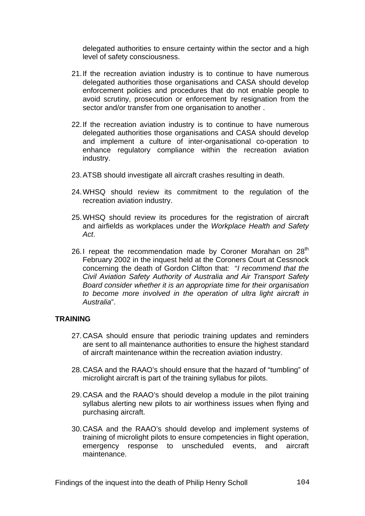delegated authorities to ensure certainty within the sector and a high level of safety consciousness.

- 21. If the recreation aviation industry is to continue to have numerous delegated authorities those organisations and CASA should develop enforcement policies and procedures that do not enable people to avoid scrutiny, prosecution or enforcement by resignation from the sector and/or transfer from one organisation to another .
- 22. If the recreation aviation industry is to continue to have numerous delegated authorities those organisations and CASA should develop and implement a culture of inter-organisational co-operation to enhance regulatory compliance within the recreation aviation industry.
- 23. ATSB should investigate all aircraft crashes resulting in death.
- 24. WHSQ should review its commitment to the regulation of the recreation aviation industry.
- 25. WHSQ should review its procedures for the registration of aircraft and airfields as workplaces under the *Workplace Health and Safety Act*.
- 26.I repeat the recommendation made by Coroner Morahan on 28<sup>th</sup> February 2002 in the inquest held at the Coroners Court at Cessnock concerning the death of Gordon Clifton that: "*I recommend that the Civil Aviation Safety Authority of Australia and Air Transport Safety Board consider whether it is an appropriate time for their organisation to become more involved in the operation of ultra light aircraft in Australia*".

### **TRAINING**

- 27. CASA should ensure that periodic training updates and reminders are sent to all maintenance authorities to ensure the highest standard of aircraft maintenance within the recreation aviation industry.
- 28. CASA and the RAAO's should ensure that the hazard of "tumbling" of microlight aircraft is part of the training syllabus for pilots.
- 29. CASA and the RAAO's should develop a module in the pilot training syllabus alerting new pilots to air worthiness issues when flying and purchasing aircraft.
- 30. CASA and the RAAO's should develop and implement systems of training of microlight pilots to ensure competencies in flight operation, emergency response to unscheduled events, and aircraft maintenance.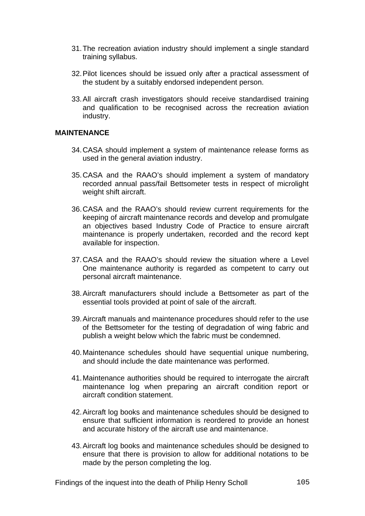- 31. The recreation aviation industry should implement a single standard training syllabus.
- 32. Pilot licences should be issued only after a practical assessment of the student by a suitably endorsed independent person.
- 33. All aircraft crash investigators should receive standardised training and qualification to be recognised across the recreation aviation industry.

#### **MAINTENANCE**

- 34. CASA should implement a system of maintenance release forms as used in the general aviation industry.
- 35. CASA and the RAAO's should implement a system of mandatory recorded annual pass/fail Bettsometer tests in respect of microlight weight shift aircraft.
- 36. CASA and the RAAO's should review current requirements for the keeping of aircraft maintenance records and develop and promulgate an objectives based Industry Code of Practice to ensure aircraft maintenance is properly undertaken, recorded and the record kept available for inspection.
- 37. CASA and the RAAO's should review the situation where a Level One maintenance authority is regarded as competent to carry out personal aircraft maintenance.
- 38. Aircraft manufacturers should include a Bettsometer as part of the essential tools provided at point of sale of the aircraft.
- 39. Aircraft manuals and maintenance procedures should refer to the use of the Bettsometer for the testing of degradation of wing fabric and publish a weight below which the fabric must be condemned.
- 40. Maintenance schedules should have sequential unique numbering, and should include the date maintenance was performed.
- 41. Maintenance authorities should be required to interrogate the aircraft maintenance log when preparing an aircraft condition report or aircraft condition statement.
- 42. Aircraft log books and maintenance schedules should be designed to ensure that sufficient information is reordered to provide an honest and accurate history of the aircraft use and maintenance.
- 43. Aircraft log books and maintenance schedules should be designed to ensure that there is provision to allow for additional notations to be made by the person completing the log.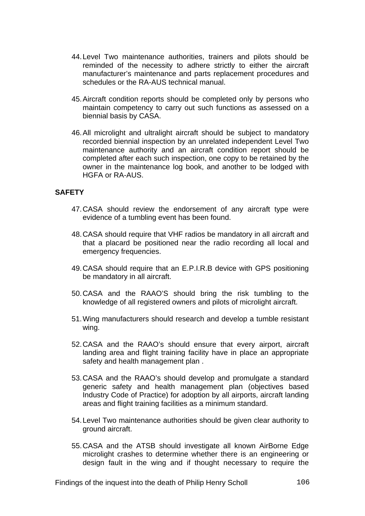- 44. Level Two maintenance authorities, trainers and pilots should be reminded of the necessity to adhere strictly to either the aircraft manufacturer's maintenance and parts replacement procedures and schedules or the RA-AUS technical manual.
- 45. Aircraft condition reports should be completed only by persons who maintain competency to carry out such functions as assessed on a biennial basis by CASA.
- 46. All microlight and ultralight aircraft should be subject to mandatory recorded biennial inspection by an unrelated independent Level Two maintenance authority and an aircraft condition report should be completed after each such inspection, one copy to be retained by the owner in the maintenance log book, and another to be lodged with HGFA or RA-AUS.

## **SAFETY**

- 47. CASA should review the endorsement of any aircraft type were evidence of a tumbling event has been found.
- 48. CASA should require that VHF radios be mandatory in all aircraft and that a placard be positioned near the radio recording all local and emergency frequencies.
- 49. CASA should require that an E.P.I.R.B device with GPS positioning be mandatory in all aircraft.
- 50. CASA and the RAAO'S should bring the risk tumbling to the knowledge of all registered owners and pilots of microlight aircraft.
- 51. Wing manufacturers should research and develop a tumble resistant wing.
- 52. CASA and the RAAO's should ensure that every airport, aircraft landing area and flight training facility have in place an appropriate safety and health management plan .
- 53. CASA and the RAAO's should develop and promulgate a standard generic safety and health management plan (objectives based Industry Code of Practice) for adoption by all airports, aircraft landing areas and flight training facilities as a minimum standard.
- 54. Level Two maintenance authorities should be given clear authority to ground aircraft.
- 55. CASA and the ATSB should investigate all known AirBorne Edge microlight crashes to determine whether there is an engineering or design fault in the wing and if thought necessary to require the